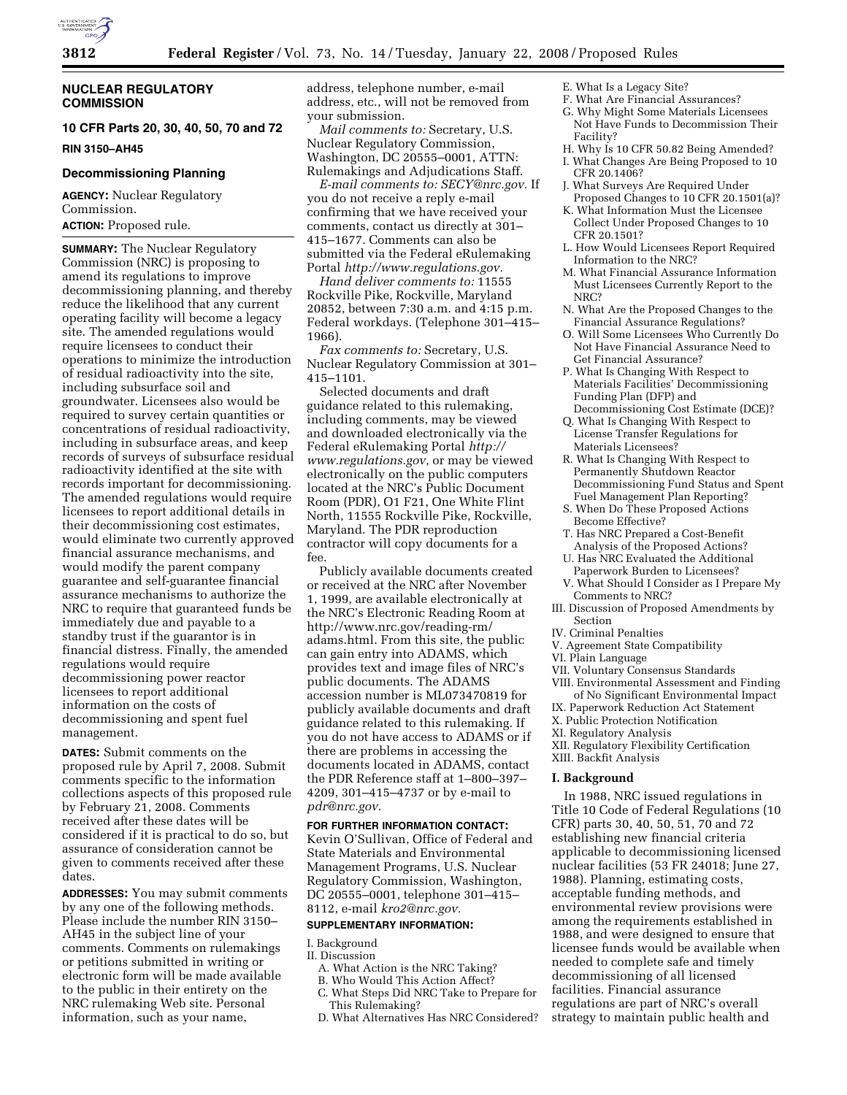

# **NUCLEAR REGULATORY COMMISSION**

# **10 CFR Parts 20, 30, 40, 50, 70 and 72**

**RIN 3150–AH45** 

# **Decommissioning Planning**

**AGENCY:** Nuclear Regulatory Commission. **ACTION:** Proposed rule.

**SUMMARY:** The Nuclear Regulatory Commission (NRC) is proposing to amend its regulations to improve decommissioning planning, and thereby reduce the likelihood that any current operating facility will become a legacy site. The amended regulations would require licensees to conduct their operations to minimize the introduction of residual radioactivity into the site, including subsurface soil and groundwater. Licensees also would be required to survey certain quantities or concentrations of residual radioactivity, including in subsurface areas, and keep records of surveys of subsurface residual radioactivity identified at the site with records important for decommissioning. The amended regulations would require licensees to report additional details in their decommissioning cost estimates, would eliminate two currently approved financial assurance mechanisms, and would modify the parent company guarantee and self-guarantee financial assurance mechanisms to authorize the NRC to require that guaranteed funds be immediately due and payable to a standby trust if the guarantor is in financial distress. Finally, the amended regulations would require decommissioning power reactor licensees to report additional information on the costs of decommissioning and spent fuel management.

**DATES:** Submit comments on the proposed rule by April 7, 2008. Submit comments specific to the information collections aspects of this proposed rule by February 21, 2008. Comments received after these dates will be considered if it is practical to do so, but assurance of consideration cannot be given to comments received after these dates.

**ADDRESSES:** You may submit comments by any one of the following methods. Please include the number RIN 3150– AH45 in the subject line of your comments. Comments on rulemakings or petitions submitted in writing or electronic form will be made available to the public in their entirety on the NRC rulemaking Web site. Personal information, such as your name,

address, telephone number, e-mail address, etc., will not be removed from your submission.

*Mail comments to:* Secretary, U.S. Nuclear Regulatory Commission, Washington, DC 20555–0001, ATTN: Rulemakings and Adjudications Staff.

*E-mail comments to: SECY@nrc.gov.* If you do not receive a reply e-mail confirming that we have received your comments, contact us directly at 301– 415–1677. Comments can also be submitted via the Federal eRulemaking Portal *http://www.regulations.gov.* 

*Hand deliver comments to:* 11555 Rockville Pike, Rockville, Maryland 20852, between 7:30 a.m. and 4:15 p.m. Federal workdays. (Telephone 301–415– 1966).

*Fax comments to:* Secretary, U.S. Nuclear Regulatory Commission at 301– 415–1101.

Selected documents and draft guidance related to this rulemaking, including comments, may be viewed and downloaded electronically via the Federal eRulemaking Portal *http:// www.regulations.gov,* or may be viewed electronically on the public computers located at the NRC's Public Document Room (PDR), O1 F21, One White Flint North, 11555 Rockville Pike, Rockville, Maryland. The PDR reproduction contractor will copy documents for a fee.

Publicly available documents created or received at the NRC after November 1, 1999, are available electronically at the NRC's Electronic Reading Room at http://www.nrc.gov/reading-rm/ adams.html. From this site, the public can gain entry into ADAMS, which provides text and image files of NRC's public documents. The ADAMS accession number is ML073470819 for publicly available documents and draft guidance related to this rulemaking. If you do not have access to ADAMS or if there are problems in accessing the documents located in ADAMS, contact the PDR Reference staff at 1–800–397– 4209, 301–415–4737 or by e-mail to *pdr@nrc.gov*.

#### **FOR FURTHER INFORMATION CONTACT:**

Kevin O'Sullivan, Office of Federal and State Materials and Environmental Management Programs, U.S. Nuclear Regulatory Commission, Washington, DC 20555–0001, telephone 301–415– 8112, e-mail *kro2@nrc.gov.* 

#### **SUPPLEMENTARY INFORMATION:**

I. Background

II. Discussion

- A. What Action is the NRC Taking?
- B. Who Would This Action Affect?
- C. What Steps Did NRC Take to Prepare for This Rulemaking?
- D. What Alternatives Has NRC Considered?
- E. What Is a Legacy Site?
- F. What Are Financial Assurances?
- G. Why Might Some Materials Licensees Not Have Funds to Decommission Their Facility?
- H. Why Is 10 CFR 50.82 Being Amended?
- I. What Changes Are Being Proposed to 10 CFR 20.1406?
- J. What Surveys Are Required Under Proposed Changes to 10 CFR 20.1501(a)?
- K. What Information Must the Licensee Collect Under Proposed Changes to 10 CFR 20.1501?
- L. How Would Licensees Report Required Information to the NRC?
- M. What Financial Assurance Information Must Licensees Currently Report to the NRC?
- N. What Are the Proposed Changes to the Financial Assurance Regulations?
- O. Will Some Licensees Who Currently Do Not Have Financial Assurance Need to Get Financial Assurance?
- P. What Is Changing With Respect to Materials Facilities' Decommissioning Funding Plan (DFP) and Decommissioning Cost Estimate (DCE)?
- Q. What Is Changing With Respect to License Transfer Regulations for Materials Licensees?
- R. What Is Changing With Respect to Permanently Shutdown Reactor Decommissioning Fund Status and Spent Fuel Management Plan Reporting?
- S. When Do These Proposed Actions Become Effective?
- T. Has NRC Prepared a Cost-Benefit Analysis of the Proposed Actions?
- U. Has NRC Evaluated the Additional Paperwork Burden to Licensees?
- V. What Should I Consider as I Prepare My Comments to NRC?
- III. Discussion of Proposed Amendments by Section
- IV. Criminal Penalties
- V. Agreement State Compatibility
- VI. Plain Language
- VII. Voluntary Consensus Standards
- VIII. Environmental Assessment and Finding of No Significant Environmental Impact
- IX. Paperwork Reduction Act Statement
- X. Public Protection Notification
- XI. Regulatory Analysis
- XII. Regulatory Flexibility Certification
- XIII. Backfit Analysis

#### **I. Background**

In 1988, NRC issued regulations in Title 10 Code of Federal Regulations (10 CFR) parts 30, 40, 50, 51, 70 and 72 establishing new financial criteria applicable to decommissioning licensed nuclear facilities (53 FR 24018; June 27, 1988). Planning, estimating costs, acceptable funding methods, and environmental review provisions were among the requirements established in 1988, and were designed to ensure that licensee funds would be available when needed to complete safe and timely decommissioning of all licensed facilities. Financial assurance regulations are part of NRC's overall strategy to maintain public health and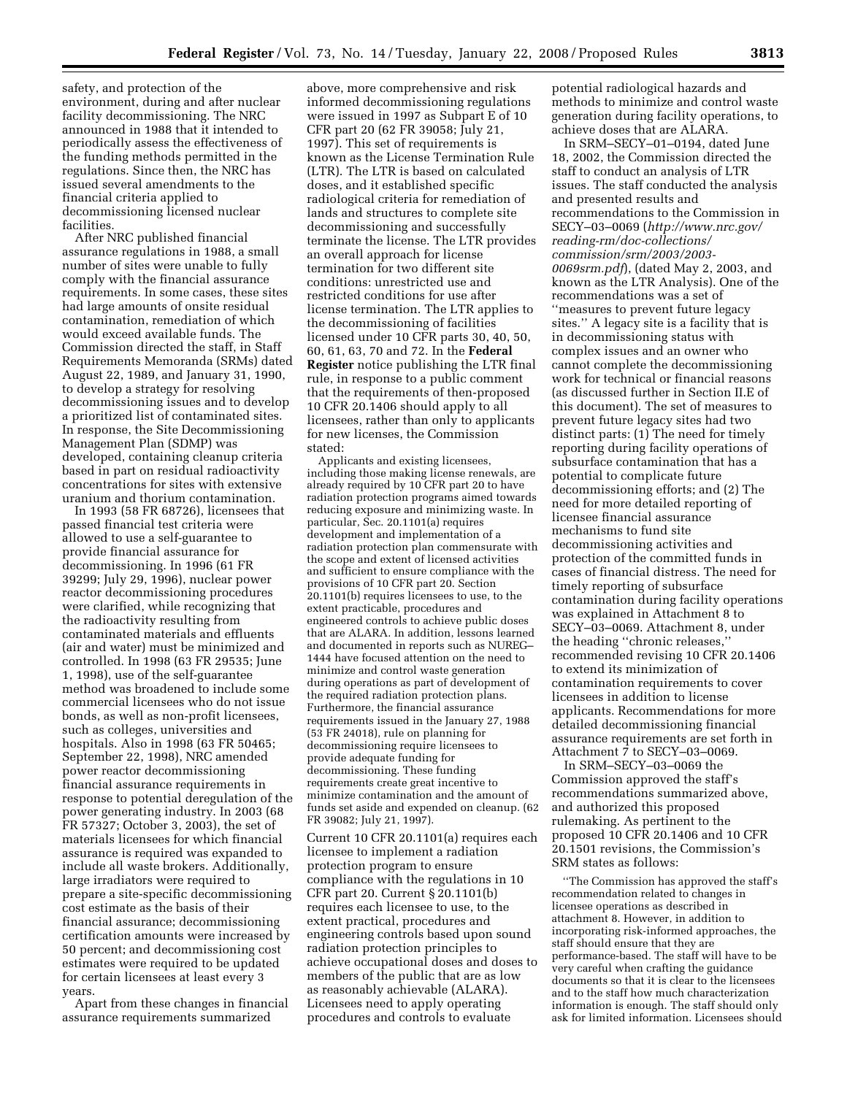safety, and protection of the environment, during and after nuclear facility decommissioning. The NRC announced in 1988 that it intended to periodically assess the effectiveness of the funding methods permitted in the regulations. Since then, the NRC has issued several amendments to the financial criteria applied to decommissioning licensed nuclear facilities.

After NRC published financial assurance regulations in 1988, a small number of sites were unable to fully comply with the financial assurance requirements. In some cases, these sites had large amounts of onsite residual contamination, remediation of which would exceed available funds. The Commission directed the staff, in Staff Requirements Memoranda (SRMs) dated August 22, 1989, and January 31, 1990, to develop a strategy for resolving decommissioning issues and to develop a prioritized list of contaminated sites. In response, the Site Decommissioning Management Plan (SDMP) was developed, containing cleanup criteria based in part on residual radioactivity concentrations for sites with extensive uranium and thorium contamination.

In 1993 (58 FR 68726), licensees that passed financial test criteria were allowed to use a self-guarantee to provide financial assurance for decommissioning. In 1996 (61 FR 39299; July 29, 1996), nuclear power reactor decommissioning procedures were clarified, while recognizing that the radioactivity resulting from contaminated materials and effluents (air and water) must be minimized and controlled. In 1998 (63 FR 29535; June 1, 1998), use of the self-guarantee method was broadened to include some commercial licensees who do not issue bonds, as well as non-profit licensees, such as colleges, universities and hospitals. Also in 1998 (63 FR 50465; September 22, 1998), NRC amended power reactor decommissioning financial assurance requirements in response to potential deregulation of the power generating industry. In 2003 (68 FR 57327; October 3, 2003), the set of materials licensees for which financial assurance is required was expanded to include all waste brokers. Additionally, large irradiators were required to prepare a site-specific decommissioning cost estimate as the basis of their financial assurance; decommissioning certification amounts were increased by 50 percent; and decommissioning cost estimates were required to be updated for certain licensees at least every 3 years.

Apart from these changes in financial assurance requirements summarized

above, more comprehensive and risk informed decommissioning regulations were issued in 1997 as Subpart E of 10 CFR part 20 (62 FR 39058; July 21, 1997). This set of requirements is known as the License Termination Rule (LTR). The LTR is based on calculated doses, and it established specific radiological criteria for remediation of lands and structures to complete site decommissioning and successfully terminate the license. The LTR provides an overall approach for license termination for two different site conditions: unrestricted use and restricted conditions for use after license termination. The LTR applies to the decommissioning of facilities licensed under 10 CFR parts 30, 40, 50, 60, 61, 63, 70 and 72. In the **Federal Register** notice publishing the LTR final rule, in response to a public comment that the requirements of then-proposed 10 CFR 20.1406 should apply to all licensees, rather than only to applicants for new licenses, the Commission stated:

Applicants and existing licensees, including those making license renewals, are already required by 10 CFR part 20 to have radiation protection programs aimed towards reducing exposure and minimizing waste. In particular, Sec. 20.1101(a) requires development and implementation of a radiation protection plan commensurate with the scope and extent of licensed activities and sufficient to ensure compliance with the provisions of 10 CFR part 20. Section 20.1101(b) requires licensees to use, to the extent practicable, procedures and engineered controls to achieve public doses that are ALARA. In addition, lessons learned and documented in reports such as NUREG– 1444 have focused attention on the need to minimize and control waste generation during operations as part of development of the required radiation protection plans. Furthermore, the financial assurance requirements issued in the January 27, 1988 (53 FR 24018), rule on planning for decommissioning require licensees to provide adequate funding for decommissioning. These funding requirements create great incentive to minimize contamination and the amount of funds set aside and expended on cleanup. (62 FR 39082; July 21, 1997).

Current 10 CFR 20.1101(a) requires each licensee to implement a radiation protection program to ensure compliance with the regulations in 10 CFR part 20. Current § 20.1101(b) requires each licensee to use, to the extent practical, procedures and engineering controls based upon sound radiation protection principles to achieve occupational doses and doses to members of the public that are as low as reasonably achievable (ALARA). Licensees need to apply operating procedures and controls to evaluate

potential radiological hazards and methods to minimize and control waste generation during facility operations, to achieve doses that are ALARA.

In SRM–SECY–01–0194, dated June 18, 2002, the Commission directed the staff to conduct an analysis of LTR issues. The staff conducted the analysis and presented results and recommendations to the Commission in SECY–03–0069 (*http://www.nrc.gov/ reading-rm/doc-collections/ commission/srm/2003/2003- 0069srm.pdf*), (dated May 2, 2003, and known as the LTR Analysis). One of the recommendations was a set of ''measures to prevent future legacy sites.'' A legacy site is a facility that is in decommissioning status with complex issues and an owner who cannot complete the decommissioning work for technical or financial reasons (as discussed further in Section II.E of this document). The set of measures to prevent future legacy sites had two distinct parts: (1) The need for timely reporting during facility operations of subsurface contamination that has a potential to complicate future decommissioning efforts; and (2) The need for more detailed reporting of licensee financial assurance mechanisms to fund site decommissioning activities and protection of the committed funds in cases of financial distress. The need for timely reporting of subsurface contamination during facility operations was explained in Attachment 8 to SECY–03–0069. Attachment 8, under the heading ''chronic releases,'' recommended revising 10 CFR 20.1406 to extend its minimization of contamination requirements to cover licensees in addition to license applicants. Recommendations for more detailed decommissioning financial assurance requirements are set forth in Attachment 7 to SECY–03–0069.

In SRM–SECY–03–0069 the Commission approved the staff's recommendations summarized above, and authorized this proposed rulemaking. As pertinent to the proposed 10 CFR 20.1406 and 10 CFR 20.1501 revisions, the Commission's SRM states as follows:

''The Commission has approved the staff's recommendation related to changes in licensee operations as described in attachment 8. However, in addition to incorporating risk-informed approaches, the staff should ensure that they are performance-based. The staff will have to be very careful when crafting the guidance documents so that it is clear to the licensees and to the staff how much characterization information is enough. The staff should only ask for limited information. Licensees should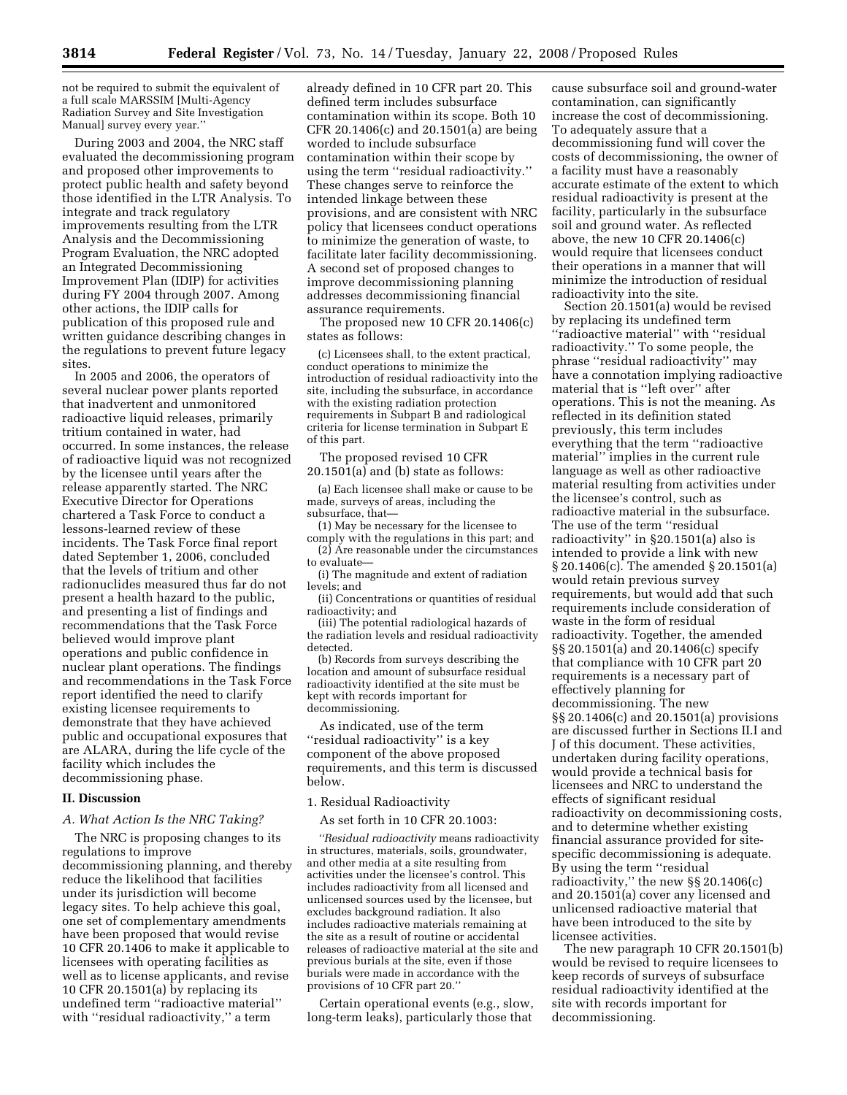not be required to submit the equivalent of a full scale MARSSIM [Multi-Agency Radiation Survey and Site Investigation Manual] survey every year.''

During 2003 and 2004, the NRC staff evaluated the decommissioning program and proposed other improvements to protect public health and safety beyond those identified in the LTR Analysis. To integrate and track regulatory improvements resulting from the LTR Analysis and the Decommissioning Program Evaluation, the NRC adopted an Integrated Decommissioning Improvement Plan (IDIP) for activities during FY 2004 through 2007. Among other actions, the IDIP calls for publication of this proposed rule and written guidance describing changes in the regulations to prevent future legacy sites.

In 2005 and 2006, the operators of several nuclear power plants reported that inadvertent and unmonitored radioactive liquid releases, primarily tritium contained in water, had occurred. In some instances, the release of radioactive liquid was not recognized by the licensee until years after the release apparently started. The NRC Executive Director for Operations chartered a Task Force to conduct a lessons-learned review of these incidents. The Task Force final report dated September 1, 2006, concluded that the levels of tritium and other radionuclides measured thus far do not present a health hazard to the public, and presenting a list of findings and recommendations that the Task Force believed would improve plant operations and public confidence in nuclear plant operations. The findings and recommendations in the Task Force report identified the need to clarify existing licensee requirements to demonstrate that they have achieved public and occupational exposures that are ALARA, during the life cycle of the facility which includes the decommissioning phase.

## **II. Discussion**

## *A. What Action Is the NRC Taking?*

The NRC is proposing changes to its regulations to improve decommissioning planning, and thereby reduce the likelihood that facilities under its jurisdiction will become legacy sites. To help achieve this goal, one set of complementary amendments have been proposed that would revise 10 CFR 20.1406 to make it applicable to licensees with operating facilities as well as to license applicants, and revise 10 CFR 20.1501(a) by replacing its undefined term ''radioactive material'' with ''residual radioactivity,'' a term

already defined in 10 CFR part 20. This defined term includes subsurface contamination within its scope. Both 10 CFR 20.1406(c) and 20.1501(a) are being worded to include subsurface contamination within their scope by using the term ''residual radioactivity.'' These changes serve to reinforce the intended linkage between these provisions, and are consistent with NRC policy that licensees conduct operations to minimize the generation of waste, to facilitate later facility decommissioning. A second set of proposed changes to improve decommissioning planning addresses decommissioning financial assurance requirements.

The proposed new 10 CFR 20.1406(c) states as follows:

(c) Licensees shall, to the extent practical, conduct operations to minimize the introduction of residual radioactivity into the site, including the subsurface, in accordance with the existing radiation protection requirements in Subpart B and radiological criteria for license termination in Subpart E of this part.

The proposed revised 10 CFR 20.1501(a) and (b) state as follows:

(a) Each licensee shall make or cause to be made, surveys of areas, including the subsurface, that—

(1) May be necessary for the licensee to comply with the regulations in this part; and (2) Are reasonable under the circumstances

to evaluate—

(i) The magnitude and extent of radiation levels; and

(ii) Concentrations or quantities of residual radioactivity; and

(iii) The potential radiological hazards of the radiation levels and residual radioactivity detected.

(b) Records from surveys describing the location and amount of subsurface residual radioactivity identified at the site must be kept with records important for decommissioning.

As indicated, use of the term ''residual radioactivity'' is a key component of the above proposed requirements, and this term is discussed below.

1. Residual Radioactivity

As set forth in 10 CFR 20.1003:

*''Residual radioactivity* means radioactivity in structures, materials, soils, groundwater, and other media at a site resulting from activities under the licensee's control. This includes radioactivity from all licensed and unlicensed sources used by the licensee, but excludes background radiation. It also includes radioactive materials remaining at the site as a result of routine or accidental releases of radioactive material at the site and previous burials at the site, even if those burials were made in accordance with the provisions of 10 CFR part 20.''

Certain operational events (e.g., slow, long-term leaks), particularly those that

cause subsurface soil and ground-water contamination, can significantly increase the cost of decommissioning. To adequately assure that a decommissioning fund will cover the costs of decommissioning, the owner of a facility must have a reasonably accurate estimate of the extent to which residual radioactivity is present at the facility, particularly in the subsurface soil and ground water. As reflected above, the new 10 CFR 20.1406(c) would require that licensees conduct their operations in a manner that will minimize the introduction of residual radioactivity into the site.

Section 20.1501(a) would be revised by replacing its undefined term ''radioactive material'' with ''residual radioactivity.'' To some people, the phrase ''residual radioactivity'' may have a connotation implying radioactive material that is ''left over'' after operations. This is not the meaning. As reflected in its definition stated previously, this term includes everything that the term ''radioactive material'' implies in the current rule language as well as other radioactive material resulting from activities under the licensee's control, such as radioactive material in the subsurface. The use of the term ''residual radioactivity'' in §20.1501(a) also is intended to provide a link with new § 20.1406(c). The amended § 20.1501(a) would retain previous survey requirements, but would add that such requirements include consideration of waste in the form of residual radioactivity. Together, the amended §§ 20.1501(a) and 20.1406(c) specify that compliance with 10 CFR part 20 requirements is a necessary part of effectively planning for decommissioning. The new §§ 20.1406(c) and 20.1501(a) provisions are discussed further in Sections II.I and J of this document. These activities, undertaken during facility operations, would provide a technical basis for licensees and NRC to understand the effects of significant residual radioactivity on decommissioning costs, and to determine whether existing financial assurance provided for sitespecific decommissioning is adequate. By using the term ''residual radioactivity,'' the new §§ 20.1406(c) and 20.1501(a) cover any licensed and unlicensed radioactive material that have been introduced to the site by licensee activities.

The new paragraph 10 CFR 20.1501(b) would be revised to require licensees to keep records of surveys of subsurface residual radioactivity identified at the site with records important for decommissioning.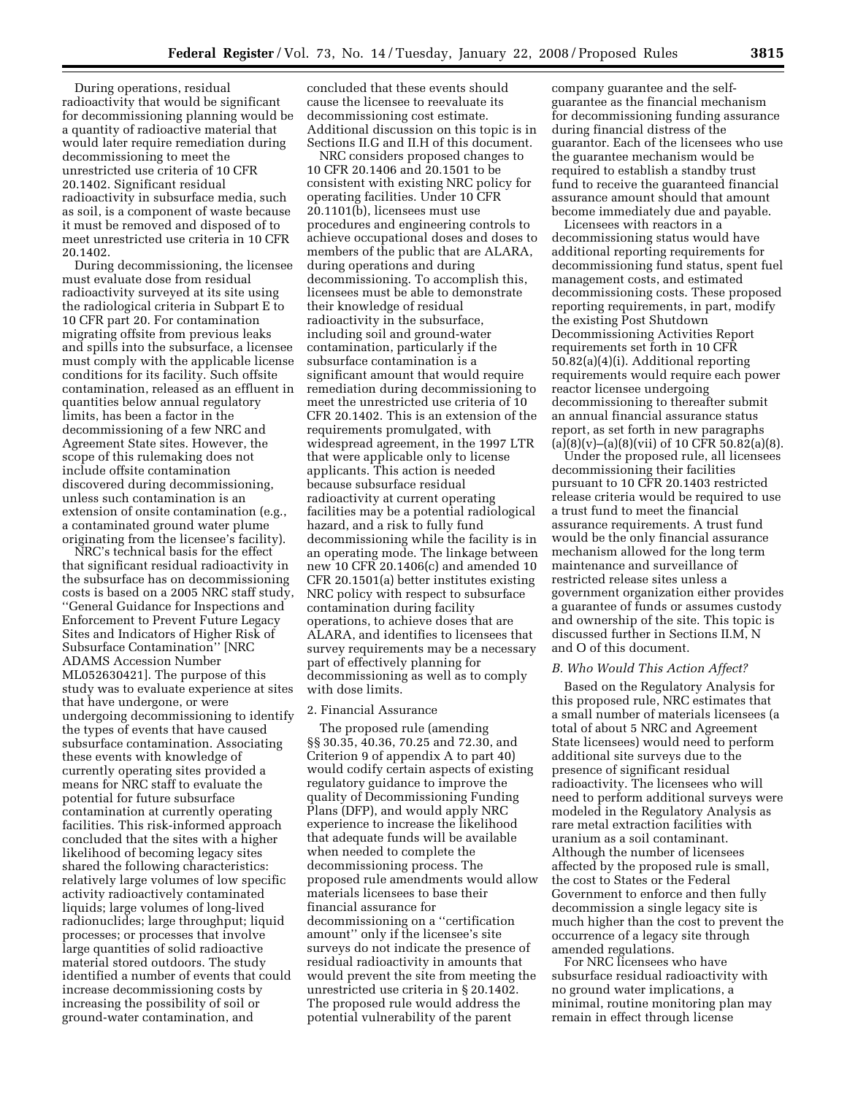During operations, residual radioactivity that would be significant for decommissioning planning would be a quantity of radioactive material that would later require remediation during decommissioning to meet the unrestricted use criteria of 10 CFR 20.1402. Significant residual radioactivity in subsurface media, such as soil, is a component of waste because it must be removed and disposed of to meet unrestricted use criteria in 10 CFR 20.1402.

During decommissioning, the licensee must evaluate dose from residual radioactivity surveyed at its site using the radiological criteria in Subpart E to 10 CFR part 20. For contamination migrating offsite from previous leaks and spills into the subsurface, a licensee must comply with the applicable license conditions for its facility. Such offsite contamination, released as an effluent in quantities below annual regulatory limits, has been a factor in the decommissioning of a few NRC and Agreement State sites. However, the scope of this rulemaking does not include offsite contamination discovered during decommissioning, unless such contamination is an extension of onsite contamination (e.g., a contaminated ground water plume originating from the licensee's facility).

NRC's technical basis for the effect that significant residual radioactivity in the subsurface has on decommissioning costs is based on a 2005 NRC staff study, ''General Guidance for Inspections and Enforcement to Prevent Future Legacy Sites and Indicators of Higher Risk of Subsurface Contamination'' [NRC ADAMS Accession Number ML052630421]. The purpose of this study was to evaluate experience at sites that have undergone, or were undergoing decommissioning to identify the types of events that have caused subsurface contamination. Associating these events with knowledge of currently operating sites provided a means for NRC staff to evaluate the potential for future subsurface contamination at currently operating facilities. This risk-informed approach concluded that the sites with a higher likelihood of becoming legacy sites shared the following characteristics: relatively large volumes of low specific activity radioactively contaminated liquids; large volumes of long-lived radionuclides; large throughput; liquid processes; or processes that involve large quantities of solid radioactive material stored outdoors. The study identified a number of events that could increase decommissioning costs by increasing the possibility of soil or ground-water contamination, and

concluded that these events should cause the licensee to reevaluate its decommissioning cost estimate. Additional discussion on this topic is in Sections II.G and II.H of this document.

NRC considers proposed changes to 10 CFR 20.1406 and 20.1501 to be consistent with existing NRC policy for operating facilities. Under 10 CFR 20.1101(b), licensees must use procedures and engineering controls to achieve occupational doses and doses to members of the public that are ALARA, during operations and during decommissioning. To accomplish this, licensees must be able to demonstrate their knowledge of residual radioactivity in the subsurface, including soil and ground-water contamination, particularly if the subsurface contamination is a significant amount that would require remediation during decommissioning to meet the unrestricted use criteria of 10 CFR 20.1402. This is an extension of the requirements promulgated, with widespread agreement, in the 1997 LTR that were applicable only to license applicants. This action is needed because subsurface residual radioactivity at current operating facilities may be a potential radiological hazard, and a risk to fully fund decommissioning while the facility is in an operating mode. The linkage between new 10 CFR 20.1406(c) and amended 10 CFR 20.1501(a) better institutes existing NRC policy with respect to subsurface contamination during facility operations, to achieve doses that are ALARA, and identifies to licensees that survey requirements may be a necessary part of effectively planning for decommissioning as well as to comply with dose limits.

## 2. Financial Assurance

The proposed rule (amending §§ 30.35, 40.36, 70.25 and 72.30, and Criterion 9 of appendix A to part 40) would codify certain aspects of existing regulatory guidance to improve the quality of Decommissioning Funding Plans (DFP), and would apply NRC experience to increase the likelihood that adequate funds will be available when needed to complete the decommissioning process. The proposed rule amendments would allow materials licensees to base their financial assurance for decommissioning on a ''certification amount'' only if the licensee's site surveys do not indicate the presence of residual radioactivity in amounts that would prevent the site from meeting the unrestricted use criteria in § 20.1402. The proposed rule would address the potential vulnerability of the parent

company guarantee and the selfguarantee as the financial mechanism for decommissioning funding assurance during financial distress of the guarantor. Each of the licensees who use the guarantee mechanism would be required to establish a standby trust fund to receive the guaranteed financial assurance amount should that amount become immediately due and payable.

Licensees with reactors in a decommissioning status would have additional reporting requirements for decommissioning fund status, spent fuel management costs, and estimated decommissioning costs. These proposed reporting requirements, in part, modify the existing Post Shutdown Decommissioning Activities Report requirements set forth in 10 CFR 50.82(a)(4)(i). Additional reporting requirements would require each power reactor licensee undergoing decommissioning to thereafter submit an annual financial assurance status report, as set forth in new paragraphs  $(a)(8)(v)$ – $(a)(8)(vii)$  of 10 CFR 50.82 $(a)(8)$ .

Under the proposed rule, all licensees decommissioning their facilities pursuant to 10 CFR 20.1403 restricted release criteria would be required to use a trust fund to meet the financial assurance requirements. A trust fund would be the only financial assurance mechanism allowed for the long term maintenance and surveillance of restricted release sites unless a government organization either provides a guarantee of funds or assumes custody and ownership of the site. This topic is discussed further in Sections II.M, N and O of this document.

#### *B. Who Would This Action Affect?*

Based on the Regulatory Analysis for this proposed rule, NRC estimates that a small number of materials licensees (a total of about 5 NRC and Agreement State licensees) would need to perform additional site surveys due to the presence of significant residual radioactivity. The licensees who will need to perform additional surveys were modeled in the Regulatory Analysis as rare metal extraction facilities with uranium as a soil contaminant. Although the number of licensees affected by the proposed rule is small, the cost to States or the Federal Government to enforce and then fully decommission a single legacy site is much higher than the cost to prevent the occurrence of a legacy site through amended regulations.

For NRC licensees who have subsurface residual radioactivity with no ground water implications, a minimal, routine monitoring plan may remain in effect through license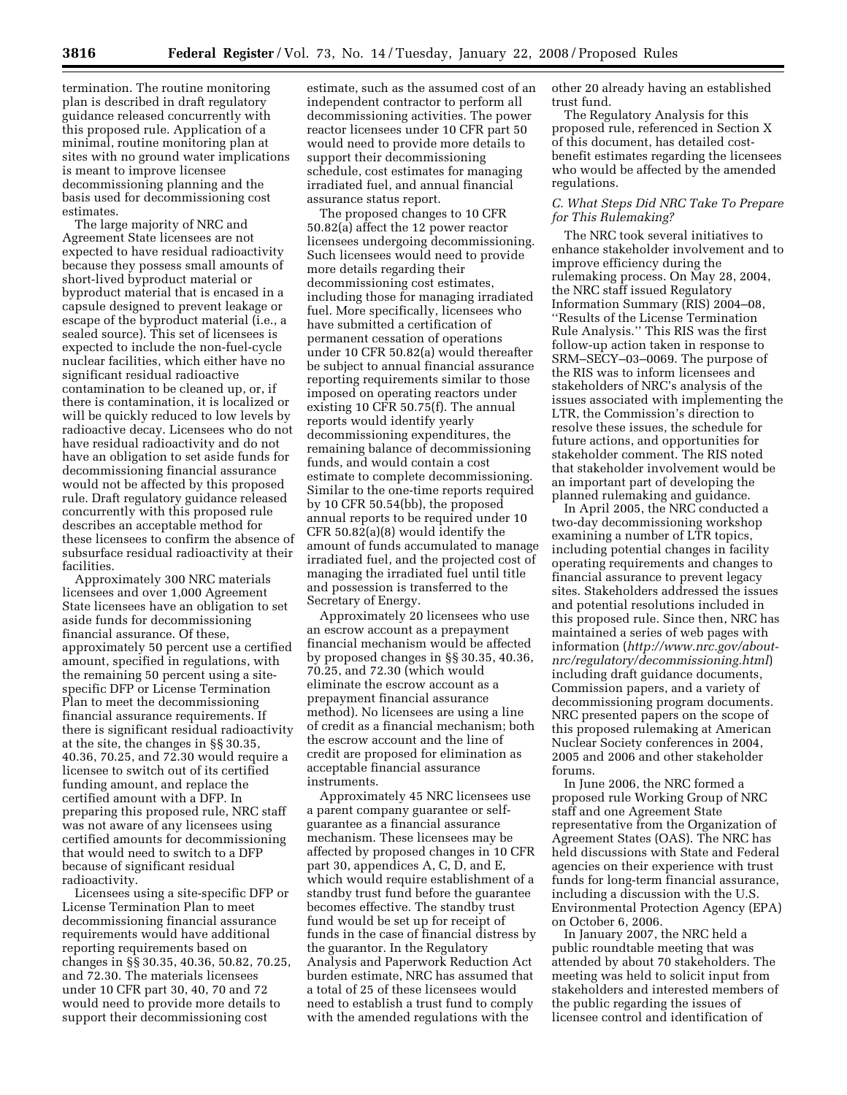termination. The routine monitoring plan is described in draft regulatory guidance released concurrently with this proposed rule. Application of a minimal, routine monitoring plan at sites with no ground water implications is meant to improve licensee decommissioning planning and the basis used for decommissioning cost estimates.

The large majority of NRC and Agreement State licensees are not expected to have residual radioactivity because they possess small amounts of short-lived byproduct material or byproduct material that is encased in a capsule designed to prevent leakage or escape of the byproduct material (i.e., a sealed source). This set of licensees is expected to include the non-fuel-cycle nuclear facilities, which either have no significant residual radioactive contamination to be cleaned up, or, if there is contamination, it is localized or will be quickly reduced to low levels by radioactive decay. Licensees who do not have residual radioactivity and do not have an obligation to set aside funds for decommissioning financial assurance would not be affected by this proposed rule. Draft regulatory guidance released concurrently with this proposed rule describes an acceptable method for these licensees to confirm the absence of subsurface residual radioactivity at their facilities.

Approximately 300 NRC materials licensees and over 1,000 Agreement State licensees have an obligation to set aside funds for decommissioning financial assurance. Of these, approximately 50 percent use a certified amount, specified in regulations, with the remaining 50 percent using a sitespecific DFP or License Termination Plan to meet the decommissioning financial assurance requirements. If there is significant residual radioactivity at the site, the changes in §§ 30.35, 40.36, 70.25, and 72.30 would require a licensee to switch out of its certified funding amount, and replace the certified amount with a DFP. In preparing this proposed rule, NRC staff was not aware of any licensees using certified amounts for decommissioning that would need to switch to a DFP because of significant residual radioactivity.

Licensees using a site-specific DFP or License Termination Plan to meet decommissioning financial assurance requirements would have additional reporting requirements based on changes in §§ 30.35, 40.36, 50.82, 70.25, and 72.30. The materials licensees under 10 CFR part 30, 40, 70 and 72 would need to provide more details to support their decommissioning cost

estimate, such as the assumed cost of an independent contractor to perform all decommissioning activities. The power reactor licensees under 10 CFR part 50 would need to provide more details to support their decommissioning schedule, cost estimates for managing irradiated fuel, and annual financial assurance status report.

The proposed changes to 10 CFR 50.82(a) affect the 12 power reactor licensees undergoing decommissioning. Such licensees would need to provide more details regarding their decommissioning cost estimates, including those for managing irradiated fuel. More specifically, licensees who have submitted a certification of permanent cessation of operations under 10 CFR 50.82(a) would thereafter be subject to annual financial assurance reporting requirements similar to those imposed on operating reactors under existing 10 CFR 50.75(f). The annual reports would identify yearly decommissioning expenditures, the remaining balance of decommissioning funds, and would contain a cost estimate to complete decommissioning. Similar to the one-time reports required by 10 CFR 50.54(bb), the proposed annual reports to be required under 10 CFR 50.82(a)(8) would identify the amount of funds accumulated to manage irradiated fuel, and the projected cost of managing the irradiated fuel until title and possession is transferred to the Secretary of Energy.

Approximately 20 licensees who use an escrow account as a prepayment financial mechanism would be affected by proposed changes in §§ 30.35, 40.36, 70.25, and 72.30 (which would eliminate the escrow account as a prepayment financial assurance method). No licensees are using a line of credit as a financial mechanism; both the escrow account and the line of credit are proposed for elimination as acceptable financial assurance instruments.

Approximately 45 NRC licensees use a parent company guarantee or selfguarantee as a financial assurance mechanism. These licensees may be affected by proposed changes in 10 CFR part 30, appendices  $A$ ,  $C$ ,  $\tilde{D}$ , and  $E$ , which would require establishment of a standby trust fund before the guarantee becomes effective. The standby trust fund would be set up for receipt of funds in the case of financial distress by the guarantor. In the Regulatory Analysis and Paperwork Reduction Act burden estimate, NRC has assumed that a total of 25 of these licensees would need to establish a trust fund to comply with the amended regulations with the

other 20 already having an established trust fund.

The Regulatory Analysis for this proposed rule, referenced in Section X of this document, has detailed costbenefit estimates regarding the licensees who would be affected by the amended regulations.

# *C. What Steps Did NRC Take To Prepare for This Rulemaking?*

The NRC took several initiatives to enhance stakeholder involvement and to improve efficiency during the rulemaking process. On May 28, 2004, the NRC staff issued Regulatory Information Summary (RIS) 2004–08, ''Results of the License Termination Rule Analysis.'' This RIS was the first follow-up action taken in response to SRM–SECY–03–0069. The purpose of the RIS was to inform licensees and stakeholders of NRC's analysis of the issues associated with implementing the LTR, the Commission's direction to resolve these issues, the schedule for future actions, and opportunities for stakeholder comment. The RIS noted that stakeholder involvement would be an important part of developing the planned rulemaking and guidance.

In April 2005, the NRC conducted a two-day decommissioning workshop examining a number of LTR topics, including potential changes in facility operating requirements and changes to financial assurance to prevent legacy sites. Stakeholders addressed the issues and potential resolutions included in this proposed rule. Since then, NRC has maintained a series of web pages with information (*http://www.nrc.gov/aboutnrc/regulatory/decommissioning.html*) including draft guidance documents, Commission papers, and a variety of decommissioning program documents. NRC presented papers on the scope of this proposed rulemaking at American Nuclear Society conferences in 2004, 2005 and 2006 and other stakeholder forums.

In June 2006, the NRC formed a proposed rule Working Group of NRC staff and one Agreement State representative from the Organization of Agreement States (OAS). The NRC has held discussions with State and Federal agencies on their experience with trust funds for long-term financial assurance, including a discussion with the U.S. Environmental Protection Agency (EPA) on October 6, 2006.

In January 2007, the NRC held a public roundtable meeting that was attended by about 70 stakeholders. The meeting was held to solicit input from stakeholders and interested members of the public regarding the issues of licensee control and identification of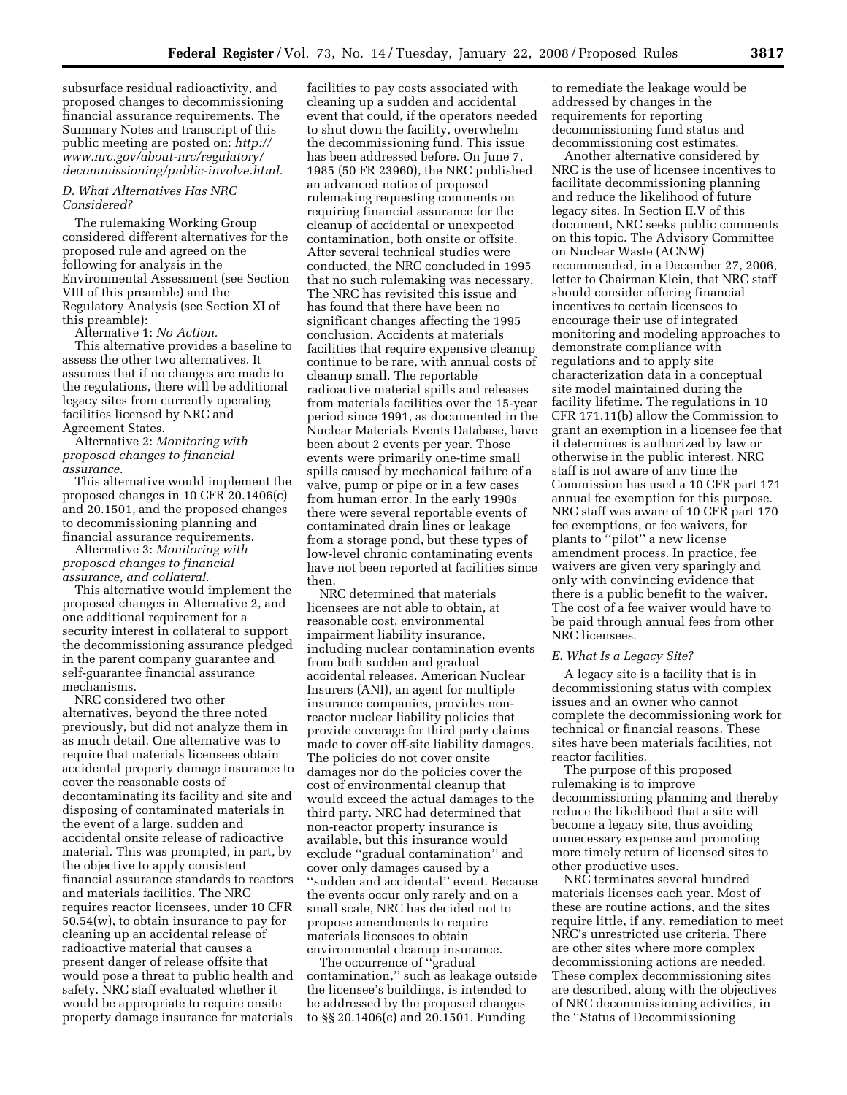subsurface residual radioactivity, and proposed changes to decommissioning financial assurance requirements. The Summary Notes and transcript of this public meeting are posted on: *http:// www.nrc.gov/about-nrc/regulatory/ decommissioning/public-involve.html.* 

#### *D. What Alternatives Has NRC Considered?*

The rulemaking Working Group considered different alternatives for the proposed rule and agreed on the following for analysis in the Environmental Assessment (see Section VIII of this preamble) and the Regulatory Analysis (see Section XI of this preamble):

Alternative 1: *No Action.* 

This alternative provides a baseline to assess the other two alternatives. It assumes that if no changes are made to the regulations, there will be additional legacy sites from currently operating facilities licensed by NRC and Agreement States.

Alternative 2: *Monitoring with proposed changes to financial assurance.* 

This alternative would implement the proposed changes in 10 CFR 20.1406(c) and 20.1501, and the proposed changes to decommissioning planning and financial assurance requirements.

Alternative 3: *Monitoring with proposed changes to financial assurance, and collateral*.

This alternative would implement the proposed changes in Alternative 2, and one additional requirement for a security interest in collateral to support the decommissioning assurance pledged in the parent company guarantee and self-guarantee financial assurance mechanisms.

NRC considered two other alternatives, beyond the three noted previously, but did not analyze them in as much detail. One alternative was to require that materials licensees obtain accidental property damage insurance to cover the reasonable costs of decontaminating its facility and site and disposing of contaminated materials in the event of a large, sudden and accidental onsite release of radioactive material. This was prompted, in part, by the objective to apply consistent financial assurance standards to reactors and materials facilities. The NRC requires reactor licensees, under 10 CFR 50.54(w), to obtain insurance to pay for cleaning up an accidental release of radioactive material that causes a present danger of release offsite that would pose a threat to public health and safety. NRC staff evaluated whether it would be appropriate to require onsite property damage insurance for materials

facilities to pay costs associated with cleaning up a sudden and accidental event that could, if the operators needed to shut down the facility, overwhelm the decommissioning fund. This issue has been addressed before. On June 7, 1985 (50 FR 23960), the NRC published an advanced notice of proposed rulemaking requesting comments on requiring financial assurance for the cleanup of accidental or unexpected contamination, both onsite or offsite. After several technical studies were conducted, the NRC concluded in 1995 that no such rulemaking was necessary. The NRC has revisited this issue and has found that there have been no significant changes affecting the 1995 conclusion. Accidents at materials facilities that require expensive cleanup continue to be rare, with annual costs of cleanup small. The reportable radioactive material spills and releases from materials facilities over the 15-year period since 1991, as documented in the Nuclear Materials Events Database, have been about 2 events per year. Those events were primarily one-time small spills caused by mechanical failure of a valve, pump or pipe or in a few cases from human error. In the early 1990s there were several reportable events of contaminated drain lines or leakage from a storage pond, but these types of low-level chronic contaminating events have not been reported at facilities since then.

NRC determined that materials licensees are not able to obtain, at reasonable cost, environmental impairment liability insurance, including nuclear contamination events from both sudden and gradual accidental releases. American Nuclear Insurers (ANI), an agent for multiple insurance companies, provides nonreactor nuclear liability policies that provide coverage for third party claims made to cover off-site liability damages. The policies do not cover onsite damages nor do the policies cover the cost of environmental cleanup that would exceed the actual damages to the third party. NRC had determined that non-reactor property insurance is available, but this insurance would exclude ''gradual contamination'' and cover only damages caused by a ''sudden and accidental'' event. Because the events occur only rarely and on a small scale, NRC has decided not to propose amendments to require materials licensees to obtain environmental cleanup insurance.

The occurrence of ''gradual contamination,'' such as leakage outside the licensee's buildings, is intended to be addressed by the proposed changes to §§ 20.1406(c) and 20.1501. Funding

to remediate the leakage would be addressed by changes in the requirements for reporting decommissioning fund status and decommissioning cost estimates.

Another alternative considered by NRC is the use of licensee incentives to facilitate decommissioning planning and reduce the likelihood of future legacy sites. In Section II.V of this document, NRC seeks public comments on this topic. The Advisory Committee on Nuclear Waste (ACNW) recommended, in a December 27, 2006, letter to Chairman Klein, that NRC staff should consider offering financial incentives to certain licensees to encourage their use of integrated monitoring and modeling approaches to demonstrate compliance with regulations and to apply site characterization data in a conceptual site model maintained during the facility lifetime. The regulations in 10 CFR 171.11(b) allow the Commission to grant an exemption in a licensee fee that it determines is authorized by law or otherwise in the public interest. NRC staff is not aware of any time the Commission has used a 10 CFR part 171 annual fee exemption for this purpose. NRC staff was aware of 10 CFR part 170 fee exemptions, or fee waivers, for plants to ''pilot'' a new license amendment process. In practice, fee waivers are given very sparingly and only with convincing evidence that there is a public benefit to the waiver. The cost of a fee waiver would have to be paid through annual fees from other NRC licensees.

#### *E. What Is a Legacy Site?*

A legacy site is a facility that is in decommissioning status with complex issues and an owner who cannot complete the decommissioning work for technical or financial reasons. These sites have been materials facilities, not reactor facilities.

The purpose of this proposed rulemaking is to improve decommissioning planning and thereby reduce the likelihood that a site will become a legacy site, thus avoiding unnecessary expense and promoting more timely return of licensed sites to other productive uses.

NRC terminates several hundred materials licenses each year. Most of these are routine actions, and the sites require little, if any, remediation to meet NRC's unrestricted use criteria. There are other sites where more complex decommissioning actions are needed. These complex decommissioning sites are described, along with the objectives of NRC decommissioning activities, in the ''Status of Decommissioning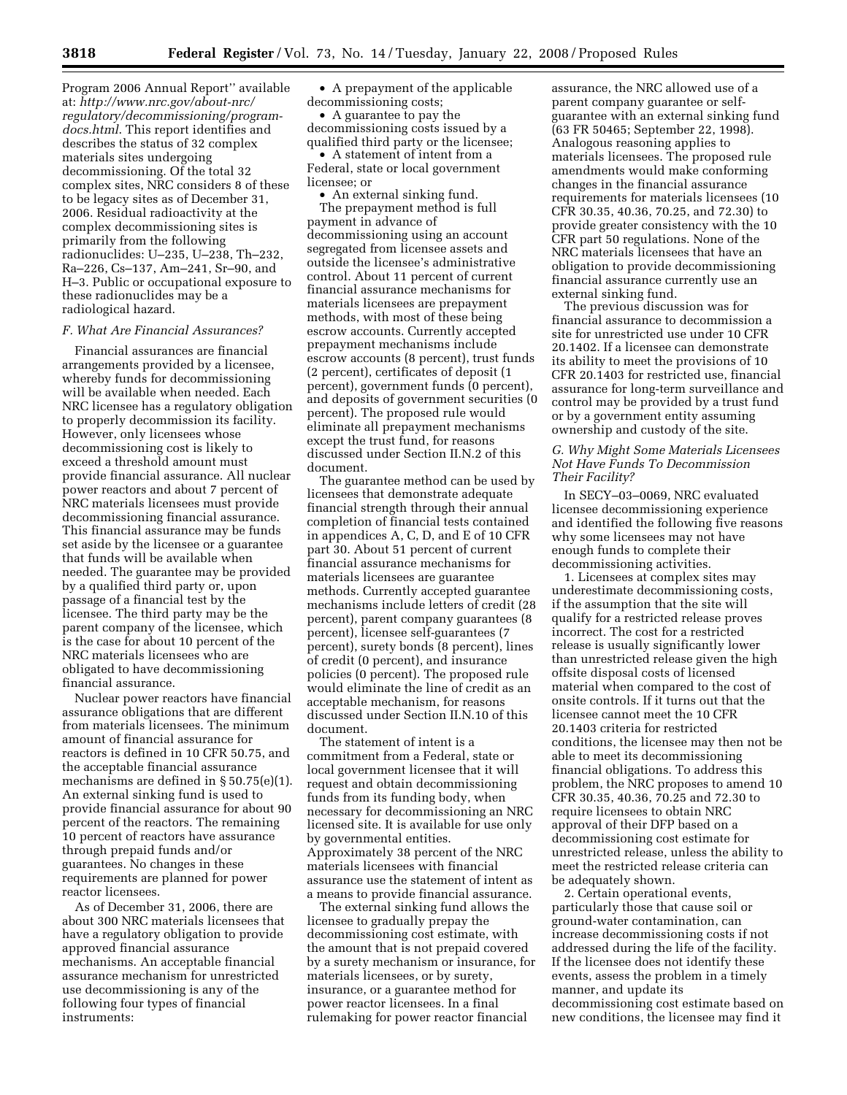Program 2006 Annual Report'' available at: *http://www.nrc.gov/about-nrc/ regulatory/decommissioning/programdocs.html*. This report identifies and describes the status of 32 complex materials sites undergoing decommissioning. Of the total 32 complex sites, NRC considers 8 of these to be legacy sites as of December 31, 2006. Residual radioactivity at the complex decommissioning sites is primarily from the following radionuclides: U–235, U–238, Th–232, Ra–226, Cs–137, Am–241, Sr–90, and H–3. Public or occupational exposure to these radionuclides may be a radiological hazard.

#### *F. What Are Financial Assurances?*

Financial assurances are financial arrangements provided by a licensee, whereby funds for decommissioning will be available when needed. Each NRC licensee has a regulatory obligation to properly decommission its facility. However, only licensees whose decommissioning cost is likely to exceed a threshold amount must provide financial assurance. All nuclear power reactors and about 7 percent of NRC materials licensees must provide decommissioning financial assurance. This financial assurance may be funds set aside by the licensee or a guarantee that funds will be available when needed. The guarantee may be provided by a qualified third party or, upon passage of a financial test by the licensee. The third party may be the parent company of the licensee, which is the case for about 10 percent of the NRC materials licensees who are obligated to have decommissioning financial assurance.

Nuclear power reactors have financial assurance obligations that are different from materials licensees. The minimum amount of financial assurance for reactors is defined in 10 CFR 50.75, and the acceptable financial assurance mechanisms are defined in § 50.75(e)(1). An external sinking fund is used to provide financial assurance for about 90 percent of the reactors. The remaining 10 percent of reactors have assurance through prepaid funds and/or guarantees. No changes in these requirements are planned for power reactor licensees.

As of December 31, 2006, there are about 300 NRC materials licensees that have a regulatory obligation to provide approved financial assurance mechanisms. An acceptable financial assurance mechanism for unrestricted use decommissioning is any of the following four types of financial instruments:

• A prepayment of the applicable decommissioning costs;

• A guarantee to pay the decommissioning costs issued by a qualified third party or the licensee;

• A statement of intent from a Federal, state or local government licensee; or

• An external sinking fund. The prepayment method is full payment in advance of decommissioning using an account segregated from licensee assets and outside the licensee's administrative control. About 11 percent of current financial assurance mechanisms for materials licensees are prepayment methods, with most of these being escrow accounts. Currently accepted prepayment mechanisms include escrow accounts (8 percent), trust funds (2 percent), certificates of deposit (1 percent), government funds (0 percent), and deposits of government securities (0 percent). The proposed rule would eliminate all prepayment mechanisms except the trust fund, for reasons discussed under Section II.N.2 of this document.

The guarantee method can be used by licensees that demonstrate adequate financial strength through their annual completion of financial tests contained in appendices A, C, D, and E of 10 CFR part 30. About 51 percent of current financial assurance mechanisms for materials licensees are guarantee methods. Currently accepted guarantee mechanisms include letters of credit (28 percent), parent company guarantees (8 percent), licensee self-guarantees (7 percent), surety bonds (8 percent), lines of credit (0 percent), and insurance policies (0 percent). The proposed rule would eliminate the line of credit as an acceptable mechanism, for reasons discussed under Section II.N.10 of this document.

The statement of intent is a commitment from a Federal, state or local government licensee that it will request and obtain decommissioning funds from its funding body, when necessary for decommissioning an NRC licensed site. It is available for use only by governmental entities. Approximately 38 percent of the NRC materials licensees with financial assurance use the statement of intent as a means to provide financial assurance.

The external sinking fund allows the licensee to gradually prepay the decommissioning cost estimate, with the amount that is not prepaid covered by a surety mechanism or insurance, for materials licensees, or by surety, insurance, or a guarantee method for power reactor licensees. In a final rulemaking for power reactor financial

assurance, the NRC allowed use of a parent company guarantee or selfguarantee with an external sinking fund (63 FR 50465; September 22, 1998). Analogous reasoning applies to materials licensees. The proposed rule amendments would make conforming changes in the financial assurance requirements for materials licensees (10 CFR 30.35, 40.36, 70.25, and 72.30) to provide greater consistency with the 10 CFR part 50 regulations. None of the NRC materials licensees that have an obligation to provide decommissioning financial assurance currently use an external sinking fund.

The previous discussion was for financial assurance to decommission a site for unrestricted use under 10 CFR 20.1402. If a licensee can demonstrate its ability to meet the provisions of 10 CFR 20.1403 for restricted use, financial assurance for long-term surveillance and control may be provided by a trust fund or by a government entity assuming ownership and custody of the site.

#### *G. Why Might Some Materials Licensees Not Have Funds To Decommission Their Facility?*

In SECY–03–0069, NRC evaluated licensee decommissioning experience and identified the following five reasons why some licensees may not have enough funds to complete their decommissioning activities.

1. Licensees at complex sites may underestimate decommissioning costs, if the assumption that the site will qualify for a restricted release proves incorrect. The cost for a restricted release is usually significantly lower than unrestricted release given the high offsite disposal costs of licensed material when compared to the cost of onsite controls. If it turns out that the licensee cannot meet the 10 CFR 20.1403 criteria for restricted conditions, the licensee may then not be able to meet its decommissioning financial obligations. To address this problem, the NRC proposes to amend 10 CFR 30.35, 40.36, 70.25 and 72.30 to require licensees to obtain NRC approval of their DFP based on a decommissioning cost estimate for unrestricted release, unless the ability to meet the restricted release criteria can be adequately shown.

2. Certain operational events, particularly those that cause soil or ground-water contamination, can increase decommissioning costs if not addressed during the life of the facility. If the licensee does not identify these events, assess the problem in a timely manner, and update its decommissioning cost estimate based on new conditions, the licensee may find it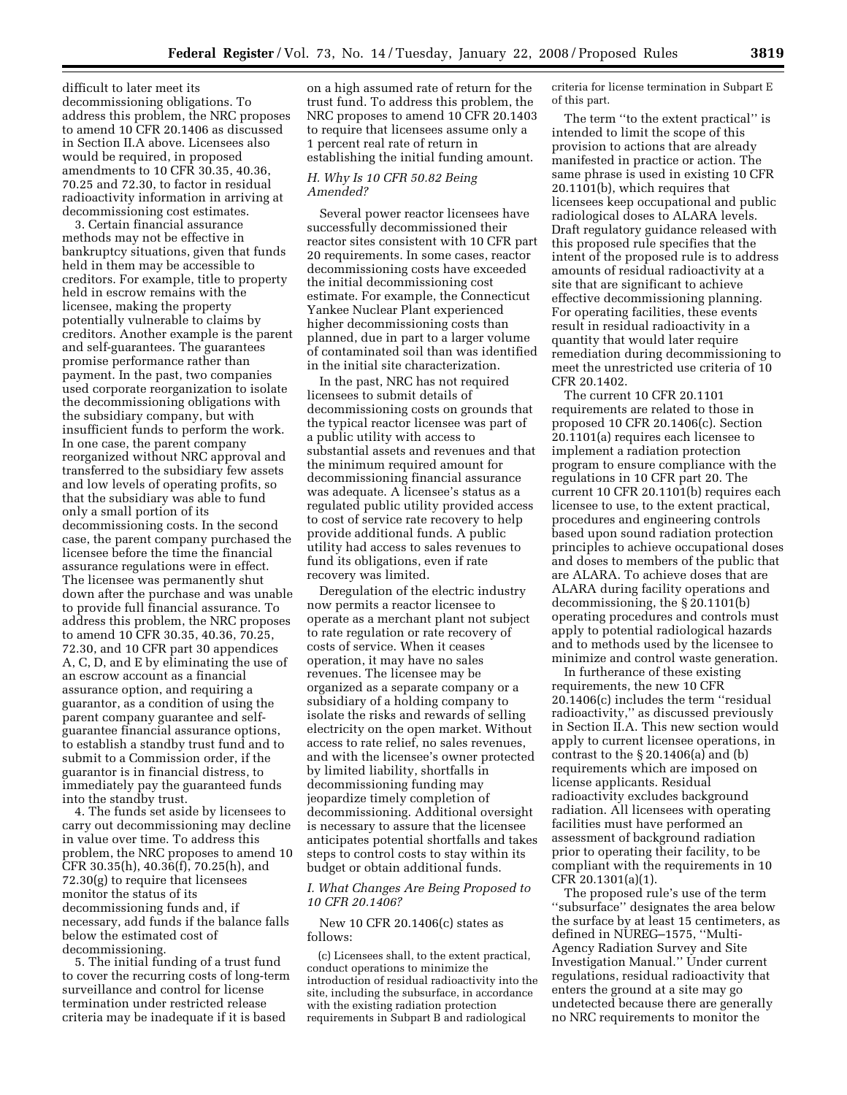difficult to later meet its decommissioning obligations. To address this problem, the NRC proposes to amend 10 CFR 20.1406 as discussed in Section II.A above. Licensees also would be required, in proposed amendments to 10 CFR 30.35, 40.36, 70.25 and 72.30, to factor in residual radioactivity information in arriving at decommissioning cost estimates.

3. Certain financial assurance methods may not be effective in bankruptcy situations, given that funds held in them may be accessible to creditors. For example, title to property held in escrow remains with the licensee, making the property potentially vulnerable to claims by creditors. Another example is the parent and self-guarantees. The guarantees promise performance rather than payment. In the past, two companies used corporate reorganization to isolate the decommissioning obligations with the subsidiary company, but with insufficient funds to perform the work. In one case, the parent company reorganized without NRC approval and transferred to the subsidiary few assets and low levels of operating profits, so that the subsidiary was able to fund only a small portion of its decommissioning costs. In the second case, the parent company purchased the licensee before the time the financial assurance regulations were in effect. The licensee was permanently shut down after the purchase and was unable to provide full financial assurance. To address this problem, the NRC proposes to amend 10 CFR 30.35, 40.36, 70.25, 72.30, and 10 CFR part 30 appendices A, C, D, and E by eliminating the use of an escrow account as a financial assurance option, and requiring a guarantor, as a condition of using the parent company guarantee and selfguarantee financial assurance options, to establish a standby trust fund and to submit to a Commission order, if the guarantor is in financial distress, to immediately pay the guaranteed funds into the standby trust.

4. The funds set aside by licensees to carry out decommissioning may decline in value over time. To address this problem, the NRC proposes to amend 10 CFR 30.35(h), 40.36(f), 70.25(h), and 72.30(g) to require that licensees monitor the status of its decommissioning funds and, if necessary, add funds if the balance falls below the estimated cost of decommissioning.

5. The initial funding of a trust fund to cover the recurring costs of long-term surveillance and control for license termination under restricted release criteria may be inadequate if it is based

on a high assumed rate of return for the trust fund. To address this problem, the NRC proposes to amend 10 CFR 20.1403 to require that licensees assume only a 1 percent real rate of return in establishing the initial funding amount.

#### *H. Why Is 10 CFR 50.82 Being Amended?*

Several power reactor licensees have successfully decommissioned their reactor sites consistent with 10 CFR part 20 requirements. In some cases, reactor decommissioning costs have exceeded the initial decommissioning cost estimate. For example, the Connecticut Yankee Nuclear Plant experienced higher decommissioning costs than planned, due in part to a larger volume of contaminated soil than was identified in the initial site characterization.

In the past, NRC has not required licensees to submit details of decommissioning costs on grounds that the typical reactor licensee was part of a public utility with access to substantial assets and revenues and that the minimum required amount for decommissioning financial assurance was adequate. A licensee's status as a regulated public utility provided access to cost of service rate recovery to help provide additional funds. A public utility had access to sales revenues to fund its obligations, even if rate recovery was limited.

Deregulation of the electric industry now permits a reactor licensee to operate as a merchant plant not subject to rate regulation or rate recovery of costs of service. When it ceases operation, it may have no sales revenues. The licensee may be organized as a separate company or a subsidiary of a holding company to isolate the risks and rewards of selling electricity on the open market. Without access to rate relief, no sales revenues, and with the licensee's owner protected by limited liability, shortfalls in decommissioning funding may jeopardize timely completion of decommissioning. Additional oversight is necessary to assure that the licensee anticipates potential shortfalls and takes steps to control costs to stay within its budget or obtain additional funds.

## *I. What Changes Are Being Proposed to 10 CFR 20.1406?*

New 10 CFR 20.1406(c) states as follows:

(c) Licensees shall, to the extent practical, conduct operations to minimize the introduction of residual radioactivity into the site, including the subsurface, in accordance with the existing radiation protection requirements in Subpart B and radiological

criteria for license termination in Subpart E of this part.

The term ''to the extent practical'' is intended to limit the scope of this provision to actions that are already manifested in practice or action. The same phrase is used in existing 10 CFR 20.1101(b), which requires that licensees keep occupational and public radiological doses to ALARA levels. Draft regulatory guidance released with this proposed rule specifies that the intent of the proposed rule is to address amounts of residual radioactivity at a site that are significant to achieve effective decommissioning planning. For operating facilities, these events result in residual radioactivity in a quantity that would later require remediation during decommissioning to meet the unrestricted use criteria of 10 CFR 20.1402.

The current 10 CFR 20.1101 requirements are related to those in proposed 10 CFR 20.1406(c). Section 20.1101(a) requires each licensee to implement a radiation protection program to ensure compliance with the regulations in 10 CFR part 20. The current 10 CFR 20.1101(b) requires each licensee to use, to the extent practical, procedures and engineering controls based upon sound radiation protection principles to achieve occupational doses and doses to members of the public that are ALARA. To achieve doses that are ALARA during facility operations and decommissioning, the § 20.1101(b) operating procedures and controls must apply to potential radiological hazards and to methods used by the licensee to minimize and control waste generation.

In furtherance of these existing requirements, the new 10 CFR 20.1406(c) includes the term ''residual radioactivity,'' as discussed previously in Section II.A. This new section would apply to current licensee operations, in contrast to the § 20.1406(a) and (b) requirements which are imposed on license applicants. Residual radioactivity excludes background radiation. All licensees with operating facilities must have performed an assessment of background radiation prior to operating their facility, to be compliant with the requirements in 10 CFR 20.1301(a)(1).

The proposed rule's use of the term ''subsurface'' designates the area below the surface by at least 15 centimeters, as defined in NUREG–1575, ''Multi-Agency Radiation Survey and Site Investigation Manual.'' Under current regulations, residual radioactivity that enters the ground at a site may go undetected because there are generally no NRC requirements to monitor the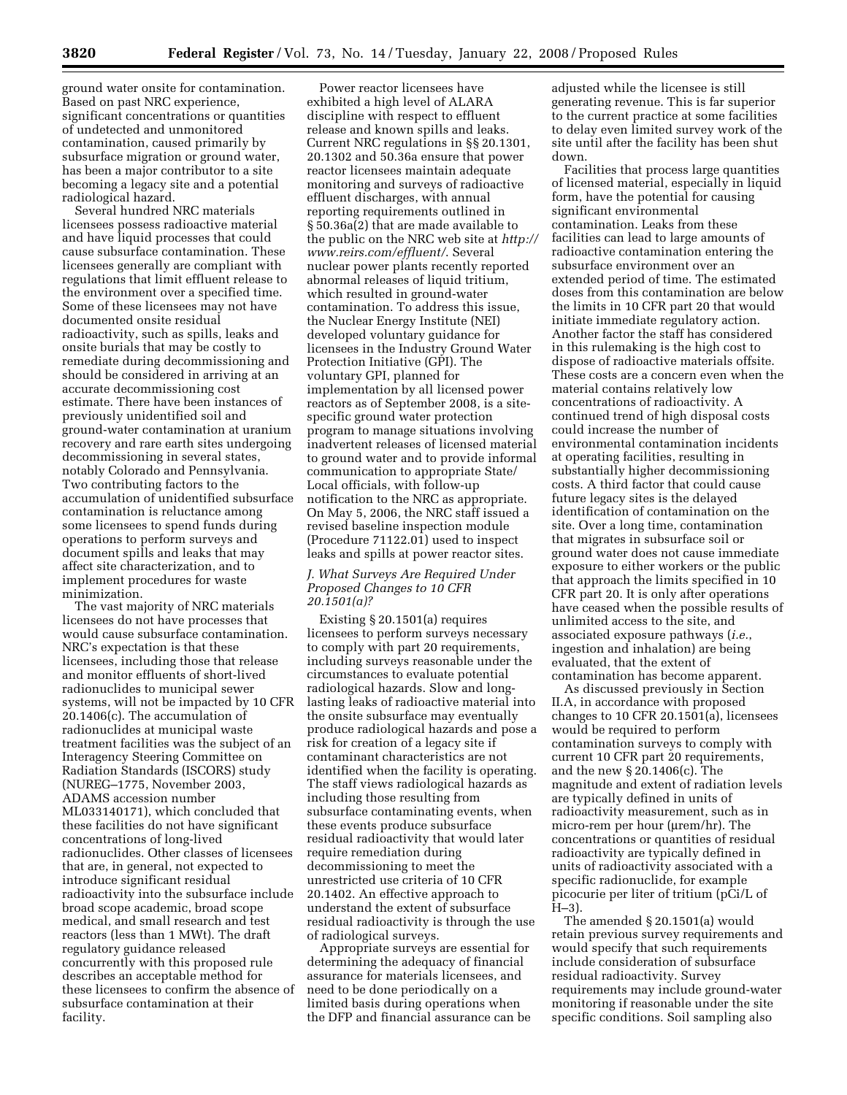ground water onsite for contamination. Based on past NRC experience, significant concentrations or quantities of undetected and unmonitored contamination, caused primarily by subsurface migration or ground water, has been a major contributor to a site becoming a legacy site and a potential radiological hazard.

Several hundred NRC materials licensees possess radioactive material and have liquid processes that could cause subsurface contamination. These licensees generally are compliant with regulations that limit effluent release to the environment over a specified time. Some of these licensees may not have documented onsite residual radioactivity, such as spills, leaks and onsite burials that may be costly to remediate during decommissioning and should be considered in arriving at an accurate decommissioning cost estimate. There have been instances of previously unidentified soil and ground-water contamination at uranium recovery and rare earth sites undergoing decommissioning in several states, notably Colorado and Pennsylvania. Two contributing factors to the accumulation of unidentified subsurface contamination is reluctance among some licensees to spend funds during operations to perform surveys and document spills and leaks that may affect site characterization, and to implement procedures for waste minimization.

The vast majority of NRC materials licensees do not have processes that would cause subsurface contamination. NRC's expectation is that these licensees, including those that release and monitor effluents of short-lived radionuclides to municipal sewer systems, will not be impacted by 10 CFR 20.1406(c). The accumulation of radionuclides at municipal waste treatment facilities was the subject of an Interagency Steering Committee on Radiation Standards (ISCORS) study (NUREG–1775, November 2003, ADAMS accession number ML033140171), which concluded that these facilities do not have significant concentrations of long-lived radionuclides. Other classes of licensees that are, in general, not expected to introduce significant residual radioactivity into the subsurface include broad scope academic, broad scope medical, and small research and test reactors (less than 1 MWt). The draft regulatory guidance released concurrently with this proposed rule describes an acceptable method for these licensees to confirm the absence of subsurface contamination at their facility.

Power reactor licensees have exhibited a high level of ALARA discipline with respect to effluent release and known spills and leaks. Current NRC regulations in §§ 20.1301, 20.1302 and 50.36a ensure that power reactor licensees maintain adequate monitoring and surveys of radioactive effluent discharges, with annual reporting requirements outlined in § 50.36a(2) that are made available to the public on the NRC web site at *http:// www.reirs.com/effluent/*. Several nuclear power plants recently reported abnormal releases of liquid tritium, which resulted in ground-water contamination. To address this issue, the Nuclear Energy Institute (NEI) developed voluntary guidance for licensees in the Industry Ground Water Protection Initiative (GPI). The voluntary GPI, planned for implementation by all licensed power reactors as of September 2008, is a sitespecific ground water protection program to manage situations involving inadvertent releases of licensed material to ground water and to provide informal communication to appropriate State/ Local officials, with follow-up notification to the NRC as appropriate. On May 5, 2006, the NRC staff issued a revised baseline inspection module (Procedure 71122.01) used to inspect leaks and spills at power reactor sites.

#### *J. What Surveys Are Required Under Proposed Changes to 10 CFR 20.1501(a)?*

Existing § 20.1501(a) requires licensees to perform surveys necessary to comply with part 20 requirements, including surveys reasonable under the circumstances to evaluate potential radiological hazards. Slow and longlasting leaks of radioactive material into the onsite subsurface may eventually produce radiological hazards and pose a risk for creation of a legacy site if contaminant characteristics are not identified when the facility is operating. The staff views radiological hazards as including those resulting from subsurface contaminating events, when these events produce subsurface residual radioactivity that would later require remediation during decommissioning to meet the unrestricted use criteria of 10 CFR 20.1402. An effective approach to understand the extent of subsurface residual radioactivity is through the use of radiological surveys.

Appropriate surveys are essential for determining the adequacy of financial assurance for materials licensees, and need to be done periodically on a limited basis during operations when the DFP and financial assurance can be adjusted while the licensee is still generating revenue. This is far superior to the current practice at some facilities to delay even limited survey work of the site until after the facility has been shut down.

Facilities that process large quantities of licensed material, especially in liquid form, have the potential for causing significant environmental contamination. Leaks from these facilities can lead to large amounts of radioactive contamination entering the subsurface environment over an extended period of time. The estimated doses from this contamination are below the limits in 10 CFR part 20 that would initiate immediate regulatory action. Another factor the staff has considered in this rulemaking is the high cost to dispose of radioactive materials offsite. These costs are a concern even when the material contains relatively low concentrations of radioactivity. A continued trend of high disposal costs could increase the number of environmental contamination incidents at operating facilities, resulting in substantially higher decommissioning costs. A third factor that could cause future legacy sites is the delayed identification of contamination on the site. Over a long time, contamination that migrates in subsurface soil or ground water does not cause immediate exposure to either workers or the public that approach the limits specified in 10 CFR part 20. It is only after operations have ceased when the possible results of unlimited access to the site, and associated exposure pathways (*i.e.*, ingestion and inhalation) are being evaluated, that the extent of contamination has become apparent.

As discussed previously in Section II.A, in accordance with proposed changes to 10 CFR 20.1501(a), licensees would be required to perform contamination surveys to comply with current 10 CFR part 20 requirements, and the new § 20.1406(c). The magnitude and extent of radiation levels are typically defined in units of radioactivity measurement, such as in micro-rem per hour (µrem/hr). The concentrations or quantities of residual radioactivity are typically defined in units of radioactivity associated with a specific radionuclide, for example picocurie per liter of tritium (pCi/L of H–3).

The amended § 20.1501(a) would retain previous survey requirements and would specify that such requirements include consideration of subsurface residual radioactivity. Survey requirements may include ground-water monitoring if reasonable under the site specific conditions. Soil sampling also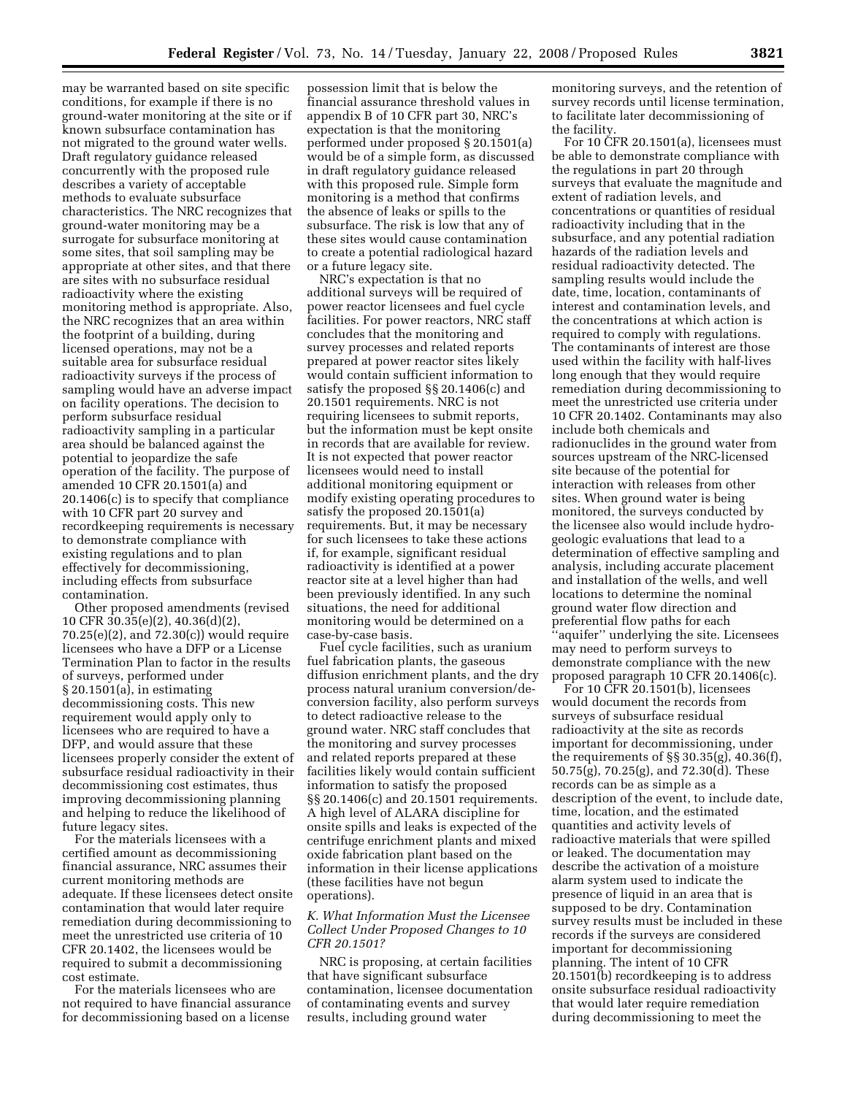may be warranted based on site specific conditions, for example if there is no ground-water monitoring at the site or if known subsurface contamination has not migrated to the ground water wells. Draft regulatory guidance released concurrently with the proposed rule describes a variety of acceptable methods to evaluate subsurface characteristics. The NRC recognizes that ground-water monitoring may be a surrogate for subsurface monitoring at some sites, that soil sampling may be appropriate at other sites, and that there are sites with no subsurface residual radioactivity where the existing monitoring method is appropriate. Also, the NRC recognizes that an area within the footprint of a building, during licensed operations, may not be a suitable area for subsurface residual radioactivity surveys if the process of sampling would have an adverse impact on facility operations. The decision to perform subsurface residual radioactivity sampling in a particular area should be balanced against the potential to jeopardize the safe operation of the facility. The purpose of amended 10 CFR 20.1501(a) and 20.1406(c) is to specify that compliance with 10 CFR part 20 survey and recordkeeping requirements is necessary to demonstrate compliance with existing regulations and to plan effectively for decommissioning, including effects from subsurface contamination.

Other proposed amendments (revised 10 CFR 30.35(e)(2), 40.36(d)(2), 70.25(e)(2), and 72.30(c)) would require licensees who have a DFP or a License Termination Plan to factor in the results of surveys, performed under § 20.1501(a), in estimating decommissioning costs. This new requirement would apply only to licensees who are required to have a DFP, and would assure that these licensees properly consider the extent of subsurface residual radioactivity in their decommissioning cost estimates, thus improving decommissioning planning and helping to reduce the likelihood of future legacy sites.

For the materials licensees with a certified amount as decommissioning financial assurance, NRC assumes their current monitoring methods are adequate. If these licensees detect onsite contamination that would later require remediation during decommissioning to meet the unrestricted use criteria of 10 CFR 20.1402, the licensees would be required to submit a decommissioning cost estimate.

For the materials licensees who are not required to have financial assurance for decommissioning based on a license

possession limit that is below the financial assurance threshold values in appendix B of 10 CFR part 30, NRC's expectation is that the monitoring performed under proposed § 20.1501(a) would be of a simple form, as discussed in draft regulatory guidance released with this proposed rule. Simple form monitoring is a method that confirms the absence of leaks or spills to the subsurface. The risk is low that any of these sites would cause contamination to create a potential radiological hazard or a future legacy site.

NRC's expectation is that no additional surveys will be required of power reactor licensees and fuel cycle facilities. For power reactors, NRC staff concludes that the monitoring and survey processes and related reports prepared at power reactor sites likely would contain sufficient information to satisfy the proposed §§ 20.1406(c) and 20.1501 requirements. NRC is not requiring licensees to submit reports, but the information must be kept onsite in records that are available for review. It is not expected that power reactor licensees would need to install additional monitoring equipment or modify existing operating procedures to satisfy the proposed 20.1501(a) requirements. But, it may be necessary for such licensees to take these actions if, for example, significant residual radioactivity is identified at a power reactor site at a level higher than had been previously identified. In any such situations, the need for additional monitoring would be determined on a case-by-case basis.

Fuel cycle facilities, such as uranium fuel fabrication plants, the gaseous diffusion enrichment plants, and the dry process natural uranium conversion/deconversion facility, also perform surveys to detect radioactive release to the ground water. NRC staff concludes that the monitoring and survey processes and related reports prepared at these facilities likely would contain sufficient information to satisfy the proposed §§ 20.1406(c) and 20.1501 requirements. A high level of ALARA discipline for onsite spills and leaks is expected of the centrifuge enrichment plants and mixed oxide fabrication plant based on the information in their license applications (these facilities have not begun operations).

#### *K. What Information Must the Licensee Collect Under Proposed Changes to 10 CFR 20.1501?*

NRC is proposing, at certain facilities that have significant subsurface contamination, licensee documentation of contaminating events and survey results, including ground water

monitoring surveys, and the retention of survey records until license termination, to facilitate later decommissioning of the facility.

For 10  $\text{CFR } 20.1501\text{ (a)}$ , licensees must be able to demonstrate compliance with the regulations in part 20 through surveys that evaluate the magnitude and extent of radiation levels, and concentrations or quantities of residual radioactivity including that in the subsurface, and any potential radiation hazards of the radiation levels and residual radioactivity detected. The sampling results would include the date, time, location, contaminants of interest and contamination levels, and the concentrations at which action is required to comply with regulations. The contaminants of interest are those used within the facility with half-lives long enough that they would require remediation during decommissioning to meet the unrestricted use criteria under 10 CFR 20.1402. Contaminants may also include both chemicals and radionuclides in the ground water from sources upstream of the NRC-licensed site because of the potential for interaction with releases from other sites. When ground water is being monitored, the surveys conducted by the licensee also would include hydrogeologic evaluations that lead to a determination of effective sampling and analysis, including accurate placement and installation of the wells, and well locations to determine the nominal ground water flow direction and preferential flow paths for each ''aquifer'' underlying the site. Licensees may need to perform surveys to demonstrate compliance with the new proposed paragraph 10 CFR 20.1406(c).

For 10 CFR 20.1501(b), licensees would document the records from surveys of subsurface residual radioactivity at the site as records important for decommissioning, under the requirements of §§ 30.35(g), 40.36(f), 50.75(g), 70.25(g), and 72.30(d). These records can be as simple as a description of the event, to include date, time, location, and the estimated quantities and activity levels of radioactive materials that were spilled or leaked. The documentation may describe the activation of a moisture alarm system used to indicate the presence of liquid in an area that is supposed to be dry. Contamination survey results must be included in these records if the surveys are considered important for decommissioning planning. The intent of 10 CFR 20.1501(b) recordkeeping is to address onsite subsurface residual radioactivity that would later require remediation during decommissioning to meet the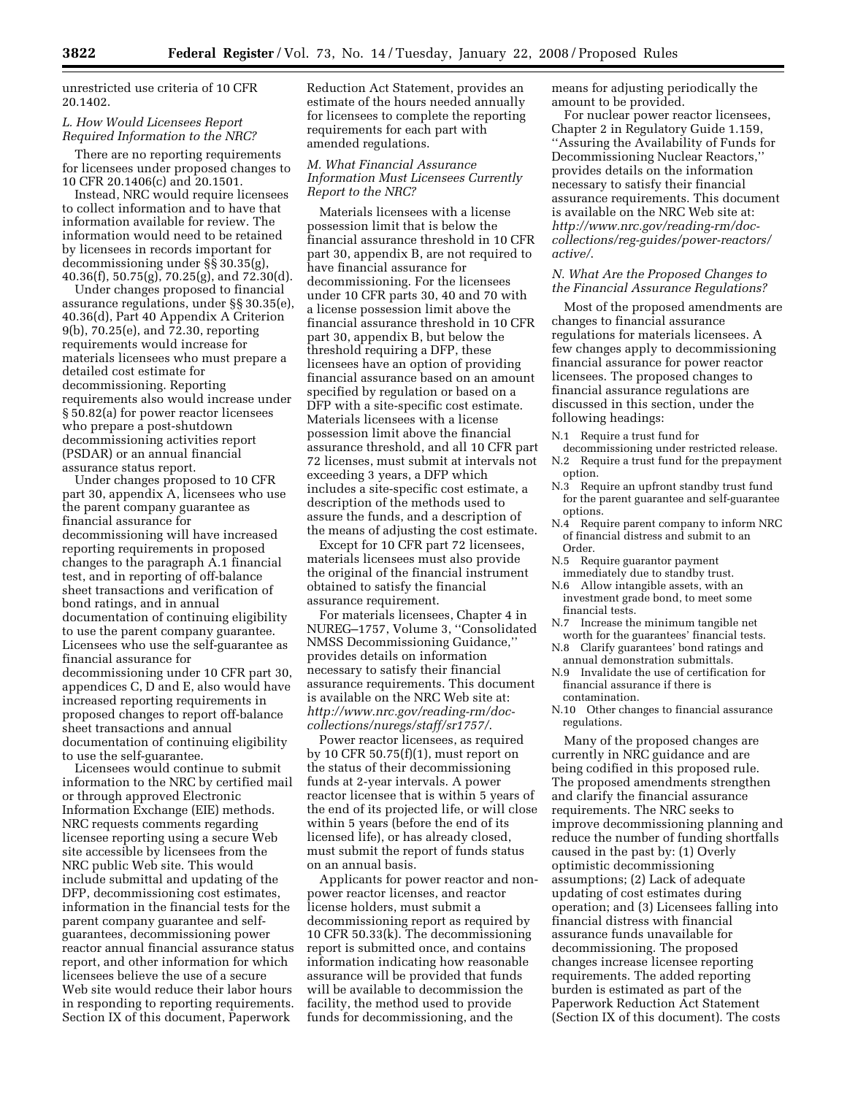unrestricted use criteria of 10 CFR 20.1402.

## *L. How Would Licensees Report Required Information to the NRC?*

There are no reporting requirements for licensees under proposed changes to 10 CFR 20.1406(c) and 20.1501.

Instead, NRC would require licensees to collect information and to have that information available for review. The information would need to be retained by licensees in records important for decommissioning under §§ 30.35(g),  $40.36(f)$ ,  $50.75(g)$ ,  $70.25(g)$ , and  $72.30(d)$ .

Under changes proposed to financial assurance regulations, under §§ 30.35(e), 40.36(d), Part 40 Appendix A Criterion 9(b), 70.25(e), and 72.30, reporting requirements would increase for materials licensees who must prepare a detailed cost estimate for decommissioning. Reporting requirements also would increase under § 50.82(a) for power reactor licensees who prepare a post-shutdown decommissioning activities report (PSDAR) or an annual financial assurance status report.

Under changes proposed to 10 CFR part 30, appendix A, licensees who use the parent company guarantee as financial assurance for decommissioning will have increased reporting requirements in proposed changes to the paragraph A.1 financial test, and in reporting of off-balance sheet transactions and verification of bond ratings, and in annual documentation of continuing eligibility to use the parent company guarantee. Licensees who use the self-guarantee as financial assurance for decommissioning under 10 CFR part 30, appendices C, D and E, also would have increased reporting requirements in proposed changes to report off-balance sheet transactions and annual documentation of continuing eligibility to use the self-guarantee.

Licensees would continue to submit information to the NRC by certified mail or through approved Electronic Information Exchange (EIE) methods. NRC requests comments regarding licensee reporting using a secure Web site accessible by licensees from the NRC public Web site. This would include submittal and updating of the DFP, decommissioning cost estimates, information in the financial tests for the parent company guarantee and selfguarantees, decommissioning power reactor annual financial assurance status report, and other information for which licensees believe the use of a secure Web site would reduce their labor hours in responding to reporting requirements. Section IX of this document, Paperwork

Reduction Act Statement, provides an estimate of the hours needed annually for licensees to complete the reporting requirements for each part with amended regulations.

#### *M. What Financial Assurance Information Must Licensees Currently Report to the NRC?*

Materials licensees with a license possession limit that is below the financial assurance threshold in 10 CFR part 30, appendix B, are not required to have financial assurance for decommissioning. For the licensees under 10 CFR parts 30, 40 and 70 with a license possession limit above the financial assurance threshold in 10 CFR part 30, appendix B, but below the threshold requiring a DFP, these licensees have an option of providing financial assurance based on an amount specified by regulation or based on a DFP with a site-specific cost estimate. Materials licensees with a license possession limit above the financial assurance threshold, and all 10 CFR part 72 licenses, must submit at intervals not exceeding 3 years, a DFP which includes a site-specific cost estimate, a description of the methods used to assure the funds, and a description of the means of adjusting the cost estimate.

Except for 10 CFR part 72 licensees, materials licensees must also provide the original of the financial instrument obtained to satisfy the financial assurance requirement.

For materials licensees, Chapter 4 in NUREG–1757, Volume 3, ''Consolidated NMSS Decommissioning Guidance,'' provides details on information necessary to satisfy their financial assurance requirements. This document is available on the NRC Web site at: *http://www.nrc.gov/reading-rm/doccollections/nuregs/staff/sr1757/*.

Power reactor licensees, as required by 10 CFR 50.75(f)(1), must report on the status of their decommissioning funds at 2-year intervals. A power reactor licensee that is within 5 years of the end of its projected life, or will close within 5 years (before the end of its licensed life), or has already closed, must submit the report of funds status on an annual basis.

Applicants for power reactor and nonpower reactor licenses, and reactor license holders, must submit a decommissioning report as required by 10 CFR 50.33(k). The decommissioning report is submitted once, and contains information indicating how reasonable assurance will be provided that funds will be available to decommission the facility, the method used to provide funds for decommissioning, and the

means for adjusting periodically the amount to be provided.

For nuclear power reactor licensees, Chapter 2 in Regulatory Guide 1.159, ''Assuring the Availability of Funds for Decommissioning Nuclear Reactors,'' provides details on the information necessary to satisfy their financial assurance requirements. This document is available on the NRC Web site at: *http://www.nrc.gov/reading-rm/doccollections/reg-guides/power-reactors/ active/*.

## *N. What Are the Proposed Changes to the Financial Assurance Regulations?*

Most of the proposed amendments are changes to financial assurance regulations for materials licensees. A few changes apply to decommissioning financial assurance for power reactor licensees. The proposed changes to financial assurance regulations are discussed in this section, under the following headings:

N.1 Require a trust fund for

- decommissioning under restricted release. N.2 Require a trust fund for the prepayment option.
- N.3 Require an upfront standby trust fund for the parent guarantee and self-guarantee options.
- N.4 Require parent company to inform NRC of financial distress and submit to an Order.
- N.5 Require guarantor payment immediately due to standby trust.
- N.6 Allow intangible assets, with an investment grade bond, to meet some
- financial tests.<br>N.7 Increase the Increase the minimum tangible net worth for the guarantees' financial tests.
- N.8 Clarify guarantees' bond ratings and annual demonstration submittals.
- N.9 Invalidate the use of certification for financial assurance if there is contamination.
- N.10 Other changes to financial assurance regulations.

Many of the proposed changes are currently in NRC guidance and are being codified in this proposed rule. The proposed amendments strengthen and clarify the financial assurance requirements. The NRC seeks to improve decommissioning planning and reduce the number of funding shortfalls caused in the past by: (1) Overly optimistic decommissioning assumptions; (2) Lack of adequate updating of cost estimates during operation; and (3) Licensees falling into financial distress with financial assurance funds unavailable for decommissioning. The proposed changes increase licensee reporting requirements. The added reporting burden is estimated as part of the Paperwork Reduction Act Statement (Section IX of this document). The costs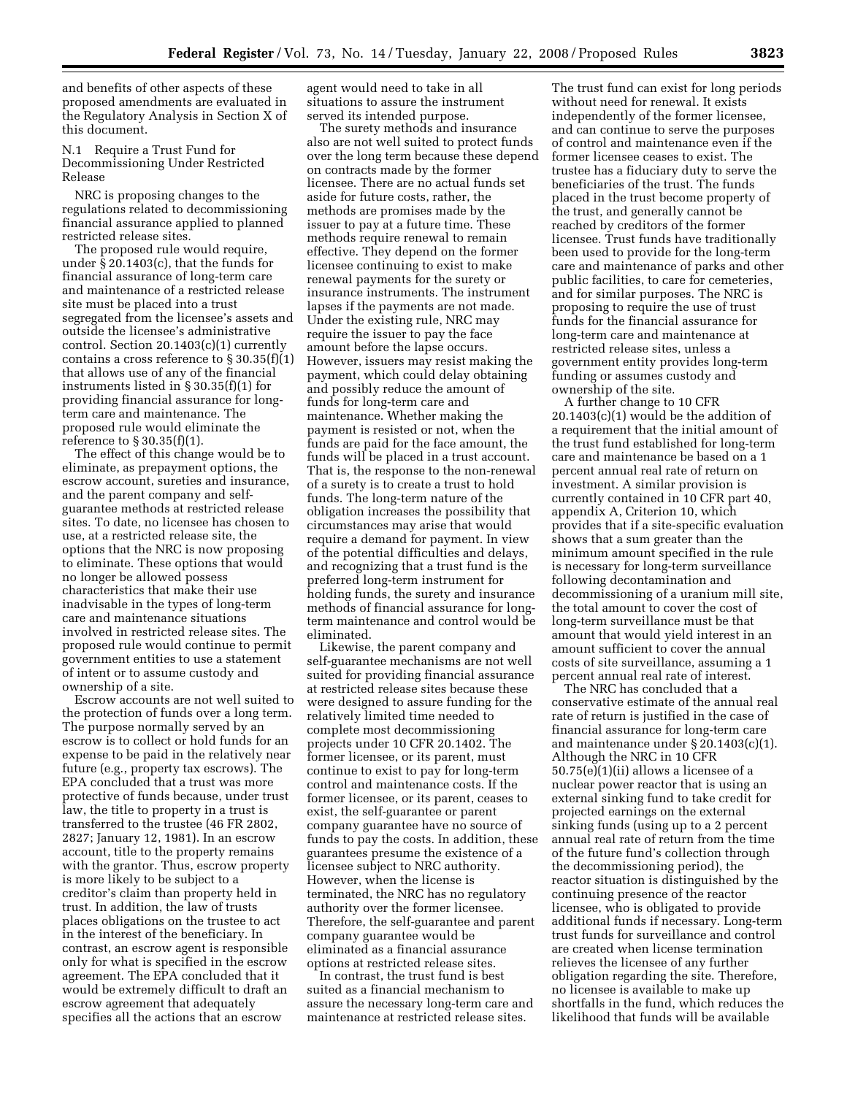and benefits of other aspects of these proposed amendments are evaluated in the Regulatory Analysis in Section X of this document.

N.1 Require a Trust Fund for Decommissioning Under Restricted Release

NRC is proposing changes to the regulations related to decommissioning financial assurance applied to planned restricted release sites.

The proposed rule would require, under § 20.1403(c), that the funds for financial assurance of long-term care and maintenance of a restricted release site must be placed into a trust segregated from the licensee's assets and outside the licensee's administrative control. Section 20.1403(c)(1) currently contains a cross reference to  $\S 30.35(f)(1)$ that allows use of any of the financial instruments listed in § 30.35(f)(1) for providing financial assurance for longterm care and maintenance. The proposed rule would eliminate the reference to § 30.35(f)(1).

The effect of this change would be to eliminate, as prepayment options, the escrow account, sureties and insurance, and the parent company and selfguarantee methods at restricted release sites. To date, no licensee has chosen to use, at a restricted release site, the options that the NRC is now proposing to eliminate. These options that would no longer be allowed possess characteristics that make their use inadvisable in the types of long-term care and maintenance situations involved in restricted release sites. The proposed rule would continue to permit government entities to use a statement of intent or to assume custody and ownership of a site.

Escrow accounts are not well suited to the protection of funds over a long term. The purpose normally served by an escrow is to collect or hold funds for an expense to be paid in the relatively near future (e.g., property tax escrows). The EPA concluded that a trust was more protective of funds because, under trust law, the title to property in a trust is transferred to the trustee (46 FR 2802, 2827; January 12, 1981). In an escrow account, title to the property remains with the grantor. Thus, escrow property is more likely to be subject to a creditor's claim than property held in trust. In addition, the law of trusts places obligations on the trustee to act in the interest of the beneficiary. In contrast, an escrow agent is responsible only for what is specified in the escrow agreement. The EPA concluded that it would be extremely difficult to draft an escrow agreement that adequately specifies all the actions that an escrow

agent would need to take in all situations to assure the instrument served its intended purpose.

The surety methods and insurance also are not well suited to protect funds over the long term because these depend on contracts made by the former licensee. There are no actual funds set aside for future costs, rather, the methods are promises made by the issuer to pay at a future time. These methods require renewal to remain effective. They depend on the former licensee continuing to exist to make renewal payments for the surety or insurance instruments. The instrument lapses if the payments are not made. Under the existing rule, NRC may require the issuer to pay the face amount before the lapse occurs. However, issuers may resist making the payment, which could delay obtaining and possibly reduce the amount of funds for long-term care and maintenance. Whether making the payment is resisted or not, when the funds are paid for the face amount, the funds will be placed in a trust account. That is, the response to the non-renewal of a surety is to create a trust to hold funds. The long-term nature of the obligation increases the possibility that circumstances may arise that would require a demand for payment. In view of the potential difficulties and delays, and recognizing that a trust fund is the preferred long-term instrument for holding funds, the surety and insurance methods of financial assurance for longterm maintenance and control would be eliminated.

Likewise, the parent company and self-guarantee mechanisms are not well suited for providing financial assurance at restricted release sites because these were designed to assure funding for the relatively limited time needed to complete most decommissioning projects under 10 CFR 20.1402. The former licensee, or its parent, must continue to exist to pay for long-term control and maintenance costs. If the former licensee, or its parent, ceases to exist, the self-guarantee or parent company guarantee have no source of funds to pay the costs. In addition, these guarantees presume the existence of a licensee subject to NRC authority. However, when the license is terminated, the NRC has no regulatory authority over the former licensee. Therefore, the self-guarantee and parent company guarantee would be eliminated as a financial assurance options at restricted release sites.

In contrast, the trust fund is best suited as a financial mechanism to assure the necessary long-term care and maintenance at restricted release sites.

The trust fund can exist for long periods without need for renewal. It exists independently of the former licensee, and can continue to serve the purposes of control and maintenance even if the former licensee ceases to exist. The trustee has a fiduciary duty to serve the beneficiaries of the trust. The funds placed in the trust become property of the trust, and generally cannot be reached by creditors of the former licensee. Trust funds have traditionally been used to provide for the long-term care and maintenance of parks and other public facilities, to care for cemeteries, and for similar purposes. The NRC is proposing to require the use of trust funds for the financial assurance for long-term care and maintenance at restricted release sites, unless a government entity provides long-term funding or assumes custody and ownership of the site.

A further change to 10 CFR 20.1403(c)(1) would be the addition of a requirement that the initial amount of the trust fund established for long-term care and maintenance be based on a 1 percent annual real rate of return on investment. A similar provision is currently contained in 10 CFR part 40, appendix A, Criterion 10, which provides that if a site-specific evaluation shows that a sum greater than the minimum amount specified in the rule is necessary for long-term surveillance following decontamination and decommissioning of a uranium mill site, the total amount to cover the cost of long-term surveillance must be that amount that would yield interest in an amount sufficient to cover the annual costs of site surveillance, assuming a 1 percent annual real rate of interest.

The NRC has concluded that a conservative estimate of the annual real rate of return is justified in the case of financial assurance for long-term care and maintenance under § 20.1403(c)(1). Although the NRC in 10 CFR 50.75(e)(1)(ii) allows a licensee of a nuclear power reactor that is using an external sinking fund to take credit for projected earnings on the external sinking funds (using up to a 2 percent annual real rate of return from the time of the future fund's collection through the decommissioning period), the reactor situation is distinguished by the continuing presence of the reactor licensee, who is obligated to provide additional funds if necessary. Long-term trust funds for surveillance and control are created when license termination relieves the licensee of any further obligation regarding the site. Therefore, no licensee is available to make up shortfalls in the fund, which reduces the likelihood that funds will be available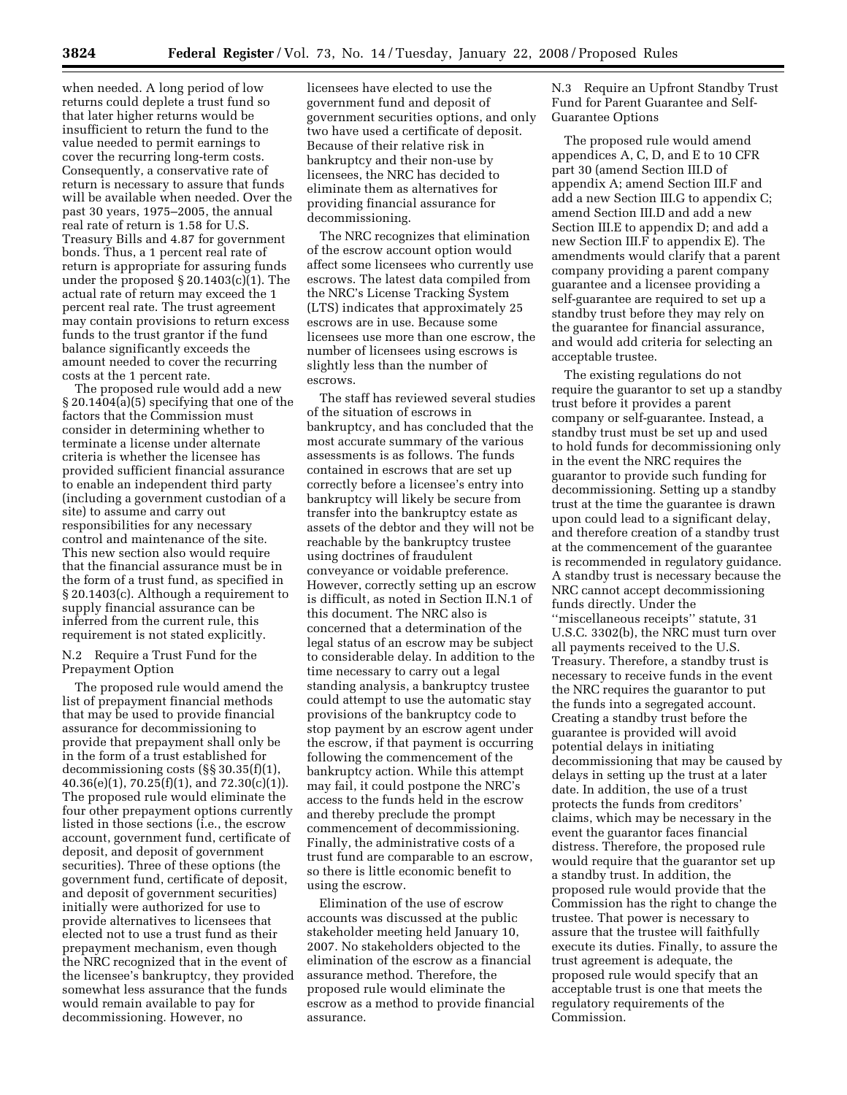when needed. A long period of low returns could deplete a trust fund so that later higher returns would be insufficient to return the fund to the value needed to permit earnings to cover the recurring long-term costs. Consequently, a conservative rate of return is necessary to assure that funds will be available when needed. Over the past 30 years, 1975–2005, the annual real rate of return is 1.58 for U.S. Treasury Bills and 4.87 for government bonds. Thus, a 1 percent real rate of return is appropriate for assuring funds under the proposed § 20.1403(c)(1). The actual rate of return may exceed the 1 percent real rate. The trust agreement may contain provisions to return excess funds to the trust grantor if the fund balance significantly exceeds the amount needed to cover the recurring costs at the 1 percent rate.

The proposed rule would add a new § 20.1404(a)(5) specifying that one of the factors that the Commission must consider in determining whether to terminate a license under alternate criteria is whether the licensee has provided sufficient financial assurance to enable an independent third party (including a government custodian of a site) to assume and carry out responsibilities for any necessary control and maintenance of the site. This new section also would require that the financial assurance must be in the form of a trust fund, as specified in § 20.1403(c). Although a requirement to supply financial assurance can be inferred from the current rule, this requirement is not stated explicitly.

N.2 Require a Trust Fund for the Prepayment Option

The proposed rule would amend the list of prepayment financial methods that may be used to provide financial assurance for decommissioning to provide that prepayment shall only be in the form of a trust established for decommissioning costs (§§ 30.35(f)(1),  $40.36(e)(1)$ ,  $70.25(f)(1)$ , and  $72.30(c)(1)$ . The proposed rule would eliminate the four other prepayment options currently listed in those sections (i.e., the escrow account, government fund, certificate of deposit, and deposit of government securities). Three of these options (the government fund, certificate of deposit, and deposit of government securities) initially were authorized for use to provide alternatives to licensees that elected not to use a trust fund as their prepayment mechanism, even though the NRC recognized that in the event of the licensee's bankruptcy, they provided somewhat less assurance that the funds would remain available to pay for decommissioning. However, no

licensees have elected to use the government fund and deposit of government securities options, and only two have used a certificate of deposit. Because of their relative risk in bankruptcy and their non-use by licensees, the NRC has decided to eliminate them as alternatives for providing financial assurance for decommissioning.

The NRC recognizes that elimination of the escrow account option would affect some licensees who currently use escrows. The latest data compiled from the NRC's License Tracking System (LTS) indicates that approximately 25 escrows are in use. Because some licensees use more than one escrow, the number of licensees using escrows is slightly less than the number of escrows.

The staff has reviewed several studies of the situation of escrows in bankruptcy, and has concluded that the most accurate summary of the various assessments is as follows. The funds contained in escrows that are set up correctly before a licensee's entry into bankruptcy will likely be secure from transfer into the bankruptcy estate as assets of the debtor and they will not be reachable by the bankruptcy trustee using doctrines of fraudulent conveyance or voidable preference. However, correctly setting up an escrow is difficult, as noted in Section II.N.1 of this document. The NRC also is concerned that a determination of the legal status of an escrow may be subject to considerable delay. In addition to the time necessary to carry out a legal standing analysis, a bankruptcy trustee could attempt to use the automatic stay provisions of the bankruptcy code to stop payment by an escrow agent under the escrow, if that payment is occurring following the commencement of the bankruptcy action. While this attempt may fail, it could postpone the NRC's access to the funds held in the escrow and thereby preclude the prompt commencement of decommissioning. Finally, the administrative costs of a trust fund are comparable to an escrow, so there is little economic benefit to using the escrow.

Elimination of the use of escrow accounts was discussed at the public stakeholder meeting held January 10, 2007. No stakeholders objected to the elimination of the escrow as a financial assurance method. Therefore, the proposed rule would eliminate the escrow as a method to provide financial assurance.

N.3 Require an Upfront Standby Trust Fund for Parent Guarantee and Self-Guarantee Options

The proposed rule would amend appendices A, C, D, and E to 10 CFR part 30 (amend Section III.D of appendix A; amend Section III.F and add a new Section III.G to appendix C; amend Section III.D and add a new Section III.E to appendix D; and add a new Section III.F to appendix E). The amendments would clarify that a parent company providing a parent company guarantee and a licensee providing a self-guarantee are required to set up a standby trust before they may rely on the guarantee for financial assurance, and would add criteria for selecting an acceptable trustee.

The existing regulations do not require the guarantor to set up a standby trust before it provides a parent company or self-guarantee. Instead, a standby trust must be set up and used to hold funds for decommissioning only in the event the NRC requires the guarantor to provide such funding for decommissioning. Setting up a standby trust at the time the guarantee is drawn upon could lead to a significant delay, and therefore creation of a standby trust at the commencement of the guarantee is recommended in regulatory guidance. A standby trust is necessary because the NRC cannot accept decommissioning funds directly. Under the ''miscellaneous receipts'' statute, 31 U.S.C. 3302(b), the NRC must turn over all payments received to the U.S. Treasury. Therefore, a standby trust is necessary to receive funds in the event the NRC requires the guarantor to put the funds into a segregated account. Creating a standby trust before the guarantee is provided will avoid potential delays in initiating decommissioning that may be caused by delays in setting up the trust at a later date. In addition, the use of a trust protects the funds from creditors' claims, which may be necessary in the event the guarantor faces financial distress. Therefore, the proposed rule would require that the guarantor set up a standby trust. In addition, the proposed rule would provide that the Commission has the right to change the trustee. That power is necessary to assure that the trustee will faithfully execute its duties. Finally, to assure the trust agreement is adequate, the proposed rule would specify that an acceptable trust is one that meets the regulatory requirements of the Commission.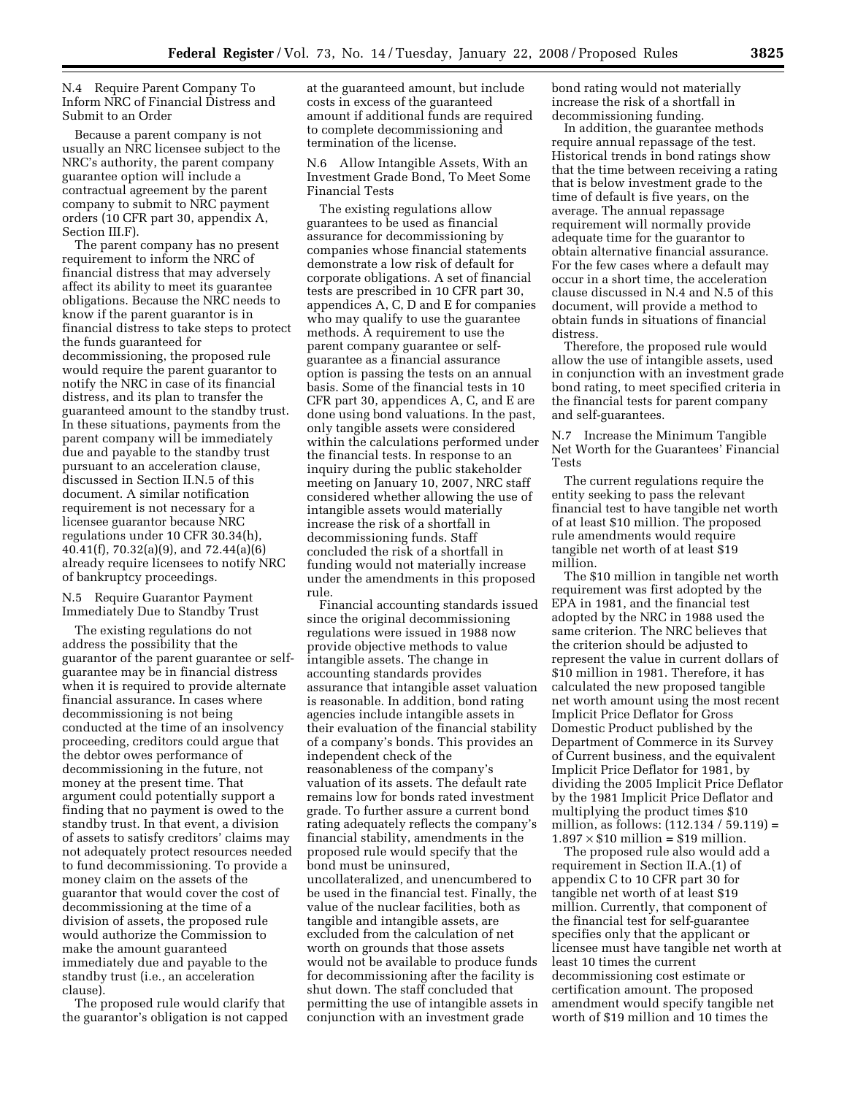N.4 Require Parent Company To Inform NRC of Financial Distress and Submit to an Order

Because a parent company is not usually an NRC licensee subject to the NRC's authority, the parent company guarantee option will include a contractual agreement by the parent company to submit to NRC payment orders (10 CFR part 30, appendix A, Section III.F).

The parent company has no present requirement to inform the NRC of financial distress that may adversely affect its ability to meet its guarantee obligations. Because the NRC needs to know if the parent guarantor is in financial distress to take steps to protect the funds guaranteed for decommissioning, the proposed rule would require the parent guarantor to notify the NRC in case of its financial distress, and its plan to transfer the guaranteed amount to the standby trust. In these situations, payments from the parent company will be immediately due and payable to the standby trust pursuant to an acceleration clause, discussed in Section II.N.5 of this document. A similar notification requirement is not necessary for a licensee guarantor because NRC regulations under 10 CFR 30.34(h), 40.41(f), 70.32(a)(9), and 72.44(a)(6) already require licensees to notify NRC of bankruptcy proceedings.

N.5 Require Guarantor Payment Immediately Due to Standby Trust

The existing regulations do not address the possibility that the guarantor of the parent guarantee or selfguarantee may be in financial distress when it is required to provide alternate financial assurance. In cases where decommissioning is not being conducted at the time of an insolvency proceeding, creditors could argue that the debtor owes performance of decommissioning in the future, not money at the present time. That argument could potentially support a finding that no payment is owed to the standby trust. In that event, a division of assets to satisfy creditors' claims may not adequately protect resources needed to fund decommissioning. To provide a money claim on the assets of the guarantor that would cover the cost of decommissioning at the time of a division of assets, the proposed rule would authorize the Commission to make the amount guaranteed immediately due and payable to the standby trust (i.e., an acceleration clause).

The proposed rule would clarify that the guarantor's obligation is not capped

at the guaranteed amount, but include costs in excess of the guaranteed amount if additional funds are required to complete decommissioning and termination of the license.

N.6 Allow Intangible Assets, With an Investment Grade Bond, To Meet Some Financial Tests

The existing regulations allow guarantees to be used as financial assurance for decommissioning by companies whose financial statements demonstrate a low risk of default for corporate obligations. A set of financial tests are prescribed in 10 CFR part 30, appendices A, C, D and E for companies who may qualify to use the guarantee methods. A requirement to use the parent company guarantee or selfguarantee as a financial assurance option is passing the tests on an annual basis. Some of the financial tests in 10 CFR part 30, appendices A, C, and E are done using bond valuations. In the past, only tangible assets were considered within the calculations performed under the financial tests. In response to an inquiry during the public stakeholder meeting on January 10, 2007, NRC staff considered whether allowing the use of intangible assets would materially increase the risk of a shortfall in decommissioning funds. Staff concluded the risk of a shortfall in funding would not materially increase under the amendments in this proposed rule.

Financial accounting standards issued since the original decommissioning regulations were issued in 1988 now provide objective methods to value intangible assets. The change in accounting standards provides assurance that intangible asset valuation is reasonable. In addition, bond rating agencies include intangible assets in their evaluation of the financial stability of a company's bonds. This provides an independent check of the reasonableness of the company's valuation of its assets. The default rate remains low for bonds rated investment grade. To further assure a current bond rating adequately reflects the company's financial stability, amendments in the proposed rule would specify that the bond must be uninsured, uncollateralized, and unencumbered to be used in the financial test. Finally, the value of the nuclear facilities, both as tangible and intangible assets, are excluded from the calculation of net worth on grounds that those assets would not be available to produce funds for decommissioning after the facility is shut down. The staff concluded that permitting the use of intangible assets in conjunction with an investment grade

bond rating would not materially increase the risk of a shortfall in decommissioning funding.

In addition, the guarantee methods require annual repassage of the test. Historical trends in bond ratings show that the time between receiving a rating that is below investment grade to the time of default is five years, on the average. The annual repassage requirement will normally provide adequate time for the guarantor to obtain alternative financial assurance. For the few cases where a default may occur in a short time, the acceleration clause discussed in N.4 and N.5 of this document, will provide a method to obtain funds in situations of financial distress.

Therefore, the proposed rule would allow the use of intangible assets, used in conjunction with an investment grade bond rating, to meet specified criteria in the financial tests for parent company and self-guarantees.

N.7 Increase the Minimum Tangible Net Worth for the Guarantees' Financial Tests

The current regulations require the entity seeking to pass the relevant financial test to have tangible net worth of at least \$10 million. The proposed rule amendments would require tangible net worth of at least \$19 million.

The \$10 million in tangible net worth requirement was first adopted by the EPA in 1981, and the financial test adopted by the NRC in 1988 used the same criterion. The NRC believes that the criterion should be adjusted to represent the value in current dollars of \$10 million in 1981. Therefore, it has calculated the new proposed tangible net worth amount using the most recent Implicit Price Deflator for Gross Domestic Product published by the Department of Commerce in its Survey of Current business, and the equivalent Implicit Price Deflator for 1981, by dividing the 2005 Implicit Price Deflator by the 1981 Implicit Price Deflator and multiplying the product times \$10 million, as follows: (112.134 / 59.119) =  $1.897 \times $10$  million = \$19 million.

The proposed rule also would add a requirement in Section II.A.(1) of appendix C to 10 CFR part 30 for tangible net worth of at least \$19 million. Currently, that component of the financial test for self-guarantee specifies only that the applicant or licensee must have tangible net worth at least 10 times the current decommissioning cost estimate or certification amount. The proposed amendment would specify tangible net worth of \$19 million and 10 times the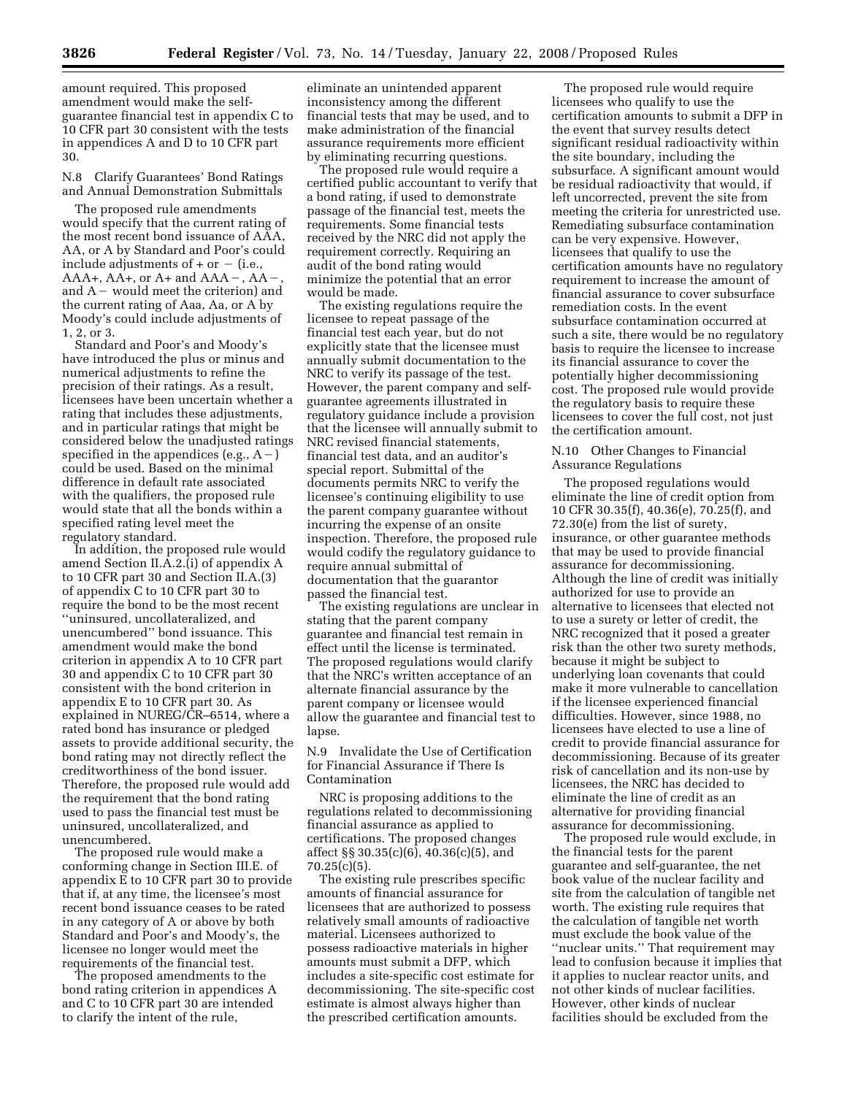amount required. This proposed amendment would make the selfguarantee financial test in appendix C to 10 CFR part 30 consistent with the tests in appendices A and D to 10 CFR part 30.

N.8 Clarify Guarantees' Bond Ratings and Annual Demonstration Submittals

The proposed rule amendments would specify that the current rating of the most recent bond issuance of AAA, AA, or A by Standard and Poor's could include adjustments of  $+$  or  $-$  (i.e., AAA+, AA+, or A+ and AAA $-$ , AA $$ and  $A$  – would meet the criterion) and the current rating of Aaa, Aa, or A by Moody's could include adjustments of 1, 2, or 3.

Standard and Poor's and Moody's have introduced the plus or minus and numerical adjustments to refine the precision of their ratings. As a result, licensees have been uncertain whether a rating that includes these adjustments, and in particular ratings that might be considered below the unadjusted ratings specified in the appendices (e.g.,  $A-$ ) could be used. Based on the minimal difference in default rate associated with the qualifiers, the proposed rule would state that all the bonds within a specified rating level meet the regulatory standard.

In addition, the proposed rule would amend Section II.A.2.(i) of appendix A to 10 CFR part 30 and Section II.A.(3) of appendix C to 10 CFR part 30 to require the bond to be the most recent ''uninsured, uncollateralized, and unencumbered'' bond issuance. This amendment would make the bond criterion in appendix A to 10 CFR part 30 and appendix C to 10 CFR part 30 consistent with the bond criterion in appendix E to 10 CFR part 30. As explained in NUREG/CR–6514, where a rated bond has insurance or pledged assets to provide additional security, the bond rating may not directly reflect the creditworthiness of the bond issuer. Therefore, the proposed rule would add the requirement that the bond rating used to pass the financial test must be uninsured, uncollateralized, and unencumbered.

The proposed rule would make a conforming change in Section III.E. of appendix  $\bar{E}$  to 10 CFR part 30 to provide that if, at any time, the licensee's most recent bond issuance ceases to be rated in any category of A or above by both Standard and Poor's and Moody's, the licensee no longer would meet the requirements of the financial test.

The proposed amendments to the bond rating criterion in appendices A and C to 10 CFR part 30 are intended to clarify the intent of the rule,

eliminate an unintended apparent inconsistency among the different financial tests that may be used, and to make administration of the financial assurance requirements more efficient by eliminating recurring questions.

The proposed rule would require a certified public accountant to verify that a bond rating, if used to demonstrate passage of the financial test, meets the requirements. Some financial tests received by the NRC did not apply the requirement correctly. Requiring an audit of the bond rating would minimize the potential that an error would be made.

The existing regulations require the licensee to repeat passage of the financial test each year, but do not explicitly state that the licensee must annually submit documentation to the NRC to verify its passage of the test. However, the parent company and selfguarantee agreements illustrated in regulatory guidance include a provision that the licensee will annually submit to NRC revised financial statements, financial test data, and an auditor's special report. Submittal of the documents permits NRC to verify the licensee's continuing eligibility to use the parent company guarantee without incurring the expense of an onsite inspection. Therefore, the proposed rule would codify the regulatory guidance to require annual submittal of documentation that the guarantor passed the financial test.

The existing regulations are unclear in stating that the parent company guarantee and financial test remain in effect until the license is terminated. The proposed regulations would clarify that the NRC's written acceptance of an alternate financial assurance by the parent company or licensee would allow the guarantee and financial test to lapse.

N.9 Invalidate the Use of Certification for Financial Assurance if There Is Contamination

NRC is proposing additions to the regulations related to decommissioning financial assurance as applied to certifications. The proposed changes affect §§ 30.35(c)(6), 40.36(c)(5), and 70.25(c)(5).

The existing rule prescribes specific amounts of financial assurance for licensees that are authorized to possess relatively small amounts of radioactive material. Licensees authorized to possess radioactive materials in higher amounts must submit a DFP, which includes a site-specific cost estimate for decommissioning. The site-specific cost estimate is almost always higher than the prescribed certification amounts.

The proposed rule would require licensees who qualify to use the certification amounts to submit a DFP in the event that survey results detect significant residual radioactivity within the site boundary, including the subsurface. A significant amount would be residual radioactivity that would, if left uncorrected, prevent the site from meeting the criteria for unrestricted use. Remediating subsurface contamination can be very expensive. However, licensees that qualify to use the certification amounts have no regulatory requirement to increase the amount of financial assurance to cover subsurface remediation costs. In the event subsurface contamination occurred at such a site, there would be no regulatory basis to require the licensee to increase its financial assurance to cover the potentially higher decommissioning cost. The proposed rule would provide the regulatory basis to require these licensees to cover the full cost, not just the certification amount.

N.10 Other Changes to Financial Assurance Regulations

The proposed regulations would eliminate the line of credit option from 10 CFR 30.35(f), 40.36(e), 70.25(f), and 72.30(e) from the list of surety, insurance, or other guarantee methods that may be used to provide financial assurance for decommissioning. Although the line of credit was initially authorized for use to provide an alternative to licensees that elected not to use a surety or letter of credit, the NRC recognized that it posed a greater risk than the other two surety methods, because it might be subject to underlying loan covenants that could make it more vulnerable to cancellation if the licensee experienced financial difficulties. However, since 1988, no licensees have elected to use a line of credit to provide financial assurance for decommissioning. Because of its greater risk of cancellation and its non-use by licensees, the NRC has decided to eliminate the line of credit as an alternative for providing financial assurance for decommissioning.

The proposed rule would exclude, in the financial tests for the parent guarantee and self-guarantee, the net book value of the nuclear facility and site from the calculation of tangible net worth. The existing rule requires that the calculation of tangible net worth must exclude the book value of the ''nuclear units.'' That requirement may lead to confusion because it implies that it applies to nuclear reactor units, and not other kinds of nuclear facilities. However, other kinds of nuclear facilities should be excluded from the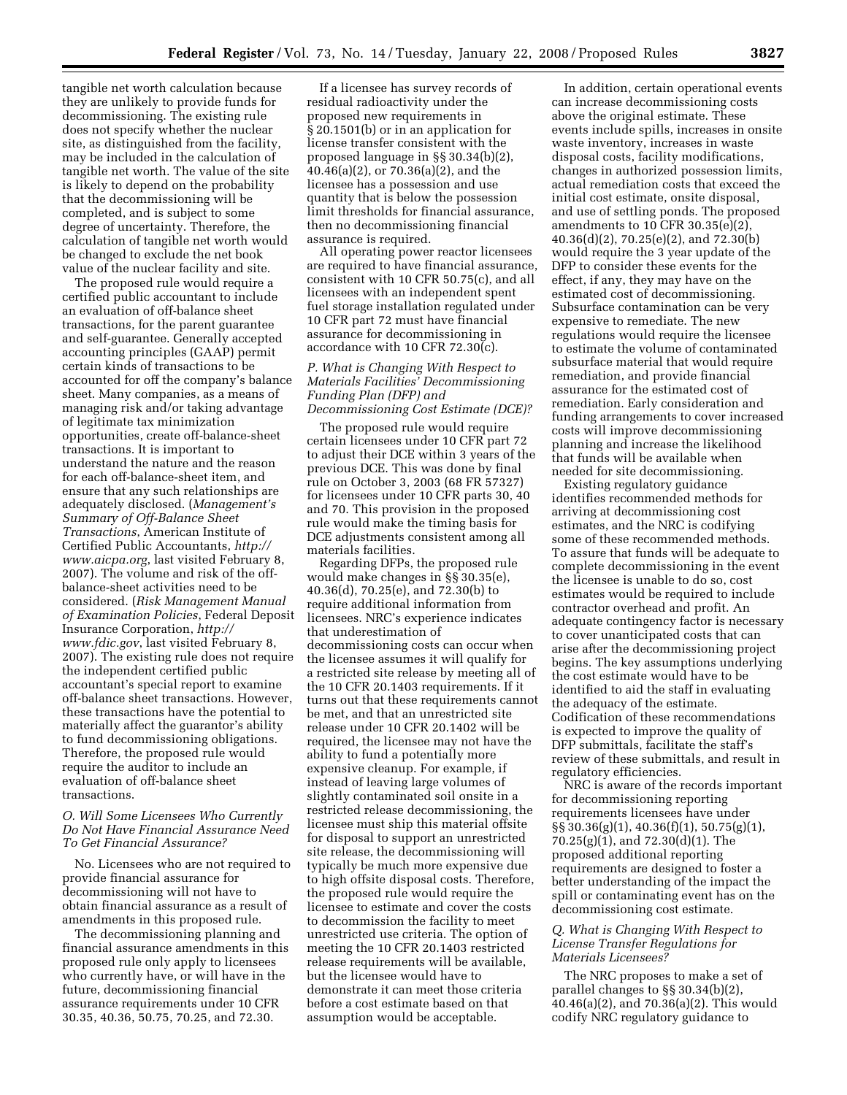tangible net worth calculation because they are unlikely to provide funds for decommissioning. The existing rule does not specify whether the nuclear site, as distinguished from the facility, may be included in the calculation of tangible net worth. The value of the site is likely to depend on the probability that the decommissioning will be completed, and is subject to some degree of uncertainty. Therefore, the calculation of tangible net worth would be changed to exclude the net book value of the nuclear facility and site.

The proposed rule would require a certified public accountant to include an evaluation of off-balance sheet transactions, for the parent guarantee and self-guarantee. Generally accepted accounting principles (GAAP) permit certain kinds of transactions to be accounted for off the company's balance sheet. Many companies, as a means of managing risk and/or taking advantage of legitimate tax minimization opportunities, create off-balance-sheet transactions. It is important to understand the nature and the reason for each off-balance-sheet item, and ensure that any such relationships are adequately disclosed. (*Management's Summary of Off-Balance Sheet Transactions*, American Institute of Certified Public Accountants, *http:// www.aicpa.org*, last visited February 8, 2007). The volume and risk of the offbalance-sheet activities need to be considered. (*Risk Management Manual of Examination Policies*, Federal Deposit Insurance Corporation, *http:// www.fdic.gov*, last visited February 8, 2007). The existing rule does not require the independent certified public accountant's special report to examine off-balance sheet transactions. However, these transactions have the potential to materially affect the guarantor's ability to fund decommissioning obligations. Therefore, the proposed rule would require the auditor to include an evaluation of off-balance sheet transactions.

#### *O. Will Some Licensees Who Currently Do Not Have Financial Assurance Need To Get Financial Assurance?*

No. Licensees who are not required to provide financial assurance for decommissioning will not have to obtain financial assurance as a result of amendments in this proposed rule.

The decommissioning planning and financial assurance amendments in this proposed rule only apply to licensees who currently have, or will have in the future, decommissioning financial assurance requirements under 10 CFR 30.35, 40.36, 50.75, 70.25, and 72.30.

If a licensee has survey records of residual radioactivity under the proposed new requirements in § 20.1501(b) or in an application for license transfer consistent with the proposed language in §§ 30.34(b)(2), 40.46(a)(2), or 70.36(a)(2), and the licensee has a possession and use quantity that is below the possession limit thresholds for financial assurance, then no decommissioning financial assurance is required.

All operating power reactor licensees are required to have financial assurance, consistent with 10 CFR 50.75(c), and all licensees with an independent spent fuel storage installation regulated under 10 CFR part 72 must have financial assurance for decommissioning in accordance with 10 CFR 72.30(c).

## *P. What is Changing With Respect to Materials Facilities' Decommissioning Funding Plan (DFP) and Decommissioning Cost Estimate (DCE)?*

The proposed rule would require certain licensees under 10 CFR part 72 to adjust their DCE within 3 years of the previous DCE. This was done by final rule on October 3, 2003 (68 FR 57327) for licensees under 10 CFR parts 30, 40 and 70. This provision in the proposed rule would make the timing basis for DCE adjustments consistent among all materials facilities.

Regarding DFPs, the proposed rule would make changes in §§ 30.35(e), 40.36(d), 70.25(e), and 72.30(b) to require additional information from licensees. NRC's experience indicates that underestimation of decommissioning costs can occur when the licensee assumes it will qualify for a restricted site release by meeting all of the 10 CFR 20.1403 requirements. If it turns out that these requirements cannot be met, and that an unrestricted site release under 10 CFR 20.1402 will be required, the licensee may not have the ability to fund a potentially more expensive cleanup. For example, if instead of leaving large volumes of slightly contaminated soil onsite in a restricted release decommissioning, the licensee must ship this material offsite for disposal to support an unrestricted site release, the decommissioning will typically be much more expensive due to high offsite disposal costs. Therefore, the proposed rule would require the licensee to estimate and cover the costs to decommission the facility to meet unrestricted use criteria. The option of meeting the 10 CFR 20.1403 restricted release requirements will be available, but the licensee would have to demonstrate it can meet those criteria before a cost estimate based on that assumption would be acceptable.

In addition, certain operational events can increase decommissioning costs above the original estimate. These events include spills, increases in onsite waste inventory, increases in waste disposal costs, facility modifications, changes in authorized possession limits, actual remediation costs that exceed the initial cost estimate, onsite disposal, and use of settling ponds. The proposed amendments to 10 CFR 30.35(e)(2), 40.36(d)(2), 70.25(e)(2), and 72.30(b) would require the 3 year update of the DFP to consider these events for the effect, if any, they may have on the estimated cost of decommissioning. Subsurface contamination can be very expensive to remediate. The new regulations would require the licensee to estimate the volume of contaminated subsurface material that would require remediation, and provide financial assurance for the estimated cost of remediation. Early consideration and funding arrangements to cover increased costs will improve decommissioning planning and increase the likelihood that funds will be available when needed for site decommissioning.

Existing regulatory guidance identifies recommended methods for arriving at decommissioning cost estimates, and the NRC is codifying some of these recommended methods. To assure that funds will be adequate to complete decommissioning in the event the licensee is unable to do so, cost estimates would be required to include contractor overhead and profit. An adequate contingency factor is necessary to cover unanticipated costs that can arise after the decommissioning project begins. The key assumptions underlying the cost estimate would have to be identified to aid the staff in evaluating the adequacy of the estimate. Codification of these recommendations is expected to improve the quality of DFP submittals, facilitate the staff's review of these submittals, and result in regulatory efficiencies.

NRC is aware of the records important for decommissioning reporting requirements licensees have under §§ 30.36(g)(1), 40.36(f)(1), 50.75(g)(1), 70.25(g)(1), and 72.30(d)(1). The proposed additional reporting requirements are designed to foster a better understanding of the impact the spill or contaminating event has on the decommissioning cost estimate.

## *Q. What is Changing With Respect to License Transfer Regulations for Materials Licensees?*

The NRC proposes to make a set of parallel changes to §§ 30.34(b)(2), 40.46(a)(2), and 70.36(a)(2). This would codify NRC regulatory guidance to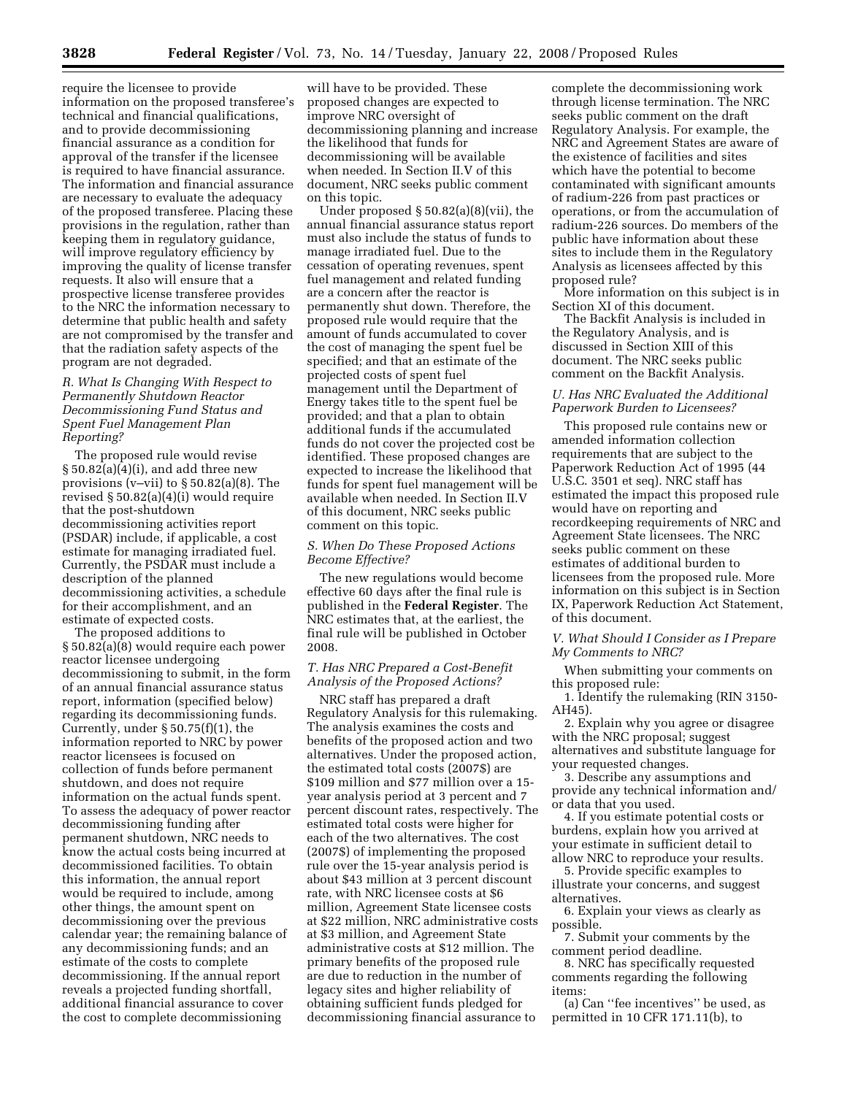require the licensee to provide information on the proposed transferee's technical and financial qualifications, and to provide decommissioning financial assurance as a condition for approval of the transfer if the licensee is required to have financial assurance. The information and financial assurance are necessary to evaluate the adequacy of the proposed transferee. Placing these provisions in the regulation, rather than keeping them in regulatory guidance, will improve regulatory efficiency by improving the quality of license transfer requests. It also will ensure that a prospective license transferee provides to the NRC the information necessary to determine that public health and safety are not compromised by the transfer and that the radiation safety aspects of the program are not degraded.

## *R. What Is Changing With Respect to Permanently Shutdown Reactor Decommissioning Fund Status and Spent Fuel Management Plan Reporting?*

The proposed rule would revise  $\S 50.82(a)(4)(i)$ , and add three new provisions (v–vii) to § 50.82(a)(8). The revised § 50.82(a)(4)(i) would require that the post-shutdown decommissioning activities report (PSDAR) include, if applicable, a cost estimate for managing irradiated fuel. Currently, the PSDAR must include a description of the planned decommissioning activities, a schedule for their accomplishment, and an estimate of expected costs.

The proposed additions to § 50.82(a)(8) would require each power reactor licensee undergoing decommissioning to submit, in the form of an annual financial assurance status report, information (specified below) regarding its decommissioning funds. Currently, under § 50.75(f)(1), the information reported to NRC by power reactor licensees is focused on collection of funds before permanent shutdown, and does not require information on the actual funds spent. To assess the adequacy of power reactor decommissioning funding after permanent shutdown, NRC needs to know the actual costs being incurred at decommissioned facilities. To obtain this information, the annual report would be required to include, among other things, the amount spent on decommissioning over the previous calendar year; the remaining balance of any decommissioning funds; and an estimate of the costs to complete decommissioning. If the annual report reveals a projected funding shortfall, additional financial assurance to cover the cost to complete decommissioning

will have to be provided. These proposed changes are expected to improve NRC oversight of decommissioning planning and increase the likelihood that funds for decommissioning will be available when needed. In Section II.V of this document, NRC seeks public comment on this topic.

Under proposed § 50.82(a)(8)(vii), the annual financial assurance status report must also include the status of funds to manage irradiated fuel. Due to the cessation of operating revenues, spent fuel management and related funding are a concern after the reactor is permanently shut down. Therefore, the proposed rule would require that the amount of funds accumulated to cover the cost of managing the spent fuel be specified; and that an estimate of the projected costs of spent fuel management until the Department of Energy takes title to the spent fuel be provided; and that a plan to obtain additional funds if the accumulated funds do not cover the projected cost be identified. These proposed changes are expected to increase the likelihood that funds for spent fuel management will be available when needed. In Section II.V of this document, NRC seeks public comment on this topic.

#### *S. When Do These Proposed Actions Become Effective?*

The new regulations would become effective 60 days after the final rule is published in the **Federal Register**. The NRC estimates that, at the earliest, the final rule will be published in October 2008.

## *T. Has NRC Prepared a Cost-Benefit Analysis of the Proposed Actions?*

NRC staff has prepared a draft Regulatory Analysis for this rulemaking. The analysis examines the costs and benefits of the proposed action and two alternatives. Under the proposed action, the estimated total costs (2007\$) are \$109 million and \$77 million over a 15 year analysis period at 3 percent and 7 percent discount rates, respectively. The estimated total costs were higher for each of the two alternatives. The cost (2007\$) of implementing the proposed rule over the 15-year analysis period is about \$43 million at 3 percent discount rate, with NRC licensee costs at \$6 million, Agreement State licensee costs at \$22 million, NRC administrative costs at \$3 million, and Agreement State administrative costs at \$12 million. The primary benefits of the proposed rule are due to reduction in the number of legacy sites and higher reliability of obtaining sufficient funds pledged for decommissioning financial assurance to

complete the decommissioning work through license termination. The NRC seeks public comment on the draft Regulatory Analysis. For example, the NRC and Agreement States are aware of the existence of facilities and sites which have the potential to become contaminated with significant amounts of radium-226 from past practices or operations, or from the accumulation of radium-226 sources. Do members of the public have information about these sites to include them in the Regulatory Analysis as licensees affected by this proposed rule?

More information on this subject is in Section XI of this document.

The Backfit Analysis is included in the Regulatory Analysis, and is discussed in Section XIII of this document. The NRC seeks public comment on the Backfit Analysis.

## *U. Has NRC Evaluated the Additional Paperwork Burden to Licensees?*

This proposed rule contains new or amended information collection requirements that are subject to the Paperwork Reduction Act of 1995 (44 U.S.C. 3501 et seq). NRC staff has estimated the impact this proposed rule would have on reporting and recordkeeping requirements of NRC and Agreement State licensees. The NRC seeks public comment on these estimates of additional burden to licensees from the proposed rule. More information on this subject is in Section IX, Paperwork Reduction Act Statement, of this document.

*V. What Should I Consider as I Prepare My Comments to NRC?* 

When submitting your comments on this proposed rule:

1. Identify the rulemaking (RIN 3150- AH45).

2. Explain why you agree or disagree with the NRC proposal; suggest alternatives and substitute language for your requested changes.

3. Describe any assumptions and provide any technical information and/ or data that you used.

4. If you estimate potential costs or burdens, explain how you arrived at your estimate in sufficient detail to allow NRC to reproduce your results.

5. Provide specific examples to illustrate your concerns, and suggest alternatives.

6. Explain your views as clearly as possible.

7. Submit your comments by the comment period deadline.

8. NRC has specifically requested comments regarding the following items:

(a) Can ''fee incentives'' be used, as permitted in 10 CFR 171.11(b), to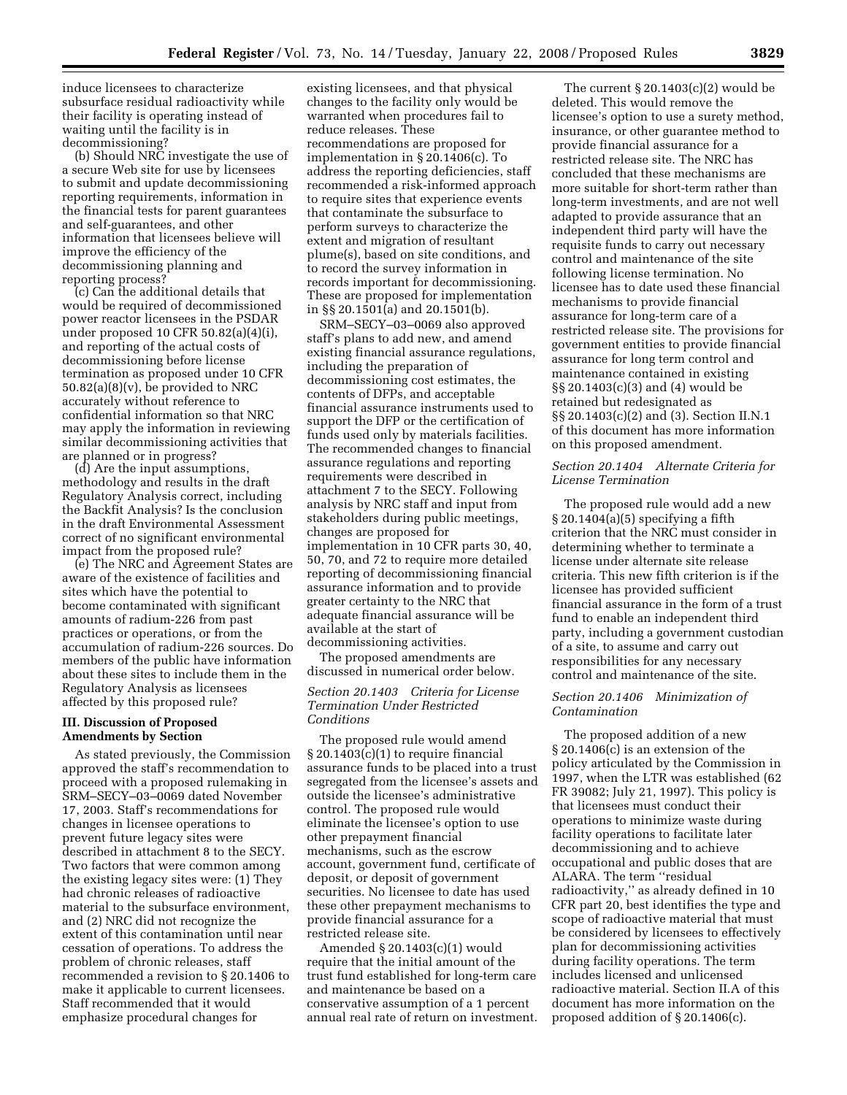induce licensees to characterize subsurface residual radioactivity while their facility is operating instead of waiting until the facility is in decommissioning?

(b) Should NRC investigate the use of a secure Web site for use by licensees to submit and update decommissioning reporting requirements, information in the financial tests for parent guarantees and self-guarantees, and other information that licensees believe will improve the efficiency of the decommissioning planning and reporting process?

(c) Can the additional details that would be required of decommissioned power reactor licensees in the PSDAR under proposed 10 CFR 50.82(a)(4)(i), and reporting of the actual costs of decommissioning before license termination as proposed under 10 CFR  $50.82(a)(8)(v)$ , be provided to NRC accurately without reference to confidential information so that NRC may apply the information in reviewing similar decommissioning activities that are planned or in progress?

(d) Are the input assumptions, methodology and results in the draft Regulatory Analysis correct, including the Backfit Analysis? Is the conclusion in the draft Environmental Assessment correct of no significant environmental impact from the proposed rule?

(e) The NRC and Agreement States are aware of the existence of facilities and sites which have the potential to become contaminated with significant amounts of radium-226 from past practices or operations, or from the accumulation of radium-226 sources. Do members of the public have information about these sites to include them in the Regulatory Analysis as licensees affected by this proposed rule?

#### **III. Discussion of Proposed Amendments by Section**

As stated previously, the Commission approved the staff's recommendation to proceed with a proposed rulemaking in SRM–SECY–03–0069 dated November 17, 2003. Staff's recommendations for changes in licensee operations to prevent future legacy sites were described in attachment 8 to the SECY. Two factors that were common among the existing legacy sites were: (1) They had chronic releases of radioactive material to the subsurface environment, and (2) NRC did not recognize the extent of this contamination until near cessation of operations. To address the problem of chronic releases, staff recommended a revision to § 20.1406 to make it applicable to current licensees. Staff recommended that it would emphasize procedural changes for

existing licensees, and that physical changes to the facility only would be warranted when procedures fail to reduce releases. These recommendations are proposed for implementation in § 20.1406(c). To address the reporting deficiencies, staff recommended a risk-informed approach to require sites that experience events that contaminate the subsurface to perform surveys to characterize the extent and migration of resultant plume(s), based on site conditions, and to record the survey information in records important for decommissioning. These are proposed for implementation in §§ 20.1501(a) and 20.1501(b).

SRM–SECY–03–0069 also approved staff's plans to add new, and amend existing financial assurance regulations, including the preparation of decommissioning cost estimates, the contents of DFPs, and acceptable financial assurance instruments used to support the DFP or the certification of funds used only by materials facilities. The recommended changes to financial assurance regulations and reporting requirements were described in attachment 7 to the SECY. Following analysis by NRC staff and input from stakeholders during public meetings, changes are proposed for implementation in 10 CFR parts 30, 40, 50, 70, and 72 to require more detailed reporting of decommissioning financial assurance information and to provide greater certainty to the NRC that adequate financial assurance will be available at the start of decommissioning activities.

The proposed amendments are discussed in numerical order below.

# *Section 20.1403 Criteria for License Termination Under Restricted Conditions*

The proposed rule would amend  $\S 20.1403(c)(1)$  to require financial assurance funds to be placed into a trust segregated from the licensee's assets and outside the licensee's administrative control. The proposed rule would eliminate the licensee's option to use other prepayment financial mechanisms, such as the escrow account, government fund, certificate of deposit, or deposit of government securities. No licensee to date has used these other prepayment mechanisms to provide financial assurance for a restricted release site.

Amended § 20.1403(c)(1) would require that the initial amount of the trust fund established for long-term care and maintenance be based on a conservative assumption of a 1 percent annual real rate of return on investment.

The current  $\S 20.1403(c)(2)$  would be deleted. This would remove the licensee's option to use a surety method, insurance, or other guarantee method to provide financial assurance for a restricted release site. The NRC has concluded that these mechanisms are more suitable for short-term rather than long-term investments, and are not well adapted to provide assurance that an independent third party will have the requisite funds to carry out necessary control and maintenance of the site following license termination. No licensee has to date used these financial mechanisms to provide financial assurance for long-term care of a restricted release site. The provisions for government entities to provide financial assurance for long term control and maintenance contained in existing §§ 20.1403(c)(3) and (4) would be retained but redesignated as §§ 20.1403(c)(2) and (3). Section II.N.1 of this document has more information on this proposed amendment.

## *Section 20.1404 Alternate Criteria for License Termination*

The proposed rule would add a new  $\S 20.1404(a)(5)$  specifying a fifth criterion that the NRC must consider in determining whether to terminate a license under alternate site release criteria. This new fifth criterion is if the licensee has provided sufficient financial assurance in the form of a trust fund to enable an independent third party, including a government custodian of a site, to assume and carry out responsibilities for any necessary control and maintenance of the site.

# *Section 20.1406 Minimization of Contamination*

The proposed addition of a new § 20.1406(c) is an extension of the policy articulated by the Commission in 1997, when the LTR was established (62 FR 39082; July 21, 1997). This policy is that licensees must conduct their operations to minimize waste during facility operations to facilitate later decommissioning and to achieve occupational and public doses that are ALARA. The term ''residual radioactivity,'' as already defined in 10 CFR part 20, best identifies the type and scope of radioactive material that must be considered by licensees to effectively plan for decommissioning activities during facility operations. The term includes licensed and unlicensed radioactive material. Section II.A of this document has more information on the proposed addition of § 20.1406(c).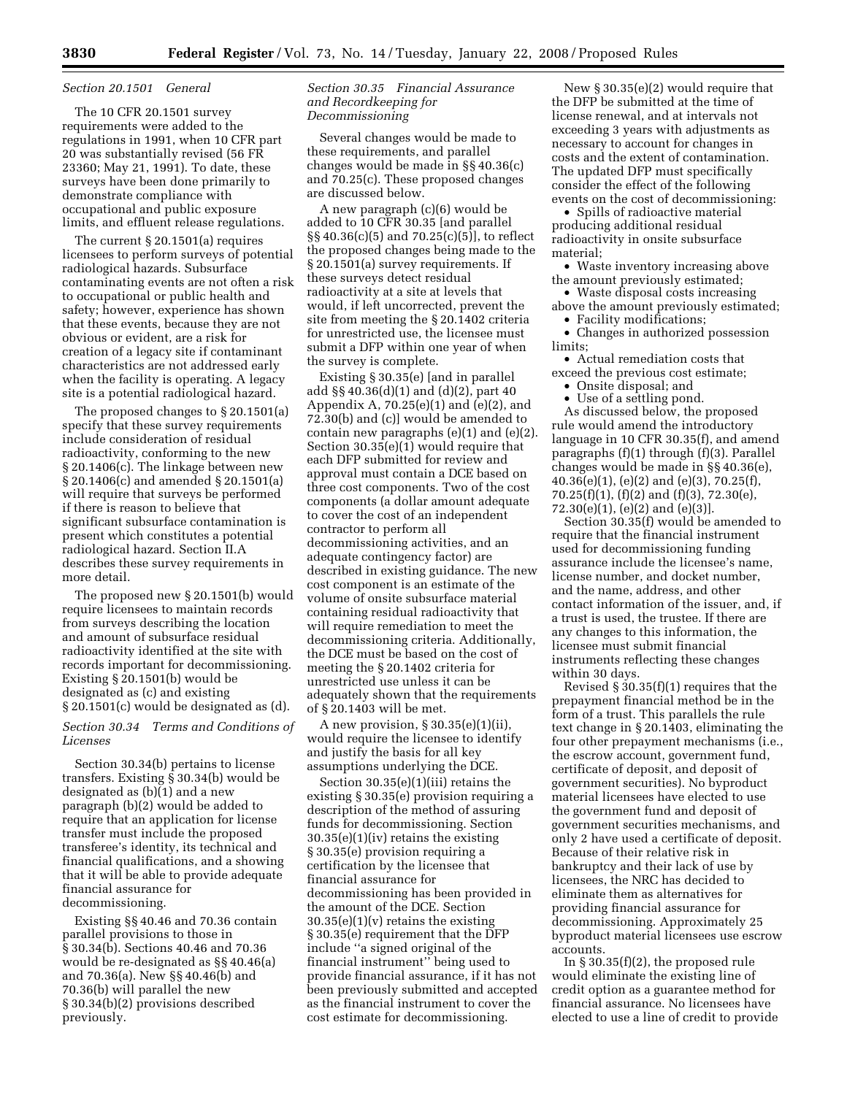#### *Section 20.1501 General*

The 10 CFR 20.1501 survey requirements were added to the regulations in 1991, when 10 CFR part 20 was substantially revised (56 FR 23360; May 21, 1991). To date, these surveys have been done primarily to demonstrate compliance with occupational and public exposure limits, and effluent release regulations.

The current § 20.1501(a) requires licensees to perform surveys of potential radiological hazards. Subsurface contaminating events are not often a risk to occupational or public health and safety; however, experience has shown that these events, because they are not obvious or evident, are a risk for creation of a legacy site if contaminant characteristics are not addressed early when the facility is operating. A legacy site is a potential radiological hazard.

The proposed changes to § 20.1501(a) specify that these survey requirements include consideration of residual radioactivity, conforming to the new § 20.1406(c). The linkage between new § 20.1406(c) and amended § 20.1501(a) will require that surveys be performed if there is reason to believe that significant subsurface contamination is present which constitutes a potential radiological hazard. Section II.A describes these survey requirements in more detail.

The proposed new § 20.1501(b) would require licensees to maintain records from surveys describing the location and amount of subsurface residual radioactivity identified at the site with records important for decommissioning. Existing § 20.1501(b) would be designated as (c) and existing § 20.1501(c) would be designated as (d).

#### *Section 30.34 Terms and Conditions of Licenses*

Section 30.34(b) pertains to license transfers. Existing § 30.34(b) would be designated as (b)(1) and a new paragraph (b)(2) would be added to require that an application for license transfer must include the proposed transferee's identity, its technical and financial qualifications, and a showing that it will be able to provide adequate financial assurance for decommissioning.

Existing §§ 40.46 and 70.36 contain parallel provisions to those in § 30.34(b). Sections 40.46 and 70.36 would be re-designated as §§ 40.46(a) and 70.36(a). New §§ 40.46(b) and 70.36(b) will parallel the new § 30.34(b)(2) provisions described previously.

#### *Section 30.35 Financial Assurance and Recordkeeping for Decommissioning*

Several changes would be made to these requirements, and parallel changes would be made in §§ 40.36(c) and 70.25(c). These proposed changes are discussed below.

A new paragraph (c)(6) would be added to 10 CFR 30.35 [and parallel §§ 40.36(c)(5) and 70.25(c)(5)], to reflect the proposed changes being made to the § 20.1501(a) survey requirements. If these surveys detect residual radioactivity at a site at levels that would, if left uncorrected, prevent the site from meeting the § 20.1402 criteria for unrestricted use, the licensee must submit a DFP within one year of when the survey is complete.

Existing § 30.35(e) [and in parallel add §§ 40.36(d)(1) and (d)(2), part 40 Appendix A, 70.25(e)(1) and (e)(2), and 72.30(b) and (c)] would be amended to contain new paragraphs (e)(1) and (e)(2). Section 30.35(e)(1) would require that each DFP submitted for review and approval must contain a DCE based on three cost components. Two of the cost components (a dollar amount adequate to cover the cost of an independent contractor to perform all decommissioning activities, and an adequate contingency factor) are described in existing guidance. The new cost component is an estimate of the volume of onsite subsurface material containing residual radioactivity that will require remediation to meet the decommissioning criteria. Additionally, the DCE must be based on the cost of meeting the § 20.1402 criteria for unrestricted use unless it can be adequately shown that the requirements of § 20.1403 will be met.

A new provision, § 30.35(e)(1)(ii), would require the licensee to identify and justify the basis for all key assumptions underlying the DCE.

Section 30.35(e)(1)(iii) retains the existing § 30.35(e) provision requiring a description of the method of assuring funds for decommissioning. Section 30.35(e)(1)(iv) retains the existing § 30.35(e) provision requiring a certification by the licensee that financial assurance for decommissioning has been provided in the amount of the DCE. Section 30.35(e)(1)(v) retains the existing § 30.35(e) requirement that the DFP include ''a signed original of the financial instrument'' being used to provide financial assurance, if it has not been previously submitted and accepted as the financial instrument to cover the cost estimate for decommissioning.

New § 30.35(e)(2) would require that the DFP be submitted at the time of license renewal, and at intervals not exceeding 3 years with adjustments as necessary to account for changes in costs and the extent of contamination. The updated DFP must specifically consider the effect of the following events on the cost of decommissioning:

• Spills of radioactive material producing additional residual radioactivity in onsite subsurface material;

• Waste inventory increasing above the amount previously estimated;

• Waste disposal costs increasing above the amount previously estimated;

• Facility modifications;

• Changes in authorized possession limits;

• Actual remediation costs that exceed the previous cost estimate;

• Onsite disposal; and

• Use of a settling pond.

As discussed below, the proposed rule would amend the introductory language in 10 CFR 30.35(f), and amend paragraphs (f)(1) through (f)(3). Parallel changes would be made in §§ 40.36(e), 40.36(e)(1), (e)(2) and (e)(3), 70.25(f), 70.25(f)(1), (f)(2) and (f)(3), 72.30(e), 72.30(e)(1), (e)(2) and (e)(3)].

Section 30.35(f) would be amended to require that the financial instrument used for decommissioning funding assurance include the licensee's name, license number, and docket number, and the name, address, and other contact information of the issuer, and, if a trust is used, the trustee. If there are any changes to this information, the licensee must submit financial instruments reflecting these changes within 30 days.

Revised § 30.35(f)(1) requires that the prepayment financial method be in the form of a trust. This parallels the rule text change in § 20.1403, eliminating the four other prepayment mechanisms (i.e., the escrow account, government fund, certificate of deposit, and deposit of government securities). No byproduct material licensees have elected to use the government fund and deposit of government securities mechanisms, and only 2 have used a certificate of deposit. Because of their relative risk in bankruptcy and their lack of use by licensees, the NRC has decided to eliminate them as alternatives for providing financial assurance for decommissioning. Approximately 25 byproduct material licensees use escrow accounts.

In  $\S 30.35(f)(2)$ , the proposed rule would eliminate the existing line of credit option as a guarantee method for financial assurance. No licensees have elected to use a line of credit to provide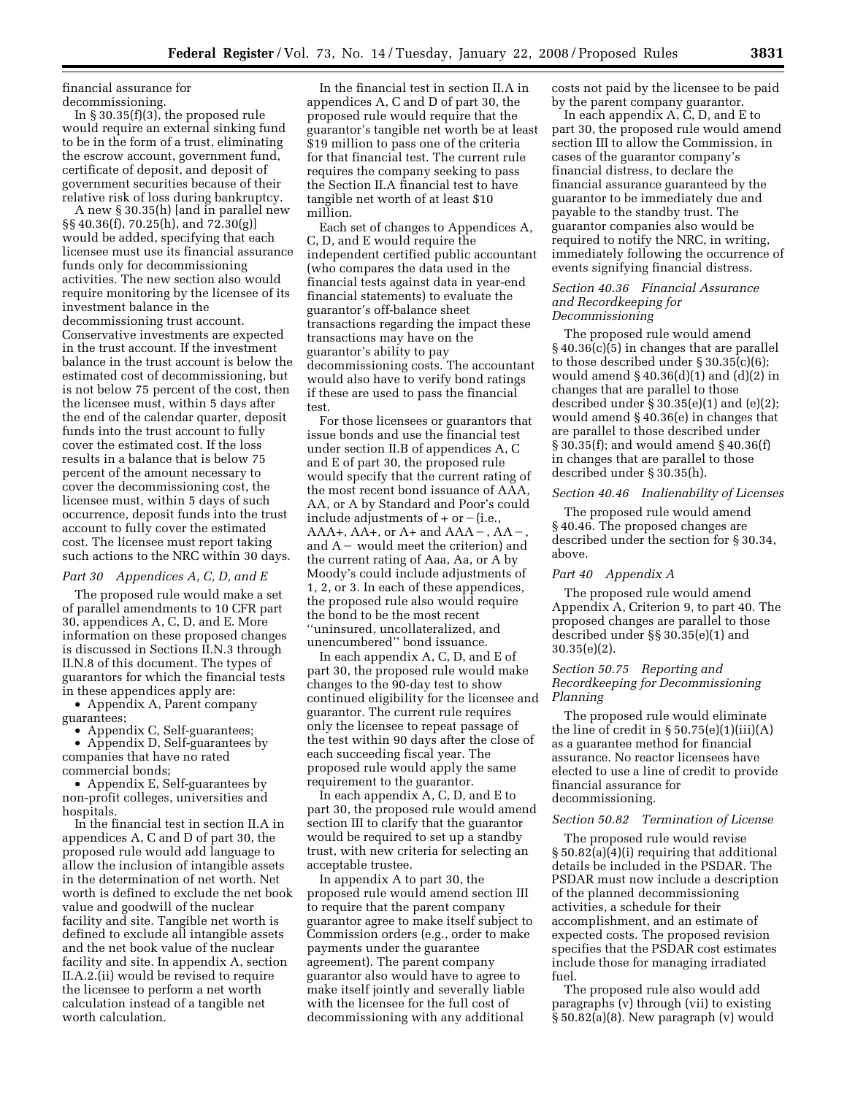financial assurance for decommissioning.

In  $\S 30.35(f)(3)$ , the proposed rule would require an external sinking fund to be in the form of a trust, eliminating the escrow account, government fund, certificate of deposit, and deposit of government securities because of their relative risk of loss during bankruptcy.

A new § 30.35(h) [and in parallel new §§ 40.36(f), 70.25(h), and 72.30(g)] would be added, specifying that each licensee must use its financial assurance funds only for decommissioning activities. The new section also would require monitoring by the licensee of its investment balance in the decommissioning trust account. Conservative investments are expected in the trust account. If the investment balance in the trust account is below the estimated cost of decommissioning, but is not below 75 percent of the cost, then the licensee must, within 5 days after the end of the calendar quarter, deposit funds into the trust account to fully cover the estimated cost. If the loss results in a balance that is below 75 percent of the amount necessary to cover the decommissioning cost, the licensee must, within 5 days of such occurrence, deposit funds into the trust account to fully cover the estimated cost. The licensee must report taking such actions to the NRC within 30 days.

## *Part 30 Appendices A, C, D, and E*

The proposed rule would make a set of parallel amendments to 10 CFR part 30, appendices A, C, D, and E. More information on these proposed changes is discussed in Sections II.N.3 through II.N.8 of this document. The types of guarantors for which the financial tests in these appendices apply are:

• Appendix A, Parent company guarantees;

• Appendix C, Self-guarantees;

• Appendix D, Self-guarantees by companies that have no rated commercial bonds;

• Appendix E, Self-guarantees by non-profit colleges, universities and hospitals.

In the financial test in section II.A in appendices A, C and D of part 30, the proposed rule would add language to allow the inclusion of intangible assets in the determination of net worth. Net worth is defined to exclude the net book value and goodwill of the nuclear facility and site. Tangible net worth is defined to exclude all intangible assets and the net book value of the nuclear facility and site. In appendix A, section II.A.2.(ii) would be revised to require the licensee to perform a net worth calculation instead of a tangible net worth calculation.

In the financial test in section II.A in appendices A, C and D of part 30, the proposed rule would require that the guarantor's tangible net worth be at least \$19 million to pass one of the criteria for that financial test. The current rule requires the company seeking to pass the Section II.A financial test to have tangible net worth of at least \$10 million.

Each set of changes to Appendices A, C, D, and E would require the independent certified public accountant (who compares the data used in the financial tests against data in year-end financial statements) to evaluate the guarantor's off-balance sheet transactions regarding the impact these transactions may have on the guarantor's ability to pay decommissioning costs. The accountant would also have to verify bond ratings if these are used to pass the financial test.

For those licensees or guarantors that issue bonds and use the financial test under section II.B of appendices A, C and E of part 30, the proposed rule would specify that the current rating of the most recent bond issuance of AAA, AA, or A by Standard and Poor's could include adjustments of  $+$  or  $-(i.e.,$  $AAA+$ ,  $AA+$ , or  $A+$  and  $AAA-$ ,  $AA$ and  $A$  – would meet the criterion) and the current rating of Aaa, Aa, or A by Moody's could include adjustments of 1, 2, or 3. In each of these appendices, the proposed rule also would require the bond to be the most recent ''uninsured, uncollateralized, and unencumbered'' bond issuance.

In each appendix A, C, D, and E of part 30, the proposed rule would make changes to the 90-day test to show continued eligibility for the licensee and guarantor. The current rule requires only the licensee to repeat passage of the test within 90 days after the close of each succeeding fiscal year. The proposed rule would apply the same requirement to the guarantor.

In each appendix A, C, D, and E to part 30, the proposed rule would amend section III to clarify that the guarantor would be required to set up a standby trust, with new criteria for selecting an acceptable trustee.

In appendix A to part 30, the proposed rule would amend section III to require that the parent company guarantor agree to make itself subject to Commission orders (e.g., order to make payments under the guarantee agreement). The parent company guarantor also would have to agree to make itself jointly and severally liable with the licensee for the full cost of decommissioning with any additional

costs not paid by the licensee to be paid by the parent company guarantor.

In each appendix A, C, D, and E to part 30, the proposed rule would amend section III to allow the Commission, in cases of the guarantor company's financial distress, to declare the financial assurance guaranteed by the guarantor to be immediately due and payable to the standby trust. The guarantor companies also would be required to notify the NRC, in writing, immediately following the occurrence of events signifying financial distress.

## *Section 40.36 Financial Assurance and Recordkeeping for Decommissioning*

The proposed rule would amend § 40.36(c)(5) in changes that are parallel to those described under § 30.35(c)(6); would amend  $\S 40.36(d)(1)$  and  $(d)(2)$  in changes that are parallel to those described under  $\S 30.35(e)(1)$  and  $(e)(2)$ ; would amend § 40.36(e) in changes that are parallel to those described under § 30.35(f); and would amend § 40.36(f) in changes that are parallel to those described under § 30.35(h).

#### *Section 40.46 Inalienability of Licenses*

The proposed rule would amend § 40.46. The proposed changes are described under the section for § 30.34, above.

#### *Part 40 Appendix A*

The proposed rule would amend Appendix A, Criterion 9, to part 40. The proposed changes are parallel to those described under §§ 30.35(e)(1) and 30.35(e)(2).

# *Section 50.75 Reporting and Recordkeeping for Decommissioning Planning*

The proposed rule would eliminate the line of credit in  $\S 50.75(e)(1)(iii)(A)$ as a guarantee method for financial assurance. No reactor licensees have elected to use a line of credit to provide financial assurance for decommissioning.

#### *Section 50.82 Termination of License*

The proposed rule would revise § 50.82(a)(4)(i) requiring that additional details be included in the PSDAR. The PSDAR must now include a description of the planned decommissioning activities, a schedule for their accomplishment, and an estimate of expected costs. The proposed revision specifies that the PSDAR cost estimates include those for managing irradiated fuel.

The proposed rule also would add paragraphs (v) through (vii) to existing § 50.82(a)(8). New paragraph (v) would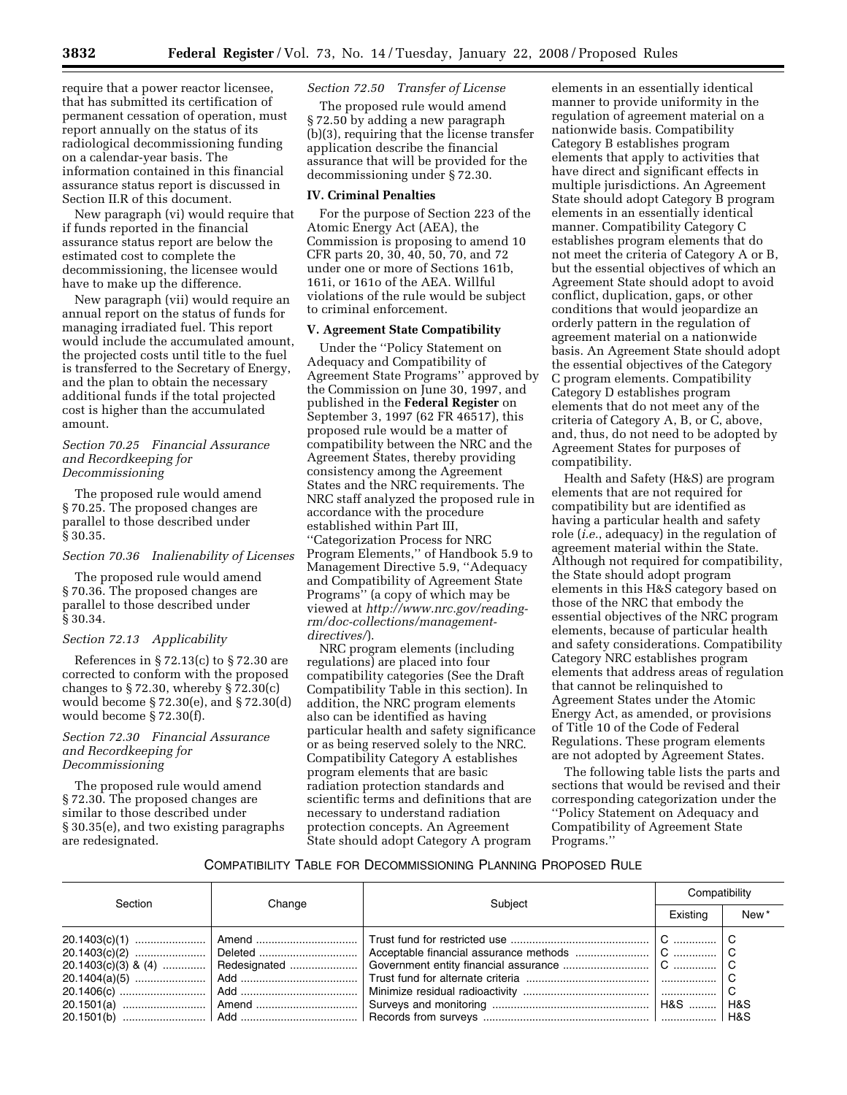require that a power reactor licensee, that has submitted its certification of permanent cessation of operation, must report annually on the status of its radiological decommissioning funding on a calendar-year basis. The information contained in this financial assurance status report is discussed in Section II.R of this document.

New paragraph (vi) would require that if funds reported in the financial assurance status report are below the estimated cost to complete the decommissioning, the licensee would have to make up the difference.

New paragraph (vii) would require an annual report on the status of funds for managing irradiated fuel. This report would include the accumulated amount, the projected costs until title to the fuel is transferred to the Secretary of Energy, and the plan to obtain the necessary additional funds if the total projected cost is higher than the accumulated amount.

## *Section 70.25 Financial Assurance and Recordkeeping for Decommissioning*

The proposed rule would amend § 70.25. The proposed changes are parallel to those described under § 30.35.

## *Section 70.36 Inalienability of Licenses*

The proposed rule would amend § 70.36. The proposed changes are parallel to those described under § 30.34.

# *Section 72.13 Applicability*

References in § 72.13(c) to § 72.30 are corrected to conform with the proposed changes to  $\S 72.30$ , whereby  $\S 72.30(c)$ would become § 72.30(e), and § 72.30(d) would become § 72.30(f).

## *Section 72.30 Financial Assurance and Recordkeeping for Decommissioning*

The proposed rule would amend § 72.30. The proposed changes are similar to those described under § 30.35(e), and two existing paragraphs are redesignated.

## *Section 72.50 Transfer of License*

The proposed rule would amend § 72.50 by adding a new paragraph (b)(3), requiring that the license transfer application describe the financial assurance that will be provided for the decommissioning under § 72.30.

#### **IV. Criminal Penalties**

For the purpose of Section 223 of the Atomic Energy Act (AEA), the Commission is proposing to amend 10 CFR parts 20, 30, 40, 50, 70, and 72 under one or more of Sections 161b, 161i, or 161o of the AEA. Willful violations of the rule would be subject to criminal enforcement.

#### **V. Agreement State Compatibility**

Under the ''Policy Statement on Adequacy and Compatibility of Agreement State Programs'' approved by the Commission on June 30, 1997, and published in the **Federal Register** on September 3, 1997 (62 FR 46517), this proposed rule would be a matter of compatibility between the NRC and the Agreement States, thereby providing consistency among the Agreement States and the NRC requirements. The NRC staff analyzed the proposed rule in accordance with the procedure established within Part III, ''Categorization Process for NRC Program Elements,'' of Handbook 5.9 to Management Directive 5.9, ''Adequacy and Compatibility of Agreement State Programs'' (a copy of which may be viewed at *http://www.nrc.gov/readingrm/doc-collections/managementdirectives/*).

NRC program elements (including regulations) are placed into four compatibility categories (See the Draft Compatibility Table in this section). In addition, the NRC program elements also can be identified as having particular health and safety significance or as being reserved solely to the NRC. Compatibility Category A establishes program elements that are basic radiation protection standards and scientific terms and definitions that are necessary to understand radiation protection concepts. An Agreement State should adopt Category A program

elements in an essentially identical manner to provide uniformity in the regulation of agreement material on a nationwide basis. Compatibility Category B establishes program elements that apply to activities that have direct and significant effects in multiple jurisdictions. An Agreement State should adopt Category B program elements in an essentially identical manner. Compatibility Category C establishes program elements that do not meet the criteria of Category A or B, but the essential objectives of which an Agreement State should adopt to avoid conflict, duplication, gaps, or other conditions that would jeopardize an orderly pattern in the regulation of agreement material on a nationwide basis. An Agreement State should adopt the essential objectives of the Category C program elements. Compatibility Category D establishes program elements that do not meet any of the criteria of Category A, B, or C, above, and, thus, do not need to be adopted by Agreement States for purposes of compatibility.

Health and Safety (H&S) are program elements that are not required for compatibility but are identified as having a particular health and safety role (*i.e.*, adequacy) in the regulation of agreement material within the State. Although not required for compatibility, the State should adopt program elements in this H&S category based on those of the NRC that embody the essential objectives of the NRC program elements, because of particular health and safety considerations. Compatibility Category NRC establishes program elements that address areas of regulation that cannot be relinquished to Agreement States under the Atomic Energy Act, as amended, or provisions of Title 10 of the Code of Federal Regulations. These program elements are not adopted by Agreement States.

The following table lists the parts and sections that would be revised and their corresponding categorization under the ''Policy Statement on Adequacy and Compatibility of Agreement State Programs.''

# COMPATIBILITY TABLE FOR DECOMMISSIONING PLANNING PROPOSED RULE

| Section | Change | Subject | Compatibility |                  |
|---------|--------|---------|---------------|------------------|
|         |        |         | Existing      | New <sup>*</sup> |
|         |        |         |               |                  |
|         |        |         |               |                  |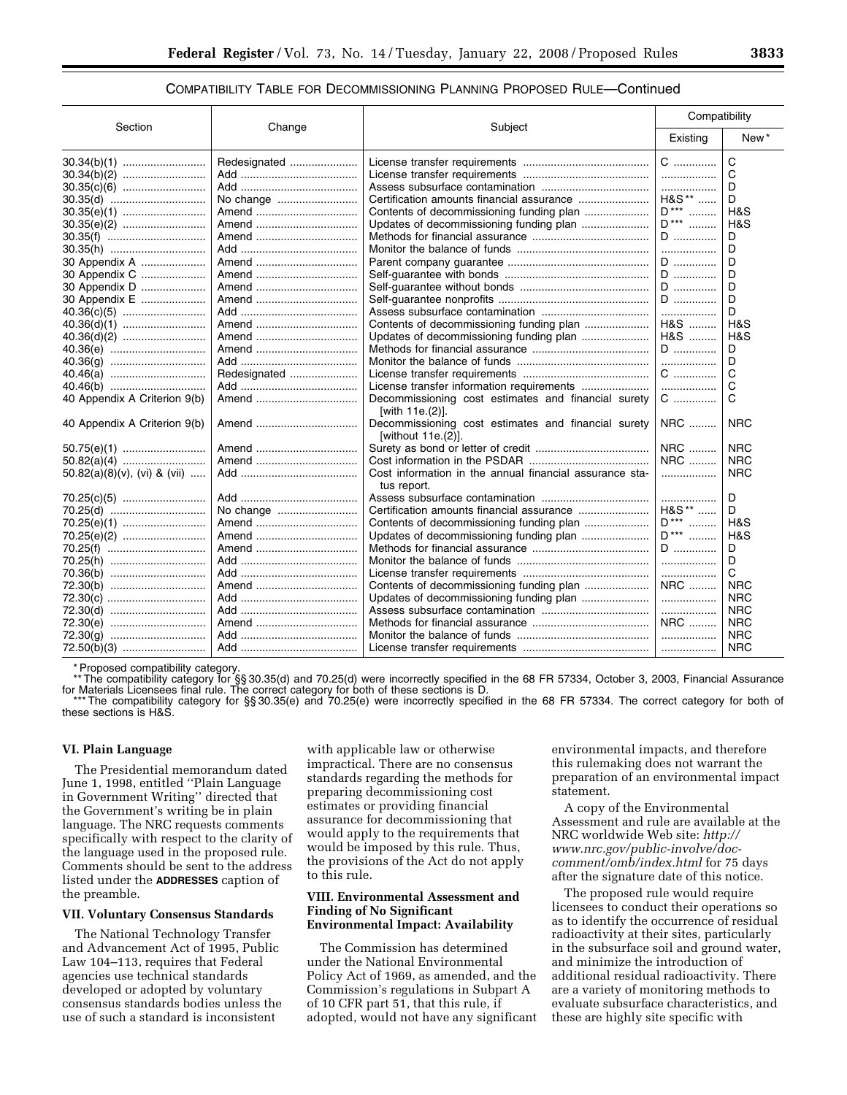## COMPATIBILITY TABLE FOR DECOMMISSIONING PLANNING PROPOSED RULE—Continued

| Section                         | Change       | Subject                                                                | Compatibility           |            |
|---------------------------------|--------------|------------------------------------------------------------------------|-------------------------|------------|
|                                 |              |                                                                        | Existing                | New*       |
|                                 | Redesignated |                                                                        | $C$                     | C          |
|                                 |              |                                                                        | .                       | C          |
|                                 |              |                                                                        | .                       | D          |
|                                 | No change    |                                                                        | H&S**                   | D          |
|                                 | Amend        |                                                                        | $D***$                  | H&S        |
|                                 | Amend        |                                                                        | $\mathsf{D}^{***}$<br>. | H&S        |
|                                 | Amend        |                                                                        | D                       | D          |
|                                 |              |                                                                        | .                       | D          |
| 30 Appendix A                   | Amend        |                                                                        | D                       | D          |
| 30 Appendix C                   | Amend        |                                                                        | D                       | D          |
| 30 Appendix D                   | Amend        |                                                                        | D                       | D          |
| 30 Appendix E                   | Amend        |                                                                        | D                       | D          |
|                                 |              |                                                                        | .                       | D          |
|                                 |              | Contents of decommissioning funding plan                               | H&S                     | H&S        |
|                                 |              | Updates of decommissioning funding plan                                | H&S                     | H&S        |
| 40.36(e)                        | Amend        |                                                                        | D                       | D          |
|                                 |              |                                                                        | .                       | D          |
|                                 | Redesignated |                                                                        | C                       | C          |
|                                 |              |                                                                        | .                       | C          |
| 40 Appendix A Criterion 9(b)    | Amend        | Decommissioning cost estimates and financial surety<br>[with 11e.(2)]. | C                       | C          |
| 40 Appendix A Criterion 9(b)    |              | Decommissioning cost estimates and financial surety                    | NRC                     | <b>NRC</b> |
|                                 |              | [without 11e.(2)].                                                     |                         |            |
|                                 | Amend        |                                                                        | <b>NRC</b>              | <b>NRC</b> |
|                                 |              |                                                                        | <b>NRC</b>              | <b>NRC</b> |
| $50.82(a)(8)(v)$ , (vi) & (vii) |              | Cost information in the annual financial assurance sta-                | .                       | <b>NRC</b> |
|                                 |              | tus report.                                                            |                         |            |
|                                 |              |                                                                        | .                       | D          |
| 70.25(d)                        | No change    |                                                                        | H&S**                   | D          |
| 70.25(e)(1)                     | Amend        |                                                                        | $D***$                  | H&S        |
| 70.25(e)(2)                     | Amend        |                                                                        | $D***$<br>.             | H&S        |
| 70.25(f)                        | Amend        |                                                                        | D                       | D          |
| 70.25(h)                        |              |                                                                        | .                       | D          |
| 70.36(b)                        |              |                                                                        | .                       | C          |
| 72.30(b)                        | Amend        | Contents of decommissioning funding plan                               | NRC                     | <b>NRC</b> |
| 72.30(c)                        |              | Updates of decommissioning funding plan                                | .                       | <b>NRC</b> |
| 72.30(d)                        |              |                                                                        | .                       | <b>NRC</b> |
| 72.30(e)                        | Amend        |                                                                        | <b>NRC</b>              | <b>NRC</b> |
|                                 |              |                                                                        | .                       | <b>NRC</b> |
|                                 |              |                                                                        | .                       | <b>NRC</b> |

\* Proposed compatibility category.

\*\* The compatibility category for §§ 30.35(d) and 70.25(d) were incorrectly specified in the 68 FR 57334, October 3, 2003, Financial Assurance for Materials Licensees final rule. The correct category for both of these sections is D.

\*\*\* The compatibility category for §§ 30.35(e) and 70.25(e) were incorrectly specified in the 68 FR 57334. The correct category for both of these sections is H&S.

#### **VI. Plain Language**

The Presidential memorandum dated June 1, 1998, entitled ''Plain Language in Government Writing'' directed that the Government's writing be in plain language. The NRC requests comments specifically with respect to the clarity of the language used in the proposed rule. Comments should be sent to the address listed under the **ADDRESSES** caption of the preamble.

#### **VII. Voluntary Consensus Standards**

The National Technology Transfer and Advancement Act of 1995, Public Law 104–113, requires that Federal agencies use technical standards developed or adopted by voluntary consensus standards bodies unless the use of such a standard is inconsistent

with applicable law or otherwise impractical. There are no consensus standards regarding the methods for preparing decommissioning cost estimates or providing financial assurance for decommissioning that would apply to the requirements that would be imposed by this rule. Thus, the provisions of the Act do not apply to this rule.

## **VIII. Environmental Assessment and Finding of No Significant Environmental Impact: Availability**

The Commission has determined under the National Environmental Policy Act of 1969, as amended, and the Commission's regulations in Subpart A of 10 CFR part 51, that this rule, if adopted, would not have any significant

environmental impacts, and therefore this rulemaking does not warrant the preparation of an environmental impact statement.

A copy of the Environmental Assessment and rule are available at the NRC worldwide Web site: *http:// www.nrc.gov/public-involve/doccomment/omb/index.html* for 75 days after the signature date of this notice.

The proposed rule would require licensees to conduct their operations so as to identify the occurrence of residual radioactivity at their sites, particularly in the subsurface soil and ground water, and minimize the introduction of additional residual radioactivity. There are a variety of monitoring methods to evaluate subsurface characteristics, and these are highly site specific with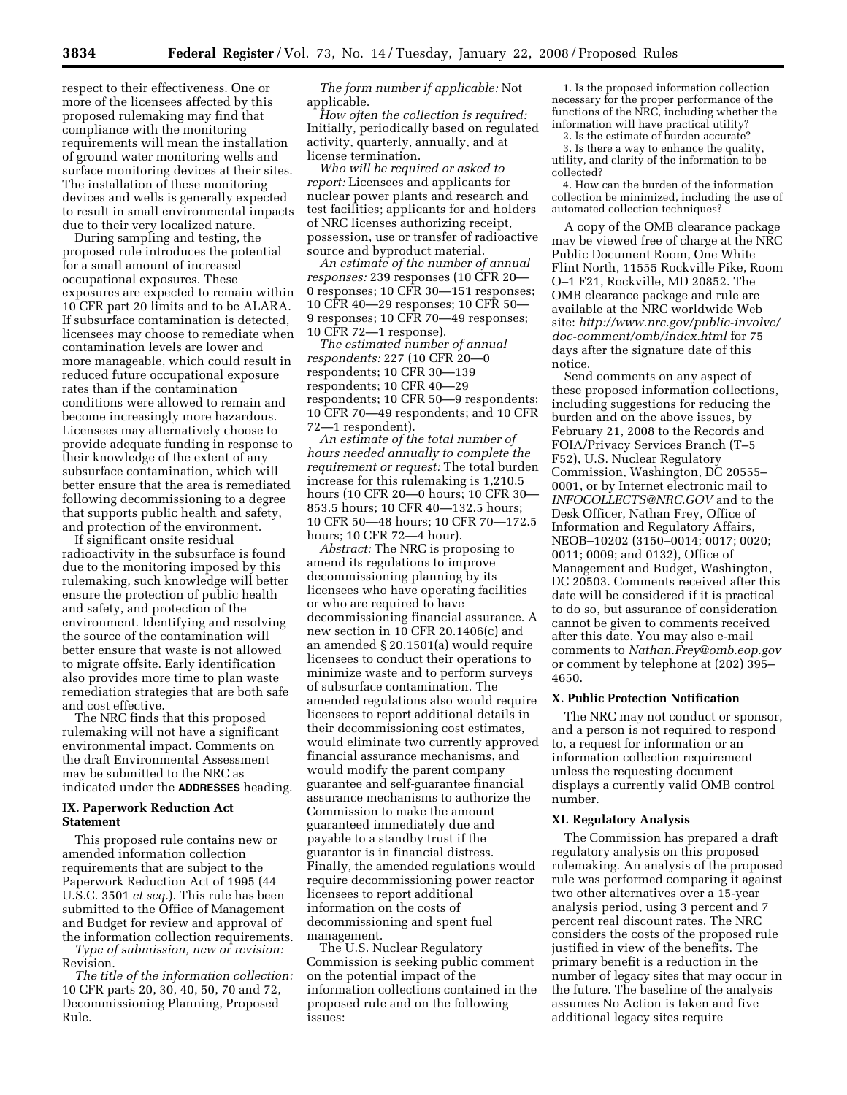respect to their effectiveness. One or more of the licensees affected by this proposed rulemaking may find that compliance with the monitoring requirements will mean the installation of ground water monitoring wells and surface monitoring devices at their sites. The installation of these monitoring devices and wells is generally expected to result in small environmental impacts due to their very localized nature.

During sampling and testing, the proposed rule introduces the potential for a small amount of increased occupational exposures. These exposures are expected to remain within 10 CFR part 20 limits and to be ALARA. If subsurface contamination is detected, licensees may choose to remediate when contamination levels are lower and more manageable, which could result in reduced future occupational exposure rates than if the contamination conditions were allowed to remain and become increasingly more hazardous. Licensees may alternatively choose to provide adequate funding in response to their knowledge of the extent of any subsurface contamination, which will better ensure that the area is remediated following decommissioning to a degree that supports public health and safety, and protection of the environment.

If significant onsite residual radioactivity in the subsurface is found due to the monitoring imposed by this rulemaking, such knowledge will better ensure the protection of public health and safety, and protection of the environment. Identifying and resolving the source of the contamination will better ensure that waste is not allowed to migrate offsite. Early identification also provides more time to plan waste remediation strategies that are both safe and cost effective.

The NRC finds that this proposed rulemaking will not have a significant environmental impact. Comments on the draft Environmental Assessment may be submitted to the NRC as indicated under the **ADDRESSES** heading.

## **IX. Paperwork Reduction Act Statement**

This proposed rule contains new or amended information collection requirements that are subject to the Paperwork Reduction Act of 1995 (44 U.S.C. 3501 *et seq.*). This rule has been submitted to the Office of Management and Budget for review and approval of the information collection requirements.

*Type of submission, new or revision:*  Revision.

*The title of the information collection:*  10 CFR parts 20, 30, 40, 50, 70 and 72, Decommissioning Planning, Proposed Rule.

*The form number if applicable:* Not applicable.

*How often the collection is required:*  Initially, periodically based on regulated activity, quarterly, annually, and at license termination.

*Who will be required or asked to report:* Licensees and applicants for nuclear power plants and research and test facilities; applicants for and holders of NRC licenses authorizing receipt, possession, use or transfer of radioactive source and byproduct material.

*An estimate of the number of annual responses:* 239 responses (10 CFR 20— 0 responses; 10 CFR 30—151 responses; 10 CFR 40—29 responses; 10 CFR 50— 9 responses; 10 CFR 70—49 responses; 10 CFR 72—1 response).

*The estimated number of annual respondents:* 227 (10 CFR 20—0 respondents; 10 CFR 30—139 respondents; 10 CFR 40—29 respondents; 10 CFR 50—9 respondents; 10 CFR 70—49 respondents; and 10 CFR 72—1 respondent).

*An estimate of the total number of hours needed annually to complete the requirement or request:* The total burden increase for this rulemaking is 1,210.5 hours (10 CFR 20—0 hours; 10 CFR 30— 853.5 hours; 10 CFR 40—132.5 hours; 10 CFR 50—48 hours; 10 CFR 70—172.5 hours; 10 CFR 72—4 hour).

*Abstract:* The NRC is proposing to amend its regulations to improve decommissioning planning by its licensees who have operating facilities or who are required to have decommissioning financial assurance. A new section in 10 CFR 20.1406(c) and an amended § 20.1501(a) would require licensees to conduct their operations to minimize waste and to perform surveys of subsurface contamination. The amended regulations also would require licensees to report additional details in their decommissioning cost estimates, would eliminate two currently approved financial assurance mechanisms, and would modify the parent company guarantee and self-guarantee financial assurance mechanisms to authorize the Commission to make the amount guaranteed immediately due and payable to a standby trust if the guarantor is in financial distress. Finally, the amended regulations would require decommissioning power reactor licensees to report additional information on the costs of decommissioning and spent fuel management.

The U.S. Nuclear Regulatory Commission is seeking public comment on the potential impact of the information collections contained in the proposed rule and on the following issues:

1. Is the proposed information collection necessary for the proper performance of the functions of the NRC, including whether the information will have practical utility?

2. Is the estimate of burden accurate?

3. Is there a way to enhance the quality, utility, and clarity of the information to be collected?

4. How can the burden of the information collection be minimized, including the use of automated collection techniques?

A copy of the OMB clearance package may be viewed free of charge at the NRC Public Document Room, One White Flint North, 11555 Rockville Pike, Room O–1 F21, Rockville, MD 20852. The OMB clearance package and rule are available at the NRC worldwide Web site: *http://www.nrc.gov/public-involve/ doc-comment/omb/index.html* for 75 days after the signature date of this notice.

Send comments on any aspect of these proposed information collections, including suggestions for reducing the burden and on the above issues, by February 21, 2008 to the Records and FOIA/Privacy Services Branch (T–5 F52), U.S. Nuclear Regulatory Commission, Washington, DC 20555– 0001, or by Internet electronic mail to *INFOCOLLECTS@NRC.GOV* and to the Desk Officer, Nathan Frey, Office of Information and Regulatory Affairs, NEOB–10202 (3150–0014; 0017; 0020; 0011; 0009; and 0132), Office of Management and Budget, Washington, DC 20503. Comments received after this date will be considered if it is practical to do so, but assurance of consideration cannot be given to comments received after this date. You may also e-mail comments to *Nathan.Frey@omb.eop.gov*  or comment by telephone at (202) 395– 4650.

## **X. Public Protection Notification**

The NRC may not conduct or sponsor, and a person is not required to respond to, a request for information or an information collection requirement unless the requesting document displays a currently valid OMB control number.

#### **XI. Regulatory Analysis**

The Commission has prepared a draft regulatory analysis on this proposed rulemaking. An analysis of the proposed rule was performed comparing it against two other alternatives over a 15-year analysis period, using 3 percent and 7 percent real discount rates. The NRC considers the costs of the proposed rule justified in view of the benefits. The primary benefit is a reduction in the number of legacy sites that may occur in the future. The baseline of the analysis assumes No Action is taken and five additional legacy sites require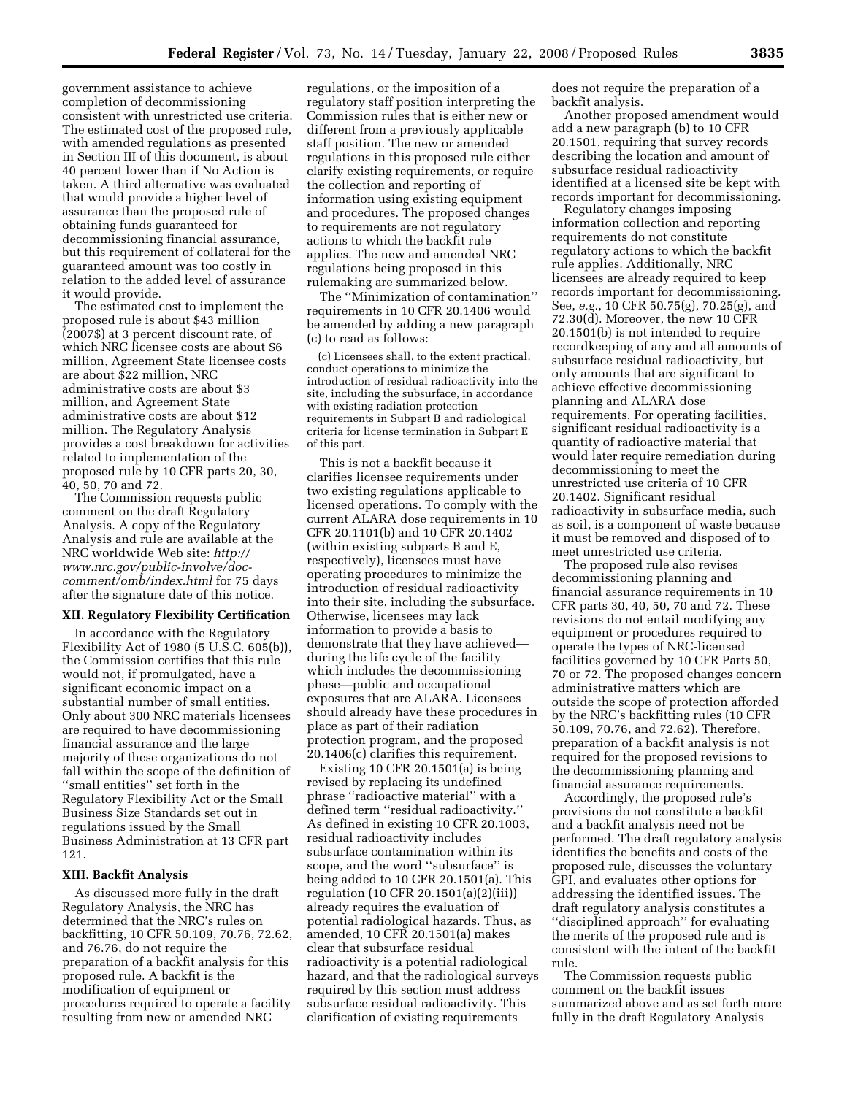government assistance to achieve completion of decommissioning consistent with unrestricted use criteria. The estimated cost of the proposed rule, with amended regulations as presented in Section III of this document, is about 40 percent lower than if No Action is taken. A third alternative was evaluated that would provide a higher level of assurance than the proposed rule of obtaining funds guaranteed for decommissioning financial assurance, but this requirement of collateral for the guaranteed amount was too costly in relation to the added level of assurance it would provide.

The estimated cost to implement the proposed rule is about \$43 million (2007\$) at 3 percent discount rate, of which NRC licensee costs are about \$6 million, Agreement State licensee costs are about \$22 million, NRC administrative costs are about \$3 million, and Agreement State administrative costs are about \$12 million. The Regulatory Analysis provides a cost breakdown for activities related to implementation of the proposed rule by 10 CFR parts 20, 30, 40, 50, 70 and 72.

The Commission requests public comment on the draft Regulatory Analysis. A copy of the Regulatory Analysis and rule are available at the NRC worldwide Web site: *http:// www.nrc.gov/public-involve/doccomment/omb/index.html* for 75 days after the signature date of this notice.

#### **XII. Regulatory Flexibility Certification**

In accordance with the Regulatory Flexibility Act of 1980 (5 U.S.C. 605(b)), the Commission certifies that this rule would not, if promulgated, have a significant economic impact on a substantial number of small entities. Only about 300 NRC materials licensees are required to have decommissioning financial assurance and the large majority of these organizations do not fall within the scope of the definition of ''small entities'' set forth in the Regulatory Flexibility Act or the Small Business Size Standards set out in regulations issued by the Small Business Administration at 13 CFR part 121.

#### **XIII. Backfit Analysis**

As discussed more fully in the draft Regulatory Analysis, the NRC has determined that the NRC's rules on backfitting, 10 CFR 50.109, 70.76, 72.62, and 76.76, do not require the preparation of a backfit analysis for this proposed rule. A backfit is the modification of equipment or procedures required to operate a facility resulting from new or amended NRC

regulations, or the imposition of a regulatory staff position interpreting the Commission rules that is either new or different from a previously applicable staff position. The new or amended regulations in this proposed rule either clarify existing requirements, or require the collection and reporting of information using existing equipment and procedures. The proposed changes to requirements are not regulatory actions to which the backfit rule applies. The new and amended NRC regulations being proposed in this rulemaking are summarized below.

The ''Minimization of contamination'' requirements in 10 CFR 20.1406 would be amended by adding a new paragraph (c) to read as follows:

(c) Licensees shall, to the extent practical, conduct operations to minimize the introduction of residual radioactivity into the site, including the subsurface, in accordance with existing radiation protection requirements in Subpart B and radiological criteria for license termination in Subpart E of this part.

This is not a backfit because it clarifies licensee requirements under two existing regulations applicable to licensed operations. To comply with the current ALARA dose requirements in 10 CFR 20.1101(b) and 10 CFR 20.1402 (within existing subparts B and E, respectively), licensees must have operating procedures to minimize the introduction of residual radioactivity into their site, including the subsurface. Otherwise, licensees may lack information to provide a basis to demonstrate that they have achieved during the life cycle of the facility which includes the decommissioning phase—public and occupational exposures that are ALARA. Licensees should already have these procedures in place as part of their radiation protection program, and the proposed 20.1406(c) clarifies this requirement.

Existing 10 CFR 20.1501(a) is being revised by replacing its undefined phrase ''radioactive material'' with a defined term ''residual radioactivity.'' As defined in existing 10 CFR 20.1003, residual radioactivity includes subsurface contamination within its scope, and the word ''subsurface'' is being added to 10 CFR 20.1501(a). This regulation (10 CFR 20.1501(a)(2)(iii)) already requires the evaluation of potential radiological hazards. Thus, as amended, 10 CFR 20.1501(a) makes clear that subsurface residual radioactivity is a potential radiological hazard, and that the radiological surveys required by this section must address subsurface residual radioactivity. This clarification of existing requirements

does not require the preparation of a backfit analysis.

Another proposed amendment would add a new paragraph (b) to 10 CFR 20.1501, requiring that survey records describing the location and amount of subsurface residual radioactivity identified at a licensed site be kept with records important for decommissioning.

Regulatory changes imposing information collection and reporting requirements do not constitute regulatory actions to which the backfit rule applies. Additionally, NRC licensees are already required to keep records important for decommissioning. See, *e.g.*, 10 CFR 50.75(g), 70.25(g), and 72.30(d). Moreover, the new 10 CFR 20.1501(b) is not intended to require recordkeeping of any and all amounts of subsurface residual radioactivity, but only amounts that are significant to achieve effective decommissioning planning and ALARA dose requirements. For operating facilities, significant residual radioactivity is a quantity of radioactive material that would later require remediation during decommissioning to meet the unrestricted use criteria of 10 CFR 20.1402. Significant residual radioactivity in subsurface media, such as soil, is a component of waste because it must be removed and disposed of to meet unrestricted use criteria.

The proposed rule also revises decommissioning planning and financial assurance requirements in 10 CFR parts 30, 40, 50, 70 and 72. These revisions do not entail modifying any equipment or procedures required to operate the types of NRC-licensed facilities governed by 10 CFR Parts 50, 70 or 72. The proposed changes concern administrative matters which are outside the scope of protection afforded by the NRC's backfitting rules (10 CFR 50.109, 70.76, and 72.62). Therefore, preparation of a backfit analysis is not required for the proposed revisions to the decommissioning planning and financial assurance requirements.

Accordingly, the proposed rule's provisions do not constitute a backfit and a backfit analysis need not be performed. The draft regulatory analysis identifies the benefits and costs of the proposed rule, discusses the voluntary GPI, and evaluates other options for addressing the identified issues. The draft regulatory analysis constitutes a ''disciplined approach'' for evaluating the merits of the proposed rule and is consistent with the intent of the backfit rule.

The Commission requests public comment on the backfit issues summarized above and as set forth more fully in the draft Regulatory Analysis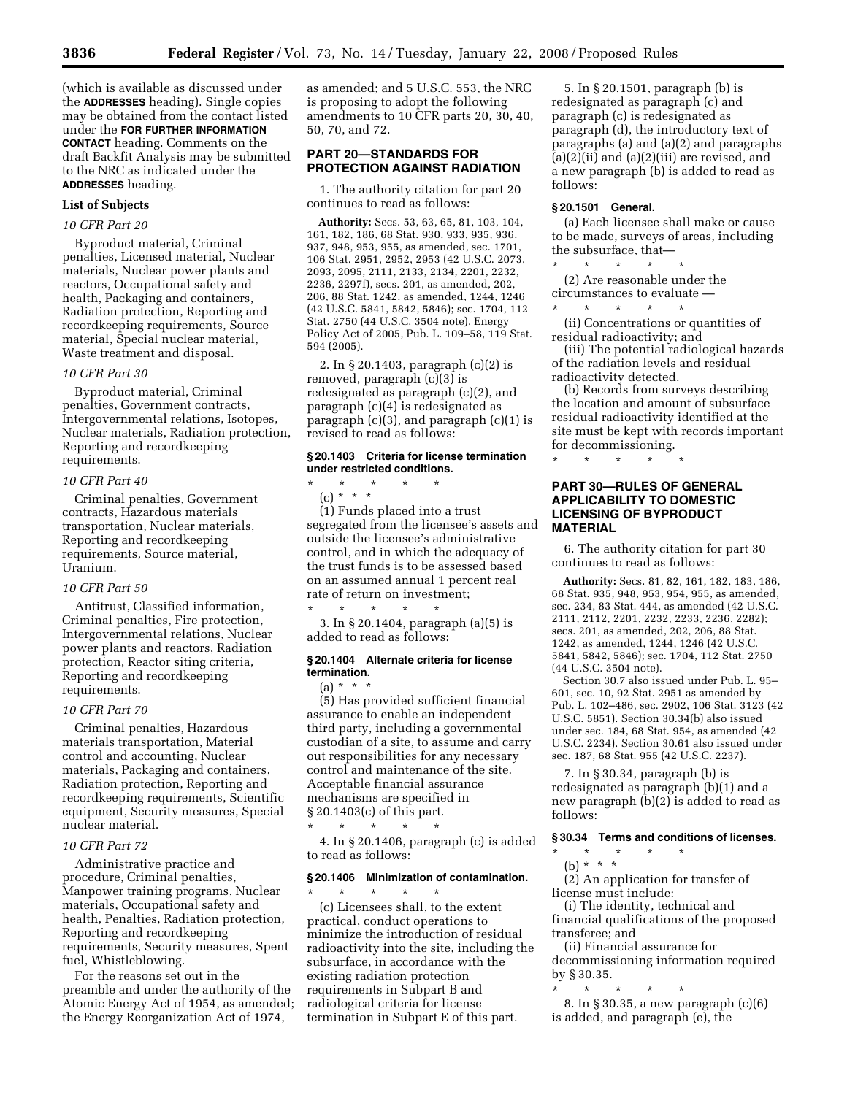(which is available as discussed under the **ADDRESSES** heading). Single copies may be obtained from the contact listed under the **FOR FURTHER INFORMATION CONTACT** heading. Comments on the draft Backfit Analysis may be submitted to the NRC as indicated under the **ADDRESSES** heading.

#### **List of Subjects**

## *10 CFR Part 20*

Byproduct material, Criminal penalties, Licensed material, Nuclear materials, Nuclear power plants and reactors, Occupational safety and health, Packaging and containers, Radiation protection, Reporting and recordkeeping requirements, Source material, Special nuclear material, Waste treatment and disposal.

#### *10 CFR Part 30*

Byproduct material, Criminal penalties, Government contracts, Intergovernmental relations, Isotopes, Nuclear materials, Radiation protection, Reporting and recordkeeping requirements.

#### *10 CFR Part 40*

Criminal penalties, Government contracts, Hazardous materials transportation, Nuclear materials, Reporting and recordkeeping requirements, Source material, Uranium.

#### *10 CFR Part 50*

Antitrust, Classified information, Criminal penalties, Fire protection, Intergovernmental relations, Nuclear power plants and reactors, Radiation protection, Reactor siting criteria, Reporting and recordkeeping requirements.

#### *10 CFR Part 70*

Criminal penalties, Hazardous materials transportation, Material control and accounting, Nuclear materials, Packaging and containers, Radiation protection, Reporting and recordkeeping requirements, Scientific equipment, Security measures, Special nuclear material.

## *10 CFR Part 72*

Administrative practice and procedure, Criminal penalties, Manpower training programs, Nuclear materials, Occupational safety and health, Penalties, Radiation protection, Reporting and recordkeeping requirements, Security measures, Spent fuel, Whistleblowing.

For the reasons set out in the preamble and under the authority of the Atomic Energy Act of 1954, as amended; the Energy Reorganization Act of 1974,

as amended; and 5 U.S.C. 553, the NRC is proposing to adopt the following amendments to 10 CFR parts 20, 30, 40, 50, 70, and 72.

## **PART 20—STANDARDS FOR PROTECTION AGAINST RADIATION**

1. The authority citation for part 20 continues to read as follows:

**Authority:** Secs. 53, 63, 65, 81, 103, 104, 161, 182, 186, 68 Stat. 930, 933, 935, 936, 937, 948, 953, 955, as amended, sec. 1701, 106 Stat. 2951, 2952, 2953 (42 U.S.C. 2073, 2093, 2095, 2111, 2133, 2134, 2201, 2232, 2236, 2297f), secs. 201, as amended, 202, 206, 88 Stat. 1242, as amended, 1244, 1246 (42 U.S.C. 5841, 5842, 5846); sec. 1704, 112 Stat. 2750 (44 U.S.C. 3504 note), Energy Policy Act of 2005, Pub. L. 109–58, 119 Stat. 594 (2005).

2. In § 20.1403, paragraph (c)(2) is removed, paragraph (c)(3) is redesignated as paragraph (c)(2), and paragraph (c)(4) is redesignated as paragraph (c)(3), and paragraph (c)(1) is revised to read as follows:

#### **§ 20.1403 Criteria for license termination under restricted conditions.**

\* \* \* \* \* (c) \* \* \* (1) Funds placed into a trust segregated from the licensee's assets and outside the licensee's administrative control, and in which the adequacy of the trust funds is to be assessed based on an assumed annual 1 percent real rate of return on investment;

\* \* \* \* \* 3. In § 20.1404, paragraph (a)(5) is added to read as follows:

#### **§ 20.1404 Alternate criteria for license termination.**

 $(a) * * * *$ (5) Has provided sufficient financial assurance to enable an independent third party, including a governmental custodian of a site, to assume and carry out responsibilities for any necessary control and maintenance of the site. Acceptable financial assurance mechanisms are specified in § 20.1403(c) of this part.

\* \* \* \* \*

4. In § 20.1406, paragraph (c) is added to read as follows:

# **§ 20.1406 Minimization of contamination.**

\* \* \* \* \* (c) Licensees shall, to the extent practical, conduct operations to minimize the introduction of residual radioactivity into the site, including the subsurface, in accordance with the existing radiation protection requirements in Subpart B and radiological criteria for license termination in Subpart E of this part.

5. In § 20.1501, paragraph (b) is redesignated as paragraph (c) and paragraph (c) is redesignated as paragraph (d), the introductory text of paragraphs (a) and (a)(2) and paragraphs (a)(2)(ii) and (a)(2)(iii) are revised, and a new paragraph (b) is added to read as follows:

# **§ 20.1501 General.**

(a) Each licensee shall make or cause to be made, surveys of areas, including the subsurface, that—

\* \* \* \* \* (2) Are reasonable under the circumstances to evaluate —

\* \* \* \* \* (ii) Concentrations or quantities of residual radioactivity; and

(iii) The potential radiological hazards of the radiation levels and residual radioactivity detected.

(b) Records from surveys describing the location and amount of subsurface residual radioactivity identified at the site must be kept with records important for decommissioning.

# \* \* \* \* \*

## **PART 30—RULES OF GENERAL APPLICABILITY TO DOMESTIC LICENSING OF BYPRODUCT MATERIAL**

6. The authority citation for part 30 continues to read as follows:

**Authority:** Secs. 81, 82, 161, 182, 183, 186, 68 Stat. 935, 948, 953, 954, 955, as amended, sec. 234, 83 Stat. 444, as amended (42 U.S.C. 2111, 2112, 2201, 2232, 2233, 2236, 2282); secs. 201, as amended, 202, 206, 88 Stat. 1242, as amended, 1244, 1246 (42 U.S.C. 5841, 5842, 5846); sec. 1704, 112 Stat. 2750 (44 U.S.C. 3504 note).

Section 30.7 also issued under Pub. L. 95– 601, sec. 10, 92 Stat. 2951 as amended by Pub. L. 102–486, sec. 2902, 106 Stat. 3123 (42 U.S.C. 5851). Section 30.34(b) also issued under sec. 184, 68 Stat. 954, as amended (42 U.S.C. 2234). Section 30.61 also issued under sec. 187, 68 Stat. 955 (42 U.S.C. 2237).

7. In § 30.34, paragraph (b) is redesignated as paragraph (b)(1) and a new paragraph (b)(2) is added to read as follows:

## **§ 30.34 Terms and conditions of licenses.**

\* \* \* \* \* (b) \* \* \*

(2) An application for transfer of license must include:

(i) The identity, technical and financial qualifications of the proposed transferee; and

(ii) Financial assurance for decommissioning information required by § 30.35.

\* \* \* \* \* 8. In § 30.35, a new paragraph (c)(6) is added, and paragraph (e), the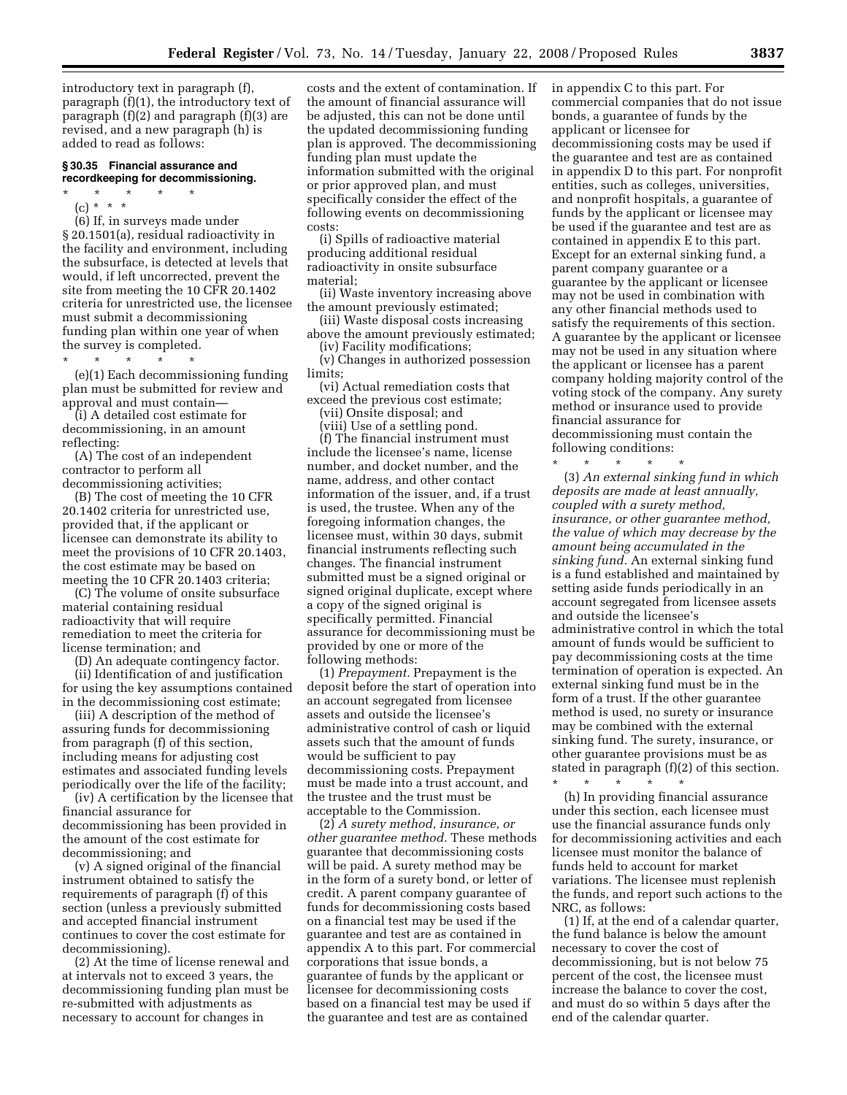introductory text in paragraph (f), paragraph (f)(1), the introductory text of paragraph (f)(2) and paragraph (f)(3) are revised, and a new paragraph (h) is added to read as follows:

#### **§ 30.35 Financial assurance and recordkeeping for decommissioning.**

- \* \* \* \* \*
	- (c) \* \* \*

(6) If, in surveys made under § 20.1501(a), residual radioactivity in the facility and environment, including the subsurface, is detected at levels that would, if left uncorrected, prevent the site from meeting the 10 CFR 20.1402 criteria for unrestricted use, the licensee must submit a decommissioning funding plan within one year of when the survey is completed.

\* \* \* \* \*

(e)(1) Each decommissioning funding plan must be submitted for review and approval and must contain—

(i) A detailed cost estimate for decommissioning, in an amount reflecting:

(A) The cost of an independent contractor to perform all decommissioning activities;

(B) The cost of meeting the 10 CFR 20.1402 criteria for unrestricted use, provided that, if the applicant or licensee can demonstrate its ability to meet the provisions of 10 CFR 20.1403, the cost estimate may be based on meeting the 10 CFR 20.1403 criteria;

(C) The volume of onsite subsurface material containing residual radioactivity that will require remediation to meet the criteria for license termination; and

(D) An adequate contingency factor. (ii) Identification of and justification for using the key assumptions contained in the decommissioning cost estimate;

(iii) A description of the method of assuring funds for decommissioning from paragraph (f) of this section, including means for adjusting cost estimates and associated funding levels periodically over the life of the facility;

(iv) A certification by the licensee that financial assurance for decommissioning has been provided in the amount of the cost estimate for decommissioning; and

(v) A signed original of the financial instrument obtained to satisfy the requirements of paragraph (f) of this section (unless a previously submitted and accepted financial instrument continues to cover the cost estimate for decommissioning).

(2) At the time of license renewal and at intervals not to exceed 3 years, the decommissioning funding plan must be re-submitted with adjustments as necessary to account for changes in

costs and the extent of contamination. If the amount of financial assurance will be adjusted, this can not be done until the updated decommissioning funding plan is approved. The decommissioning funding plan must update the information submitted with the original or prior approved plan, and must specifically consider the effect of the following events on decommissioning costs:

(i) Spills of radioactive material producing additional residual radioactivity in onsite subsurface material;

(ii) Waste inventory increasing above the amount previously estimated;

(iii) Waste disposal costs increasing above the amount previously estimated;

(iv) Facility modifications;

(v) Changes in authorized possession limits;

(vi) Actual remediation costs that exceed the previous cost estimate;

(vii) Onsite disposal; and

(viii) Use of a settling pond.

(f) The financial instrument must include the licensee's name, license number, and docket number, and the name, address, and other contact information of the issuer, and, if a trust is used, the trustee. When any of the foregoing information changes, the licensee must, within 30 days, submit financial instruments reflecting such changes. The financial instrument submitted must be a signed original or signed original duplicate, except where a copy of the signed original is specifically permitted. Financial assurance for decommissioning must be provided by one or more of the following methods:

(1) *Prepayment.* Prepayment is the deposit before the start of operation into an account segregated from licensee assets and outside the licensee's administrative control of cash or liquid assets such that the amount of funds would be sufficient to pay decommissioning costs. Prepayment must be made into a trust account, and the trustee and the trust must be acceptable to the Commission.

(2) *A surety method, insurance, or other guarantee method.* These methods guarantee that decommissioning costs will be paid. A surety method may be in the form of a surety bond, or letter of credit. A parent company guarantee of funds for decommissioning costs based on a financial test may be used if the guarantee and test are as contained in appendix A to this part. For commercial corporations that issue bonds, a guarantee of funds by the applicant or licensee for decommissioning costs based on a financial test may be used if the guarantee and test are as contained

in appendix C to this part. For commercial companies that do not issue bonds, a guarantee of funds by the applicant or licensee for decommissioning costs may be used if the guarantee and test are as contained in appendix D to this part. For nonprofit entities, such as colleges, universities, and nonprofit hospitals, a guarantee of funds by the applicant or licensee may be used if the guarantee and test are as contained in appendix E to this part. Except for an external sinking fund, a parent company guarantee or a guarantee by the applicant or licensee may not be used in combination with any other financial methods used to satisfy the requirements of this section. A guarantee by the applicant or licensee may not be used in any situation where the applicant or licensee has a parent company holding majority control of the voting stock of the company. Any surety method or insurance used to provide financial assurance for decommissioning must contain the following conditions:

\* \* \* \* \* (3) *An external sinking fund in which deposits are made at least annually, coupled with a surety method, insurance, or other guarantee method, the value of which may decrease by the amount being accumulated in the sinking fund.* An external sinking fund is a fund established and maintained by setting aside funds periodically in an account segregated from licensee assets and outside the licensee's administrative control in which the total amount of funds would be sufficient to pay decommissioning costs at the time termination of operation is expected. An external sinking fund must be in the form of a trust. If the other guarantee method is used, no surety or insurance may be combined with the external sinking fund. The surety, insurance, or other guarantee provisions must be as stated in paragraph (f)(2) of this section.

\* \* \* \* \* (h) In providing financial assurance under this section, each licensee must use the financial assurance funds only for decommissioning activities and each licensee must monitor the balance of funds held to account for market variations. The licensee must replenish the funds, and report such actions to the NRC, as follows:

(1) If, at the end of a calendar quarter, the fund balance is below the amount necessary to cover the cost of decommissioning, but is not below 75 percent of the cost, the licensee must increase the balance to cover the cost, and must do so within 5 days after the end of the calendar quarter.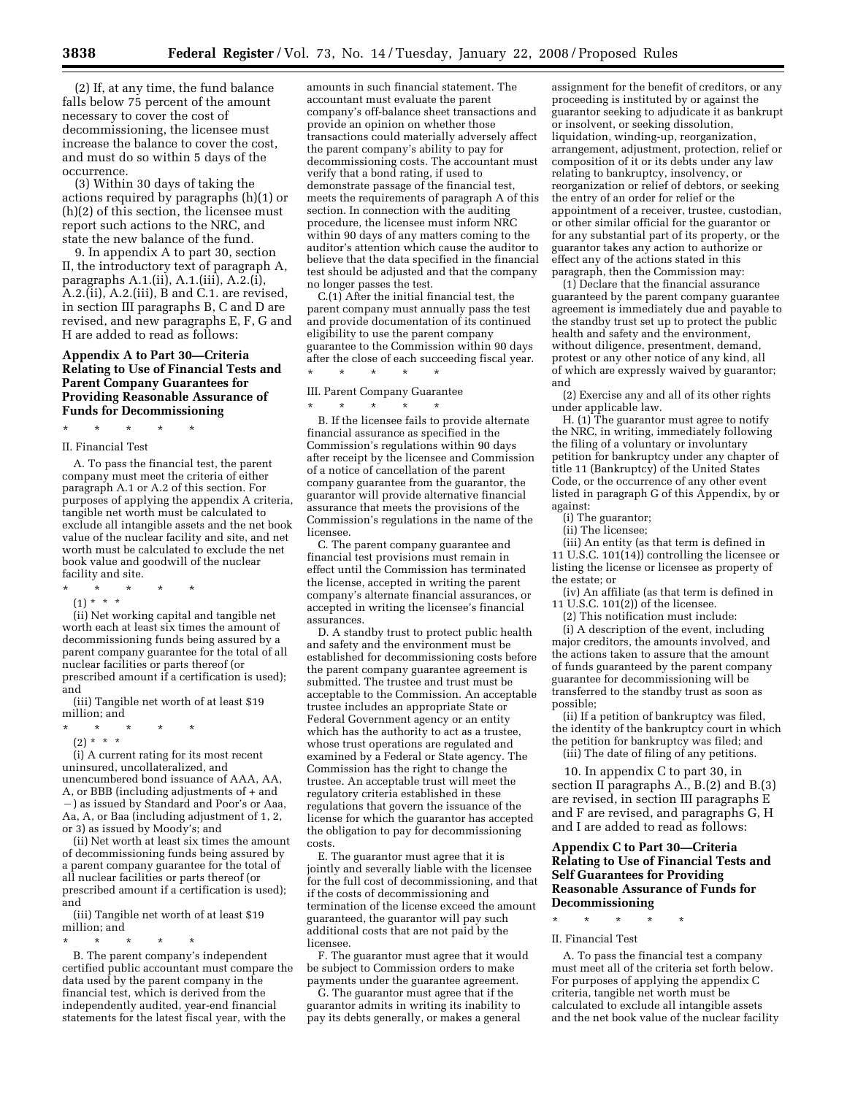(2) If, at any time, the fund balance falls below 75 percent of the amount necessary to cover the cost of decommissioning, the licensee must increase the balance to cover the cost, and must do so within 5 days of the occurrence.

(3) Within 30 days of taking the actions required by paragraphs (h)(1) or (h)(2) of this section, the licensee must report such actions to the NRC, and state the new balance of the fund.

9. In appendix A to part 30, section II, the introductory text of paragraph A, paragraphs A.1.(ii), A.1.(iii), A.2.(i), A.2.(ii), A.2.(iii), B and C.1. are revised, in section III paragraphs B, C and D are revised, and new paragraphs E, F, G and H are added to read as follows:

## **Appendix A to Part 30—Criteria Relating to Use of Financial Tests and Parent Company Guarantees for Providing Reasonable Assurance of Funds for Decommissioning**

\* \* \* \* \*

#### II. Financial Test

A. To pass the financial test, the parent company must meet the criteria of either paragraph A.1 or A.2 of this section. For purposes of applying the appendix A criteria, tangible net worth must be calculated to exclude all intangible assets and the net book value of the nuclear facility and site, and net worth must be calculated to exclude the net book value and goodwill of the nuclear facility and site.

- \* \* \* \* \*
- (1) \* \* \*

(ii) Net working capital and tangible net worth each at least six times the amount of decommissioning funds being assured by a parent company guarantee for the total of all nuclear facilities or parts thereof (or prescribed amount if a certification is used); and

(iii) Tangible net worth of at least \$19 million; and

- \* \* \* \* \*
	- (2) \* \* \*

(i) A current rating for its most recent uninsured, uncollateralized, and unencumbered bond issuance of AAA, AA, A, or BBB (including adjustments of + and  $-$ ) as issued by Standard and Poor's or Aaa, Aa, A, or Baa (including adjustment of 1, 2, or 3) as issued by Moody's; and

(ii) Net worth at least six times the amount of decommissioning funds being assured by a parent company guarantee for the total of all nuclear facilities or parts thereof (or prescribed amount if a certification is used); and

(iii) Tangible net worth of at least \$19 million; and

\* \* \* \* \*

B. The parent company's independent certified public accountant must compare the data used by the parent company in the financial test, which is derived from the independently audited, year-end financial statements for the latest fiscal year, with the

amounts in such financial statement. The accountant must evaluate the parent company's off-balance sheet transactions and provide an opinion on whether those transactions could materially adversely affect the parent company's ability to pay for decommissioning costs. The accountant must verify that a bond rating, if used to demonstrate passage of the financial test, meets the requirements of paragraph A of this section. In connection with the auditing procedure, the licensee must inform NRC within 90 days of any matters coming to the auditor's attention which cause the auditor to believe that the data specified in the financial test should be adjusted and that the company no longer passes the test.

C.(1) After the initial financial test, the parent company must annually pass the test and provide documentation of its continued eligibility to use the parent company guarantee to the Commission within 90 days after the close of each succeeding fiscal year. \* \* \* \* \*

III. Parent Company Guarantee

\* \* \* \* \* B. If the licensee fails to provide alternate financial assurance as specified in the Commission's regulations within 90 days after receipt by the licensee and Commission of a notice of cancellation of the parent company guarantee from the guarantor, the guarantor will provide alternative financial assurance that meets the provisions of the Commission's regulations in the name of the licensee.

C. The parent company guarantee and financial test provisions must remain in effect until the Commission has terminated the license, accepted in writing the parent company's alternate financial assurances, or accepted in writing the licensee's financial assurances.

D. A standby trust to protect public health and safety and the environment must be established for decommissioning costs before the parent company guarantee agreement is submitted. The trustee and trust must be acceptable to the Commission. An acceptable trustee includes an appropriate State or Federal Government agency or an entity which has the authority to act as a trustee, whose trust operations are regulated and examined by a Federal or State agency. The Commission has the right to change the trustee. An acceptable trust will meet the regulatory criteria established in these regulations that govern the issuance of the license for which the guarantor has accepted the obligation to pay for decommissioning costs.

E. The guarantor must agree that it is jointly and severally liable with the licensee for the full cost of decommissioning, and that if the costs of decommissioning and termination of the license exceed the amount guaranteed, the guarantor will pay such additional costs that are not paid by the licensee.

F. The guarantor must agree that it would be subject to Commission orders to make payments under the guarantee agreement.

G. The guarantor must agree that if the guarantor admits in writing its inability to pay its debts generally, or makes a general

assignment for the benefit of creditors, or any proceeding is instituted by or against the guarantor seeking to adjudicate it as bankrupt or insolvent, or seeking dissolution, liquidation, winding-up, reorganization, arrangement, adjustment, protection, relief or composition of it or its debts under any law relating to bankruptcy, insolvency, or reorganization or relief of debtors, or seeking the entry of an order for relief or the appointment of a receiver, trustee, custodian, or other similar official for the guarantor or for any substantial part of its property, or the guarantor takes any action to authorize or effect any of the actions stated in this paragraph, then the Commission may:

(1) Declare that the financial assurance guaranteed by the parent company guarantee agreement is immediately due and payable to the standby trust set up to protect the public health and safety and the environment, without diligence, presentment, demand, protest or any other notice of any kind, all of which are expressly waived by guarantor; and

(2) Exercise any and all of its other rights under applicable law.

H. (1) The guarantor must agree to notify the NRC, in writing, immediately following the filing of a voluntary or involuntary petition for bankruptcy under any chapter of title 11 (Bankruptcy) of the United States Code, or the occurrence of any other event listed in paragraph G of this Appendix, by or against:

- (i) The guarantor;
- (ii) The licensee;

(iii) An entity (as that term is defined in 11 U.S.C.  $101(14)$  controlling the licensee or listing the license or licensee as property of the estate; or

(iv) An affiliate (as that term is defined in 11 U.S.C. 101(2)) of the licensee.

(2) This notification must include:

(i) A description of the event, including major creditors, the amounts involved, and the actions taken to assure that the amount of funds guaranteed by the parent company guarantee for decommissioning will be transferred to the standby trust as soon as possible;

(ii) If a petition of bankruptcy was filed, the identity of the bankruptcy court in which the petition for bankruptcy was filed; and (iii) The date of filing of any petitions.

10. In appendix C to part 30, in section II paragraphs A., B.(2) and B.(3) are revised, in section III paragraphs E and F are revised, and paragraphs G, H and I are added to read as follows:

## **Appendix C to Part 30—Criteria Relating to Use of Financial Tests and Self Guarantees for Providing Reasonable Assurance of Funds for Decommissioning**

# \* \* \* \* \*

#### II. Financial Test

A. To pass the financial test a company must meet all of the criteria set forth below. For purposes of applying the appendix C criteria, tangible net worth must be calculated to exclude all intangible assets and the net book value of the nuclear facility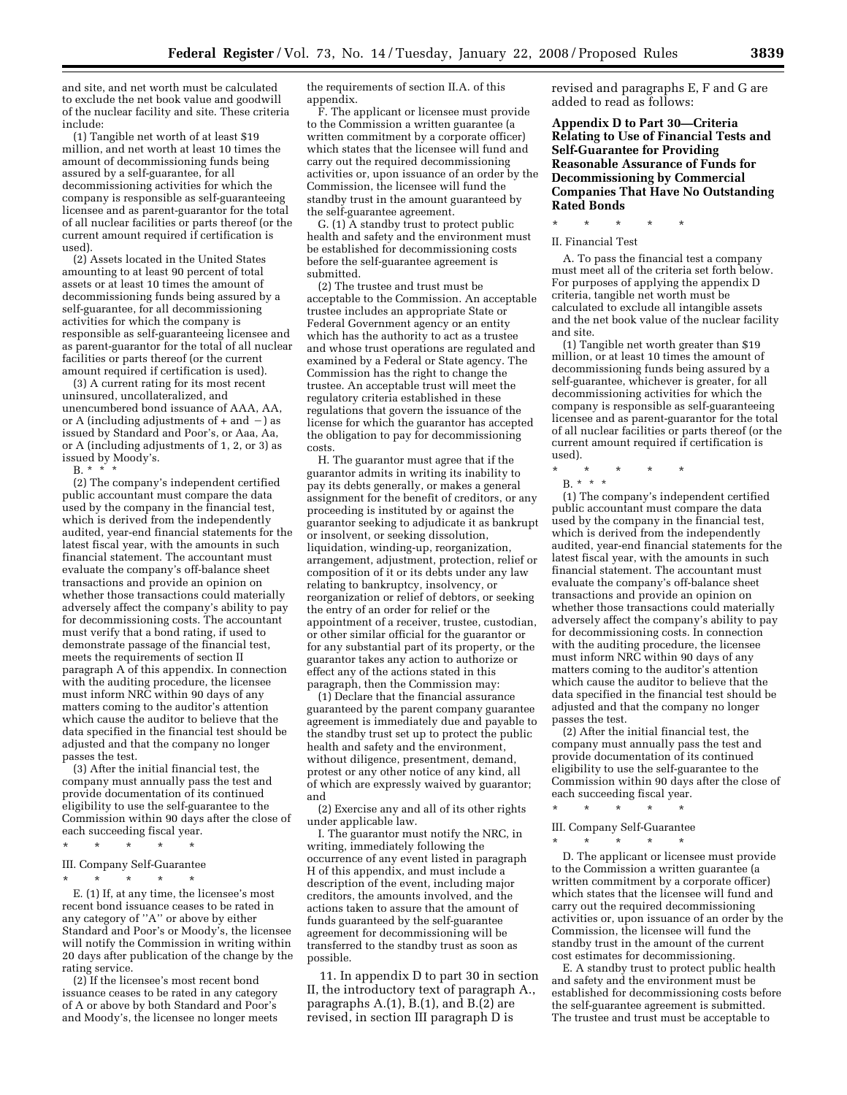and site, and net worth must be calculated to exclude the net book value and goodwill of the nuclear facility and site. These criteria include:

(1) Tangible net worth of at least \$19 million, and net worth at least 10 times the amount of decommissioning funds being assured by a self-guarantee, for all decommissioning activities for which the company is responsible as self-guaranteeing licensee and as parent-guarantor for the total of all nuclear facilities or parts thereof (or the current amount required if certification is used).

(2) Assets located in the United States amounting to at least 90 percent of total assets or at least 10 times the amount of decommissioning funds being assured by a self-guarantee, for all decommissioning activities for which the company is responsible as self-guaranteeing licensee and as parent-guarantor for the total of all nuclear facilities or parts thereof (or the current amount required if certification is used).

(3) A current rating for its most recent uninsured, uncollateralized, and unencumbered bond issuance of AAA, AA, or A (including adjustments of  $+$  and  $-$ ) as issued by Standard and Poor's, or Aaa, Aa, or A (including adjustments of 1, 2, or 3) as issued by Moody's.

 $B. * * * * *$ 

(2) The company's independent certified public accountant must compare the data used by the company in the financial test, which is derived from the independently audited, year-end financial statements for the latest fiscal year, with the amounts in such financial statement. The accountant must evaluate the company's off-balance sheet transactions and provide an opinion on whether those transactions could materially adversely affect the company's ability to pay for decommissioning costs. The accountant must verify that a bond rating, if used to demonstrate passage of the financial test, meets the requirements of section II paragraph A of this appendix. In connection with the auditing procedure, the licensee must inform NRC within 90 days of any matters coming to the auditor's attention which cause the auditor to believe that the data specified in the financial test should be adjusted and that the company no longer passes the test.

(3) After the initial financial test, the company must annually pass the test and provide documentation of its continued eligibility to use the self-guarantee to the Commission within 90 days after the close of each succeeding fiscal year.

## \* \* \* \* \* III. Company Self-Guarantee \* \* \* \* \*

E. (1) If, at any time, the licensee's most recent bond issuance ceases to be rated in any category of ''A'' or above by either Standard and Poor's or Moody's, the licensee will notify the Commission in writing within 20 days after publication of the change by the rating service.

(2) If the licensee's most recent bond issuance ceases to be rated in any category of A or above by both Standard and Poor's and Moody's, the licensee no longer meets

the requirements of section II.A. of this appendix.

F. The applicant or licensee must provide to the Commission a written guarantee (a written commitment by a corporate officer) which states that the licensee will fund and carry out the required decommissioning activities or, upon issuance of an order by the Commission, the licensee will fund the standby trust in the amount guaranteed by the self-guarantee agreement.

G. (1) A standby trust to protect public health and safety and the environment must be established for decommissioning costs before the self-guarantee agreement is submitted.

(2) The trustee and trust must be acceptable to the Commission. An acceptable trustee includes an appropriate State or Federal Government agency or an entity which has the authority to act as a trustee and whose trust operations are regulated and examined by a Federal or State agency. The Commission has the right to change the trustee. An acceptable trust will meet the regulatory criteria established in these regulations that govern the issuance of the license for which the guarantor has accepted the obligation to pay for decommissioning costs.

H. The guarantor must agree that if the guarantor admits in writing its inability to pay its debts generally, or makes a general assignment for the benefit of creditors, or any proceeding is instituted by or against the guarantor seeking to adjudicate it as bankrupt or insolvent, or seeking dissolution, liquidation, winding-up, reorganization, arrangement, adjustment, protection, relief or composition of it or its debts under any law relating to bankruptcy, insolvency, or reorganization or relief of debtors, or seeking the entry of an order for relief or the appointment of a receiver, trustee, custodian, or other similar official for the guarantor or for any substantial part of its property, or the guarantor takes any action to authorize or effect any of the actions stated in this paragraph, then the Commission may:

(1) Declare that the financial assurance guaranteed by the parent company guarantee agreement is immediately due and payable to the standby trust set up to protect the public health and safety and the environment, without diligence, presentment, demand, protest or any other notice of any kind, all of which are expressly waived by guarantor; and

(2) Exercise any and all of its other rights under applicable law.

I. The guarantor must notify the NRC, in writing, immediately following the occurrence of any event listed in paragraph H of this appendix, and must include a description of the event, including major creditors, the amounts involved, and the actions taken to assure that the amount of funds guaranteed by the self-guarantee agreement for decommissioning will be transferred to the standby trust as soon as possible.

11. In appendix D to part 30 in section II, the introductory text of paragraph A., paragraphs A.(1), B.(1), and B.(2) are revised, in section III paragraph D is

revised and paragraphs E, F and G are added to read as follows:

**Appendix D to Part 30—Criteria Relating to Use of Financial Tests and Self-Guarantee for Providing Reasonable Assurance of Funds for Decommissioning by Commercial Companies That Have No Outstanding Rated Bonds** 

\* \* \* \* \*

II. Financial Test

A. To pass the financial test a company must meet all of the criteria set forth below. For purposes of applying the appendix D criteria, tangible net worth must be calculated to exclude all intangible assets and the net book value of the nuclear facility and site.

(1) Tangible net worth greater than \$19 million, or at least 10 times the amount of decommissioning funds being assured by a self-guarantee, whichever is greater, for all decommissioning activities for which the company is responsible as self-guaranteeing licensee and as parent-guarantor for the total of all nuclear facilities or parts thereof (or the current amount required if certification is used).

\* \* \* \* \*

B. \* \* \*

(1) The company's independent certified public accountant must compare the data used by the company in the financial test, which is derived from the independently audited, year-end financial statements for the latest fiscal year, with the amounts in such financial statement. The accountant must evaluate the company's off-balance sheet transactions and provide an opinion on whether those transactions could materially adversely affect the company's ability to pay for decommissioning costs. In connection with the auditing procedure, the licensee must inform NRC within 90 days of any matters coming to the auditor's attention which cause the auditor to believe that the data specified in the financial test should be adjusted and that the company no longer passes the test.

(2) After the initial financial test, the company must annually pass the test and provide documentation of its continued eligibility to use the self-guarantee to the Commission within 90 days after the close of each succeeding fiscal year.

\* \* \* \* \*

III. Company Self-Guarantee \* \* \* \* \*

D. The applicant or licensee must provide to the Commission a written guarantee (a written commitment by a corporate officer) which states that the licensee will fund and carry out the required decommissioning activities or, upon issuance of an order by the Commission, the licensee will fund the standby trust in the amount of the current cost estimates for decommissioning.

E. A standby trust to protect public health and safety and the environment must be established for decommissioning costs before the self-guarantee agreement is submitted. The trustee and trust must be acceptable to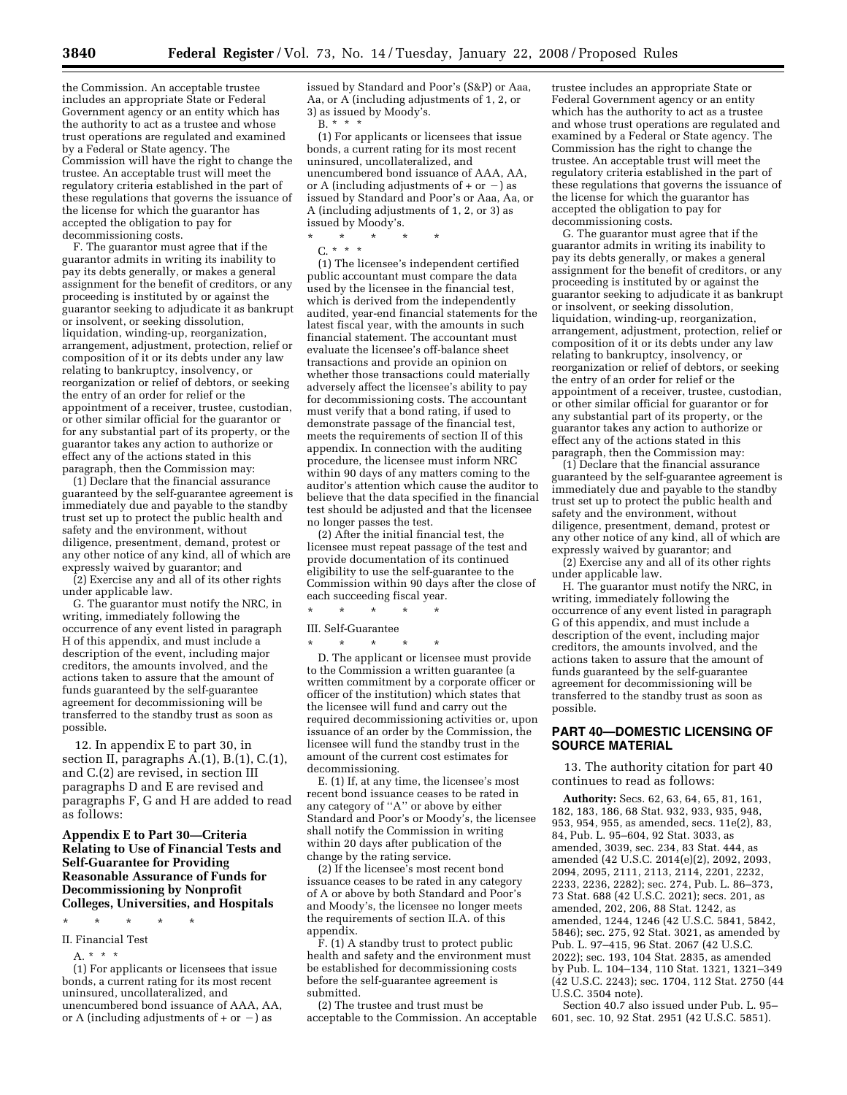the Commission. An acceptable trustee includes an appropriate State or Federal Government agency or an entity which has the authority to act as a trustee and whose trust operations are regulated and examined by a Federal or State agency. The Commission will have the right to change the trustee. An acceptable trust will meet the regulatory criteria established in the part of these regulations that governs the issuance of the license for which the guarantor has accepted the obligation to pay for decommissioning costs.

F. The guarantor must agree that if the guarantor admits in writing its inability to pay its debts generally, or makes a general assignment for the benefit of creditors, or any proceeding is instituted by or against the guarantor seeking to adjudicate it as bankrupt or insolvent, or seeking dissolution, liquidation, winding-up, reorganization, arrangement, adjustment, protection, relief or composition of it or its debts under any law relating to bankruptcy, insolvency, or reorganization or relief of debtors, or seeking the entry of an order for relief or the appointment of a receiver, trustee, custodian, or other similar official for the guarantor or for any substantial part of its property, or the guarantor takes any action to authorize or effect any of the actions stated in this paragraph, then the Commission may:

(1) Declare that the financial assurance guaranteed by the self-guarantee agreement is immediately due and payable to the standby trust set up to protect the public health and safety and the environment, without diligence, presentment, demand, protest or any other notice of any kind, all of which are expressly waived by guarantor; and

(2) Exercise any and all of its other rights under applicable law.

G. The guarantor must notify the NRC, in writing, immediately following the occurrence of any event listed in paragraph H of this appendix, and must include a description of the event, including major creditors, the amounts involved, and the actions taken to assure that the amount of funds guaranteed by the self-guarantee agreement for decommissioning will be transferred to the standby trust as soon as possible.

12. In appendix E to part 30, in section II, paragraphs A.(1), B.(1), C.(1), and C.(2) are revised, in section III paragraphs D and E are revised and paragraphs F, G and H are added to read as follows:

## **Appendix E to Part 30—Criteria Relating to Use of Financial Tests and Self-Guarantee for Providing Reasonable Assurance of Funds for Decommissioning by Nonprofit Colleges, Universities, and Hospitals**

\* \* \* \* \*

- II. Financial Test
	- A. \* \* \*

(1) For applicants or licensees that issue bonds, a current rating for its most recent uninsured, uncollateralized, and unencumbered bond issuance of AAA, AA, or A (including adjustments of  $+$  or  $-$ ) as

issued by Standard and Poor's (S&P) or Aaa, Aa, or A (including adjustments of 1, 2, or 3) as issued by Moody's.

B. \* \* \*

(1) For applicants or licensees that issue bonds, a current rating for its most recent uninsured, uncollateralized, and unencumbered bond issuance of AAA, AA, or A (including adjustments of  $+$  or  $-$ ) as issued by Standard and Poor's or Aaa, Aa, or A (including adjustments of 1, 2, or 3) as issued by Moody's.

\* \* \* \* \* C. \* \* \*

(1) The licensee's independent certified public accountant must compare the data used by the licensee in the financial test, which is derived from the independently audited, year-end financial statements for the latest fiscal year, with the amounts in such financial statement. The accountant must evaluate the licensee's off-balance sheet transactions and provide an opinion on whether those transactions could materially adversely affect the licensee's ability to pay for decommissioning costs. The accountant must verify that a bond rating, if used to demonstrate passage of the financial test, meets the requirements of section II of this appendix. In connection with the auditing procedure, the licensee must inform NRC within 90 days of any matters coming to the auditor's attention which cause the auditor to believe that the data specified in the financial test should be adjusted and that the licensee no longer passes the test.

(2) After the initial financial test, the licensee must repeat passage of the test and provide documentation of its continued eligibility to use the self-guarantee to the Commission within 90 days after the close of each succeeding fiscal year.

\* \* \* \* \*

III. Self-Guarantee

\* \* \* \* \* D. The applicant or licensee must provide to the Commission a written guarantee (a written commitment by a corporate officer or officer of the institution) which states that the licensee will fund and carry out the required decommissioning activities or, upon issuance of an order by the Commission, the licensee will fund the standby trust in the amount of the current cost estimates for decommissioning.

E. (1) If, at any time, the licensee's most recent bond issuance ceases to be rated in any category of ''A'' or above by either Standard and Poor's or Moody's, the licensee shall notify the Commission in writing within 20 days after publication of the change by the rating service.

(2) If the licensee's most recent bond issuance ceases to be rated in any category of A or above by both Standard and Poor's and Moody's, the licensee no longer meets the requirements of section II.A. of this appendix.

 $\overline{F}$ . (1) A standby trust to protect public health and safety and the environment must be established for decommissioning costs before the self-guarantee agreement is submitted.

(2) The trustee and trust must be acceptable to the Commission. An acceptable

trustee includes an appropriate State or Federal Government agency or an entity which has the authority to act as a trustee and whose trust operations are regulated and examined by a Federal or State agency. The Commission has the right to change the trustee. An acceptable trust will meet the regulatory criteria established in the part of these regulations that governs the issuance of the license for which the guarantor has accepted the obligation to pay for decommissioning costs.

G. The guarantor must agree that if the guarantor admits in writing its inability to pay its debts generally, or makes a general assignment for the benefit of creditors, or any proceeding is instituted by or against the guarantor seeking to adjudicate it as bankrupt or insolvent, or seeking dissolution, liquidation, winding-up, reorganization, arrangement, adjustment, protection, relief or composition of it or its debts under any law relating to bankruptcy, insolvency, or reorganization or relief of debtors, or seeking the entry of an order for relief or the appointment of a receiver, trustee, custodian, or other similar official for guarantor or for any substantial part of its property, or the guarantor takes any action to authorize or effect any of the actions stated in this paragraph, then the Commission may:

(1) Declare that the financial assurance guaranteed by the self-guarantee agreement is immediately due and payable to the standby trust set up to protect the public health and safety and the environment, without diligence, presentment, demand, protest or any other notice of any kind, all of which are expressly waived by guarantor; and

(2) Exercise any and all of its other rights under applicable law.

H. The guarantor must notify the NRC, in writing, immediately following the occurrence of any event listed in paragraph G of this appendix, and must include a description of the event, including major creditors, the amounts involved, and the actions taken to assure that the amount of funds guaranteed by the self-guarantee agreement for decommissioning will be transferred to the standby trust as soon as possible.

# **PART 40—DOMESTIC LICENSING OF SOURCE MATERIAL**

13. The authority citation for part 40 continues to read as follows:

**Authority:** Secs. 62, 63, 64, 65, 81, 161, 182, 183, 186, 68 Stat. 932, 933, 935, 948, 953, 954, 955, as amended, secs. 11e(2), 83, 84, Pub. L. 95–604, 92 Stat. 3033, as amended, 3039, sec. 234, 83 Stat. 444, as amended (42 U.S.C. 2014(e)(2), 2092, 2093, 2094, 2095, 2111, 2113, 2114, 2201, 2232, 2233, 2236, 2282); sec. 274, Pub. L. 86–373, 73 Stat. 688 (42 U.S.C. 2021); secs. 201, as amended, 202, 206, 88 Stat. 1242, as amended, 1244, 1246 (42 U.S.C. 5841, 5842, 5846); sec. 275, 92 Stat. 3021, as amended by Pub. L. 97–415, 96 Stat. 2067 (42 U.S.C. 2022); sec. 193, 104 Stat. 2835, as amended by Pub. L. 104–134, 110 Stat. 1321, 1321–349 (42 U.S.C. 2243); sec. 1704, 112 Stat. 2750 (44 U.S.C. 3504 note).

Section 40.7 also issued under Pub. L. 95– 601, sec. 10, 92 Stat. 2951 (42 U.S.C. 5851).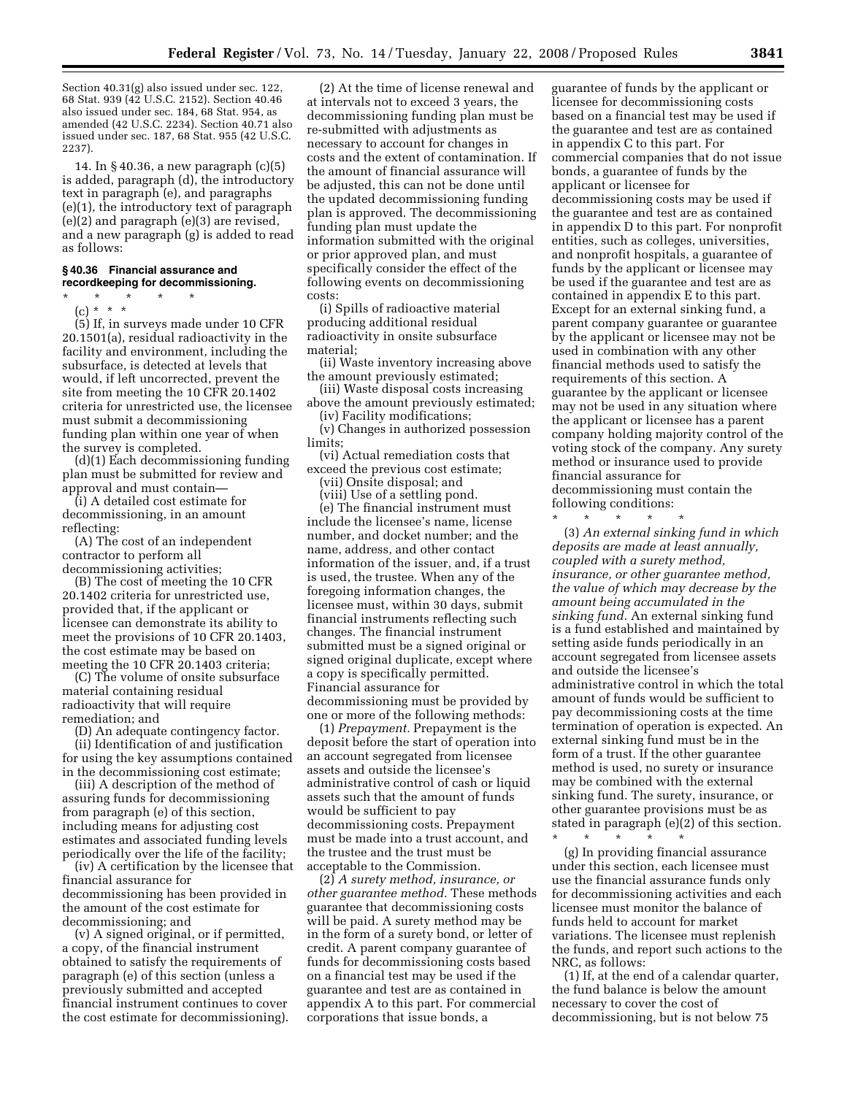Section 40.31(g) also issued under sec. 122, 68 Stat. 939 (42 U.S.C. 2152). Section 40.46 also issued under sec. 184, 68 Stat. 954, as amended (42 U.S.C. 2234). Section 40.71 also issued under sec. 187, 68 Stat. 955 (42 U.S.C. 2237).

14. In § 40.36, a new paragraph (c)(5) is added, paragraph (d), the introductory text in paragraph (e), and paragraphs (e)(1), the introductory text of paragraph (e)(2) and paragraph (e)(3) are revised, and a new paragraph (g) is added to read as follows:

## **§ 40.36 Financial assurance and recordkeeping for decommissioning.**

\* \* \* \* \* (c) \* \* \*

(5) If, in surveys made under 10 CFR 20.1501(a), residual radioactivity in the facility and environment, including the subsurface, is detected at levels that would, if left uncorrected, prevent the site from meeting the 10 CFR 20.1402 criteria for unrestricted use, the licensee must submit a decommissioning funding plan within one year of when the survey is completed.

(d)(1) Each decommissioning funding plan must be submitted for review and approval and must contain—

(i) A detailed cost estimate for decommissioning, in an amount reflecting:

(A) The cost of an independent contractor to perform all decommissioning activities;

(B) The cost of meeting the 10 CFR 20.1402 criteria for unrestricted use, provided that, if the applicant or licensee can demonstrate its ability to meet the provisions of 10 CFR 20.1403, the cost estimate may be based on meeting the 10 CFR 20.1403 criteria;

(C) The volume of onsite subsurface material containing residual radioactivity that will require remediation; and

(D) An adequate contingency factor.

(ii) Identification of and justification for using the key assumptions contained in the decommissioning cost estimate;

(iii) A description of the method of assuring funds for decommissioning from paragraph (e) of this section, including means for adjusting cost estimates and associated funding levels periodically over the life of the facility;

(iv) A certification by the licensee that financial assurance for decommissioning has been provided in the amount of the cost estimate for decommissioning; and

(v) A signed original, or if permitted, a copy, of the financial instrument obtained to satisfy the requirements of paragraph (e) of this section (unless a previously submitted and accepted financial instrument continues to cover the cost estimate for decommissioning).

(2) At the time of license renewal and at intervals not to exceed 3 years, the decommissioning funding plan must be re-submitted with adjustments as necessary to account for changes in costs and the extent of contamination. If the amount of financial assurance will be adjusted, this can not be done until the updated decommissioning funding plan is approved. The decommissioning funding plan must update the information submitted with the original or prior approved plan, and must specifically consider the effect of the following events on decommissioning costs:

(i) Spills of radioactive material producing additional residual radioactivity in onsite subsurface material;

(ii) Waste inventory increasing above the amount previously estimated;

(iii) Waste disposal costs increasing above the amount previously estimated;

(iv) Facility modifications; (v) Changes in authorized possession limits;

(vi) Actual remediation costs that exceed the previous cost estimate;

(vii) Onsite disposal; and (viii) Use of a settling pond.

(e) The financial instrument must include the licensee's name, license number, and docket number; and the name, address, and other contact information of the issuer, and, if a trust is used, the trustee. When any of the foregoing information changes, the licensee must, within 30 days, submit financial instruments reflecting such changes. The financial instrument submitted must be a signed original or signed original duplicate, except where a copy is specifically permitted. Financial assurance for decommissioning must be provided by one or more of the following methods:

(1) *Prepayment.* Prepayment is the deposit before the start of operation into an account segregated from licensee assets and outside the licensee's administrative control of cash or liquid assets such that the amount of funds would be sufficient to pay decommissioning costs. Prepayment must be made into a trust account, and the trustee and the trust must be acceptable to the Commission.

(2) *A surety method, insurance, or other guarantee method.* These methods guarantee that decommissioning costs will be paid. A surety method may be in the form of a surety bond, or letter of credit. A parent company guarantee of funds for decommissioning costs based on a financial test may be used if the guarantee and test are as contained in appendix A to this part. For commercial corporations that issue bonds, a

guarantee of funds by the applicant or licensee for decommissioning costs based on a financial test may be used if the guarantee and test are as contained in appendix C to this part. For commercial companies that do not issue bonds, a guarantee of funds by the applicant or licensee for decommissioning costs may be used if the guarantee and test are as contained in appendix D to this part. For nonprofit entities, such as colleges, universities, and nonprofit hospitals, a guarantee of funds by the applicant or licensee may be used if the guarantee and test are as contained in appendix E to this part. Except for an external sinking fund, a parent company guarantee or guarantee by the applicant or licensee may not be used in combination with any other financial methods used to satisfy the requirements of this section. A guarantee by the applicant or licensee may not be used in any situation where the applicant or licensee has a parent company holding majority control of the voting stock of the company. Any surety method or insurance used to provide financial assurance for decommissioning must contain the following conditions:

\* \* \* \* \*

(3) *An external sinking fund in which deposits are made at least annually, coupled with a surety method, insurance, or other guarantee method, the value of which may decrease by the amount being accumulated in the sinking fund.* An external sinking fund is a fund established and maintained by setting aside funds periodically in an account segregated from licensee assets and outside the licensee's administrative control in which the total amount of funds would be sufficient to pay decommissioning costs at the time termination of operation is expected. An external sinking fund must be in the form of a trust. If the other guarantee method is used, no surety or insurance may be combined with the external sinking fund. The surety, insurance, or other guarantee provisions must be as stated in paragraph (e)(2) of this section.

\* \* \* \* \*

(g) In providing financial assurance under this section, each licensee must use the financial assurance funds only for decommissioning activities and each licensee must monitor the balance of funds held to account for market variations. The licensee must replenish the funds, and report such actions to the NRC, as follows:

(1) If, at the end of a calendar quarter, the fund balance is below the amount necessary to cover the cost of decommissioning, but is not below 75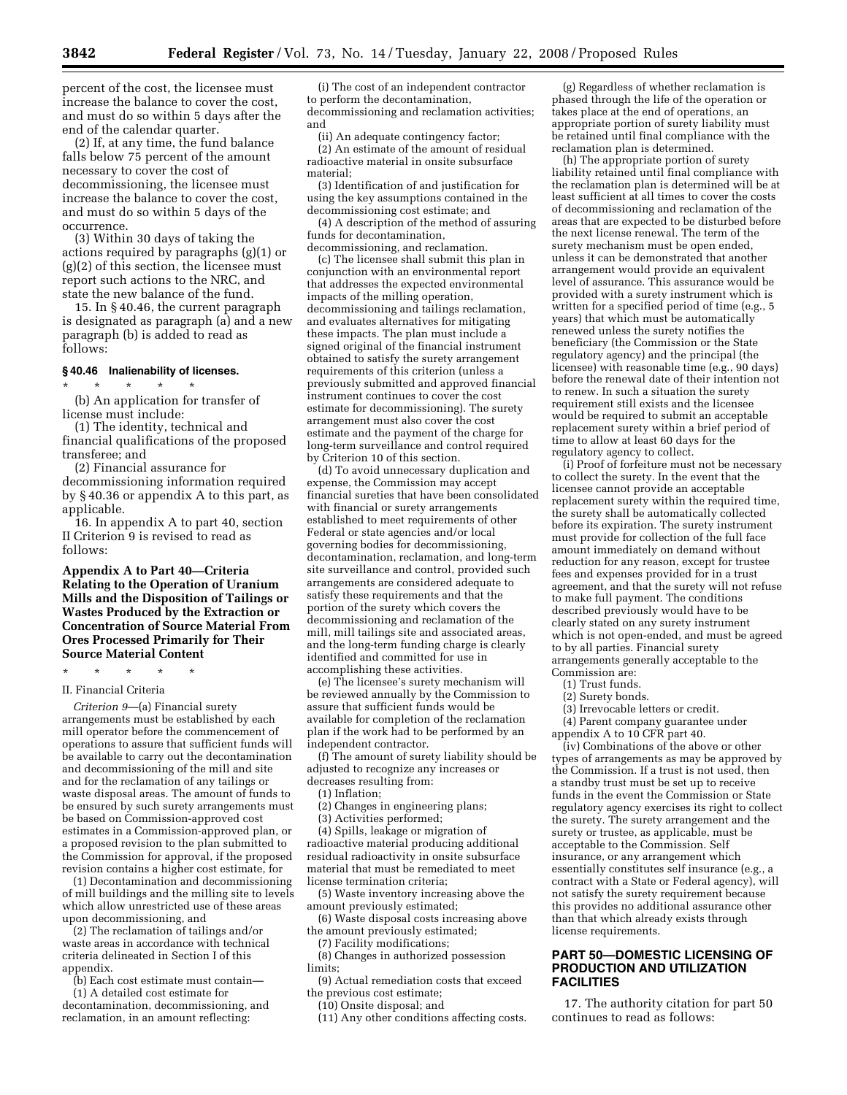percent of the cost, the licensee must increase the balance to cover the cost, and must do so within 5 days after the end of the calendar quarter.

(2) If, at any time, the fund balance falls below 75 percent of the amount necessary to cover the cost of decommissioning, the licensee must increase the balance to cover the cost, and must do so within 5 days of the occurrence.

(3) Within 30 days of taking the actions required by paragraphs (g)(1) or (g)(2) of this section, the licensee must report such actions to the NRC, and state the new balance of the fund.

15. In § 40.46, the current paragraph is designated as paragraph (a) and a new paragraph (b) is added to read as follows:

#### **§ 40.46 Inalienability of licenses.**  \* \* \* \* \*

(b) An application for transfer of license must include:

(1) The identity, technical and financial qualifications of the proposed transferee; and

(2) Financial assurance for decommissioning information required by § 40.36 or appendix A to this part, as applicable.

16. In appendix A to part 40, section II Criterion 9 is revised to read as follows:

**Appendix A to Part 40—Criteria Relating to the Operation of Uranium Mills and the Disposition of Tailings or Wastes Produced by the Extraction or Concentration of Source Material From Ores Processed Primarily for Their Source Material Content** 

#### \* \* \* \* \*

#### II. Financial Criteria

*Criterion 9*—(a) Financial surety arrangements must be established by each mill operator before the commencement of operations to assure that sufficient funds will be available to carry out the decontamination and decommissioning of the mill and site and for the reclamation of any tailings or waste disposal areas. The amount of funds to be ensured by such surety arrangements must be based on Commission-approved cost estimates in a Commission-approved plan, or a proposed revision to the plan submitted to the Commission for approval, if the proposed revision contains a higher cost estimate, for

(1) Decontamination and decommissioning of mill buildings and the milling site to levels which allow unrestricted use of these areas upon decommissioning, and

(2) The reclamation of tailings and/or waste areas in accordance with technical criteria delineated in Section I of this appendix.

(b) Each cost estimate must contain— (1) A detailed cost estimate for

decontamination, decommissioning, and reclamation, in an amount reflecting:

(i) The cost of an independent contractor to perform the decontamination, decommissioning and reclamation activities; and

(ii) An adequate contingency factor;

(2) An estimate of the amount of residual radioactive material in onsite subsurface material;

(3) Identification of and justification for using the key assumptions contained in the decommissioning cost estimate; and

(4) A description of the method of assuring funds for decontamination, decommissioning, and reclamation.

(c) The licensee shall submit this plan in conjunction with an environmental report that addresses the expected environmental impacts of the milling operation, decommissioning and tailings reclamation, and evaluates alternatives for mitigating these impacts. The plan must include a signed original of the financial instrument obtained to satisfy the surety arrangement requirements of this criterion (unless a previously submitted and approved financial instrument continues to cover the cost estimate for decommissioning). The surety arrangement must also cover the cost estimate and the payment of the charge for long-term surveillance and control required by Criterion 10 of this section.

(d) To avoid unnecessary duplication and expense, the Commission may accept financial sureties that have been consolidated with financial or surety arrangements established to meet requirements of other Federal or state agencies and/or local governing bodies for decommissioning, decontamination, reclamation, and long-term site surveillance and control, provided such arrangements are considered adequate to satisfy these requirements and that the portion of the surety which covers the decommissioning and reclamation of the mill, mill tailings site and associated areas, and the long-term funding charge is clearly identified and committed for use in accomplishing these activities.

(e) The licensee's surety mechanism will be reviewed annually by the Commission to assure that sufficient funds would be available for completion of the reclamation plan if the work had to be performed by an independent contractor.

(f) The amount of surety liability should be adjusted to recognize any increases or decreases resulting from:

(1) Inflation;

(2) Changes in engineering plans;

(3) Activities performed;

(4) Spills, leakage or migration of radioactive material producing additional residual radioactivity in onsite subsurface material that must be remediated to meet license termination criteria;

(5) Waste inventory increasing above the amount previously estimated;

(6) Waste disposal costs increasing above the amount previously estimated;

(7) Facility modifications;

(8) Changes in authorized possession limits;

(9) Actual remediation costs that exceed the previous cost estimate;

(10) Onsite disposal; and

(11) Any other conditions affecting costs.

(g) Regardless of whether reclamation is phased through the life of the operation or takes place at the end of operations, an appropriate portion of surety liability must be retained until final compliance with the reclamation plan is determined.

(h) The appropriate portion of surety liability retained until final compliance with the reclamation plan is determined will be at least sufficient at all times to cover the costs of decommissioning and reclamation of the areas that are expected to be disturbed before the next license renewal. The term of the surety mechanism must be open ended, unless it can be demonstrated that another arrangement would provide an equivalent level of assurance. This assurance would be provided with a surety instrument which is written for a specified period of time (e.g., 5) years) that which must be automatically renewed unless the surety notifies the beneficiary (the Commission or the State regulatory agency) and the principal (the licensee) with reasonable time (e.g., 90 days) before the renewal date of their intention not to renew. In such a situation the surety requirement still exists and the licensee would be required to submit an acceptable replacement surety within a brief period of time to allow at least 60 days for the regulatory agency to collect.

(i) Proof of forfeiture must not be necessary to collect the surety. In the event that the licensee cannot provide an acceptable replacement surety within the required time, the surety shall be automatically collected before its expiration. The surety instrument must provide for collection of the full face amount immediately on demand without reduction for any reason, except for trustee fees and expenses provided for in a trust agreement, and that the surety will not refuse to make full payment. The conditions described previously would have to be clearly stated on any surety instrument which is not open-ended, and must be agreed to by all parties. Financial surety arrangements generally acceptable to the Commission are:

(1) Trust funds.

(2) Surety bonds.

(3) Irrevocable letters or credit.

(4) Parent company guarantee under

appendix A to 10 CFR part 40.

(iv) Combinations of the above or other types of arrangements as may be approved by the Commission. If a trust is not used, then a standby trust must be set up to receive funds in the event the Commission or State regulatory agency exercises its right to collect the surety. The surety arrangement and the surety or trustee, as applicable, must be acceptable to the Commission. Self insurance, or any arrangement which essentially constitutes self insurance (e.g., a contract with a State or Federal agency), will not satisfy the surety requirement because this provides no additional assurance other than that which already exists through license requirements.

# **PART 50—DOMESTIC LICENSING OF PRODUCTION AND UTILIZATION FACILITIES**

17. The authority citation for part 50 continues to read as follows: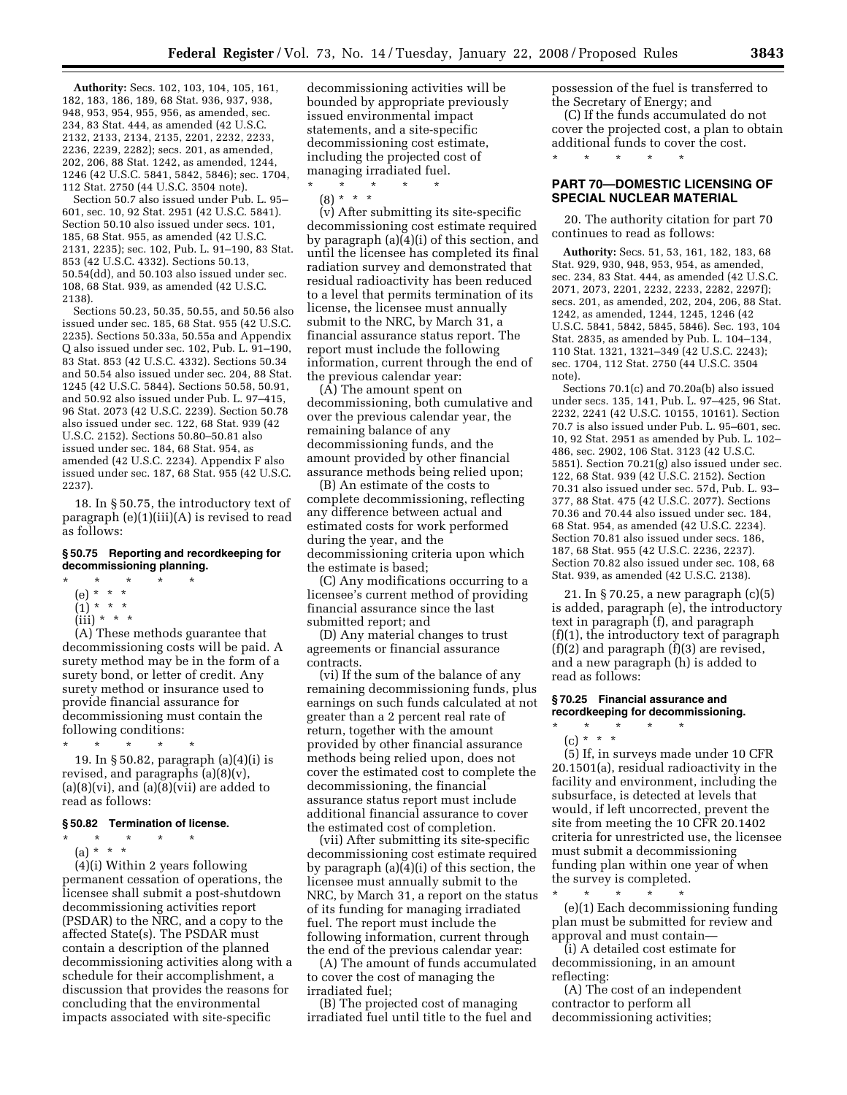**Authority:** Secs. 102, 103, 104, 105, 161, 182, 183, 186, 189, 68 Stat. 936, 937, 938, 948, 953, 954, 955, 956, as amended, sec. 234, 83 Stat. 444, as amended (42 U.S.C. 2132, 2133, 2134, 2135, 2201, 2232, 2233, 2236, 2239, 2282); secs. 201, as amended, 202, 206, 88 Stat. 1242, as amended, 1244, 1246 (42 U.S.C. 5841, 5842, 5846); sec. 1704, 112 Stat. 2750 (44 U.S.C. 3504 note).

Section 50.7 also issued under Pub. L. 95– 601, sec. 10, 92 Stat. 2951 (42 U.S.C. 5841). Section 50.10 also issued under secs. 101, 185, 68 Stat. 955, as amended (42 U.S.C. 2131, 2235); sec. 102, Pub. L. 91–190, 83 Stat. 853 (42 U.S.C. 4332). Sections 50.13, 50.54(dd), and 50.103 also issued under sec. 108, 68 Stat. 939, as amended (42 U.S.C. 2138).

Sections 50.23, 50.35, 50.55, and 50.56 also issued under sec. 185, 68 Stat. 955 (42 U.S.C. 2235). Sections 50.33a, 50.55a and Appendix Q also issued under sec. 102, Pub. L. 91–190, 83 Stat. 853 (42 U.S.C. 4332). Sections 50.34 and 50.54 also issued under sec. 204, 88 Stat. 1245 (42 U.S.C. 5844). Sections 50.58, 50.91, and 50.92 also issued under Pub. L. 97–415, 96 Stat. 2073 (42 U.S.C. 2239). Section 50.78 also issued under sec. 122, 68 Stat. 939 (42 U.S.C. 2152). Sections 50.80–50.81 also issued under sec. 184, 68 Stat. 954, as amended (42 U.S.C. 2234). Appendix F also issued under sec. 187, 68 Stat. 955 (42 U.S.C. 2237).

18. In § 50.75, the introductory text of paragraph (e)(1)(iii)(A) is revised to read as follows:

#### **§ 50.75 Reporting and recordkeeping for decommissioning planning.**

- \* \* \* \* \*
	- (e) \* \* \*
	- $(1) * * * *$
	- $(iii) * * * *$

(A) These methods guarantee that decommissioning costs will be paid. A surety method may be in the form of a surety bond, or letter of credit. Any surety method or insurance used to provide financial assurance for decommissioning must contain the following conditions:

\* \* \* \* \* 19. In § 50.82, paragraph (a)(4)(i) is revised, and paragraphs  $(a)(8)(v)$ ,  $(a)(8)(vi)$ , and  $(a)(8)(vii)$  are added to read as follows:

#### **§ 50.82 Termination of license.**

\* \* \* \* \*

(a) \* \* \* (4)(i) Within 2 years following permanent cessation of operations, the licensee shall submit a post-shutdown decommissioning activities report (PSDAR) to the NRC, and a copy to the affected State(s). The PSDAR must contain a description of the planned decommissioning activities along with a schedule for their accomplishment, a discussion that provides the reasons for concluding that the environmental impacts associated with site-specific

decommissioning activities will be bounded by appropriate previously issued environmental impact statements, and a site-specific decommissioning cost estimate, including the projected cost of managing irradiated fuel.

 $\star$   $\quad$   $\star$   $\quad$   $\star$  $(8) * * * *$ 

(v) After submitting its site-specific decommissioning cost estimate required by paragraph (a)(4)(i) of this section, and until the licensee has completed its final radiation survey and demonstrated that residual radioactivity has been reduced to a level that permits termination of its license, the licensee must annually submit to the NRC, by March 31, a financial assurance status report. The report must include the following information, current through the end of the previous calendar year:

(A) The amount spent on decommissioning, both cumulative and over the previous calendar year, the remaining balance of any decommissioning funds, and the amount provided by other financial assurance methods being relied upon;

(B) An estimate of the costs to complete decommissioning, reflecting any difference between actual and estimated costs for work performed during the year, and the decommissioning criteria upon which the estimate is based;

(C) Any modifications occurring to a licensee's current method of providing financial assurance since the last submitted report; and

(D) Any material changes to trust agreements or financial assurance contracts.

(vi) If the sum of the balance of any remaining decommissioning funds, plus earnings on such funds calculated at not greater than a 2 percent real rate of return, together with the amount provided by other financial assurance methods being relied upon, does not cover the estimated cost to complete the decommissioning, the financial assurance status report must include additional financial assurance to cover the estimated cost of completion.

(vii) After submitting its site-specific decommissioning cost estimate required by paragraph (a)(4)(i) of this section, the licensee must annually submit to the NRC, by March 31, a report on the status of its funding for managing irradiated fuel. The report must include the following information, current through the end of the previous calendar year:

(A) The amount of funds accumulated to cover the cost of managing the irradiated fuel;

(B) The projected cost of managing irradiated fuel until title to the fuel and possession of the fuel is transferred to the Secretary of Energy; and

(C) If the funds accumulated do not cover the projected cost, a plan to obtain additional funds to cover the cost.  $\begin{array}{ccc} * & * & * \end{array}$ \* \* \* \* \*

## **PART 70—DOMESTIC LICENSING OF SPECIAL NUCLEAR MATERIAL**

20. The authority citation for part 70 continues to read as follows:

**Authority:** Secs. 51, 53, 161, 182, 183, 68 Stat. 929, 930, 948, 953, 954, as amended, sec. 234, 83 Stat. 444, as amended (42 U.S.C. 2071, 2073, 2201, 2232, 2233, 2282, 2297f); secs. 201, as amended, 202, 204, 206, 88 Stat. 1242, as amended, 1244, 1245, 1246 (42 U.S.C. 5841, 5842, 5845, 5846). Sec. 193, 104 Stat. 2835, as amended by Pub. L. 104–134, 110 Stat. 1321, 1321–349 (42 U.S.C. 2243); sec. 1704, 112 Stat. 2750 (44 U.S.C. 3504 note).

Sections 70.1(c) and 70.20a(b) also issued under secs. 135, 141, Pub. L. 97–425, 96 Stat. 2232, 2241 (42 U.S.C. 10155, 10161). Section 70.7 is also issued under Pub. L. 95–601, sec. 10, 92 Stat. 2951 as amended by Pub. L. 102– 486, sec. 2902, 106 Stat. 3123 (42 U.S.C. 5851). Section 70.21(g) also issued under sec. 122, 68 Stat. 939 (42 U.S.C. 2152). Section 70.31 also issued under sec. 57d, Pub. L. 93– 377, 88 Stat. 475 (42 U.S.C. 2077). Sections 70.36 and 70.44 also issued under sec. 184, 68 Stat. 954, as amended (42 U.S.C. 2234). Section 70.81 also issued under secs. 186, 187, 68 Stat. 955 (42 U.S.C. 2236, 2237). Section 70.82 also issued under sec. 108, 68 Stat. 939, as amended (42 U.S.C. 2138).

21. In § 70.25, a new paragraph (c)(5) is added, paragraph (e), the introductory text in paragraph (f), and paragraph (f)(1), the introductory text of paragraph  $(f)(2)$  and paragraph  $(f)(3)$  are revised, and a new paragraph (h) is added to read as follows:

## **§ 70.25 Financial assurance and recordkeeping for decommissioning.**

\* \* \* \* \* (c) \* \* \*

(5) If, in surveys made under 10 CFR 20.1501(a), residual radioactivity in the facility and environment, including the subsurface, is detected at levels that would, if left uncorrected, prevent the site from meeting the 10 CFR 20.1402 criteria for unrestricted use, the licensee must submit a decommissioning funding plan within one year of when the survey is completed.

\* \* \* \* \* (e)(1) Each decommissioning funding plan must be submitted for review and approval and must contain—

(i) A detailed cost estimate for decommissioning, in an amount reflecting:

(A) The cost of an independent contractor to perform all decommissioning activities;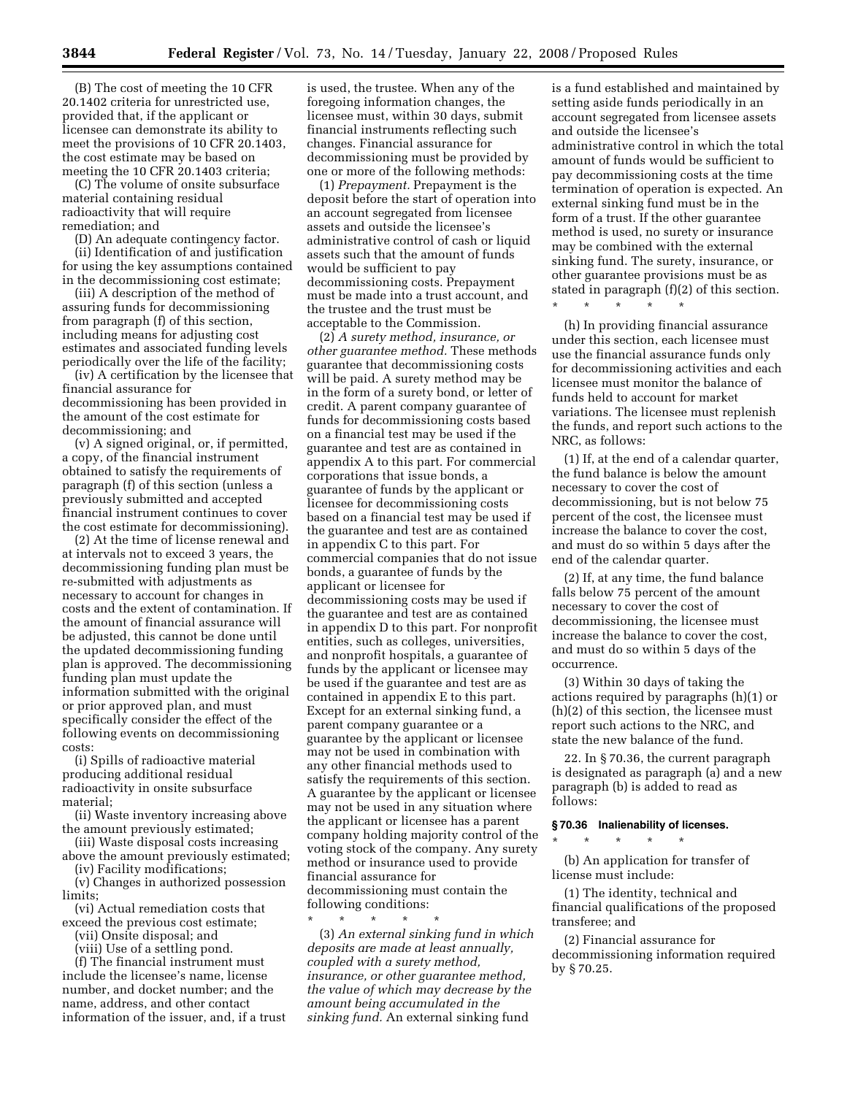(B) The cost of meeting the 10 CFR 20.1402 criteria for unrestricted use, provided that, if the applicant or licensee can demonstrate its ability to meet the provisions of 10 CFR 20.1403, the cost estimate may be based on meeting the 10 CFR 20.1403 criteria;

(C) The volume of onsite subsurface material containing residual radioactivity that will require remediation; and

(D) An adequate contingency factor.

(ii) Identification of and justification for using the key assumptions contained in the decommissioning cost estimate;

(iii) A description of the method of assuring funds for decommissioning from paragraph (f) of this section, including means for adjusting cost estimates and associated funding levels periodically over the life of the facility;

(iv) A certification by the licensee that financial assurance for decommissioning has been provided in the amount of the cost estimate for decommissioning; and

(v) A signed original, or, if permitted, a copy, of the financial instrument obtained to satisfy the requirements of paragraph (f) of this section (unless a previously submitted and accepted financial instrument continues to cover the cost estimate for decommissioning).

(2) At the time of license renewal and at intervals not to exceed 3 years, the decommissioning funding plan must be re-submitted with adjustments as necessary to account for changes in costs and the extent of contamination. If the amount of financial assurance will be adjusted, this cannot be done until the updated decommissioning funding plan is approved. The decommissioning funding plan must update the information submitted with the original or prior approved plan, and must specifically consider the effect of the following events on decommissioning costs:

(i) Spills of radioactive material producing additional residual radioactivity in onsite subsurface material;

(ii) Waste inventory increasing above the amount previously estimated;

(iii) Waste disposal costs increasing above the amount previously estimated;

(iv) Facility modifications;

(v) Changes in authorized possession limits;

(vi) Actual remediation costs that exceed the previous cost estimate;

(vii) Onsite disposal; and

(viii) Use of a settling pond.

(f) The financial instrument must include the licensee's name, license number, and docket number; and the name, address, and other contact information of the issuer, and, if a trust

is used, the trustee. When any of the foregoing information changes, the licensee must, within 30 days, submit financial instruments reflecting such changes. Financial assurance for decommissioning must be provided by one or more of the following methods:

(1) *Prepayment.* Prepayment is the deposit before the start of operation into an account segregated from licensee assets and outside the licensee's administrative control of cash or liquid assets such that the amount of funds would be sufficient to pay decommissioning costs. Prepayment must be made into a trust account, and the trustee and the trust must be acceptable to the Commission.

(2) *A surety method, insurance, or other guarantee method.* These methods guarantee that decommissioning costs will be paid. A surety method may be in the form of a surety bond, or letter of credit. A parent company guarantee of funds for decommissioning costs based on a financial test may be used if the guarantee and test are as contained in appendix A to this part. For commercial corporations that issue bonds, a guarantee of funds by the applicant or licensee for decommissioning costs based on a financial test may be used if the guarantee and test are as contained in appendix C to this part. For commercial companies that do not issue bonds, a guarantee of funds by the applicant or licensee for decommissioning costs may be used if the guarantee and test are as contained in appendix D to this part. For nonprofit entities, such as colleges, universities, and nonprofit hospitals, a guarantee of funds by the applicant or licensee may be used if the guarantee and test are as contained in appendix E to this part. Except for an external sinking fund, a parent company guarantee or a guarantee by the applicant or licensee may not be used in combination with any other financial methods used to satisfy the requirements of this section. A guarantee by the applicant or licensee may not be used in any situation where the applicant or licensee has a parent company holding majority control of the voting stock of the company. Any surety method or insurance used to provide financial assurance for decommissioning must contain the following conditions:

\* \* \* \* \*

(3) *An external sinking fund in which deposits are made at least annually, coupled with a surety method, insurance, or other guarantee method, the value of which may decrease by the amount being accumulated in the sinking fund.* An external sinking fund

is a fund established and maintained by setting aside funds periodically in an account segregated from licensee assets and outside the licensee's administrative control in which the total amount of funds would be sufficient to pay decommissioning costs at the time termination of operation is expected. An external sinking fund must be in the form of a trust. If the other guarantee method is used, no surety or insurance may be combined with the external sinking fund. The surety, insurance, or other guarantee provisions must be as stated in paragraph (f)(2) of this section.

\* \* \* \* \*

(h) In providing financial assurance under this section, each licensee must use the financial assurance funds only for decommissioning activities and each licensee must monitor the balance of funds held to account for market variations. The licensee must replenish the funds, and report such actions to the NRC, as follows:

(1) If, at the end of a calendar quarter, the fund balance is below the amount necessary to cover the cost of decommissioning, but is not below 75 percent of the cost, the licensee must increase the balance to cover the cost, and must do so within 5 days after the end of the calendar quarter.

(2) If, at any time, the fund balance falls below 75 percent of the amount necessary to cover the cost of decommissioning, the licensee must increase the balance to cover the cost, and must do so within 5 days of the occurrence.

(3) Within 30 days of taking the actions required by paragraphs (h)(1) or (h)(2) of this section, the licensee must report such actions to the NRC, and state the new balance of the fund.

22. In § 70.36, the current paragraph is designated as paragraph (a) and a new paragraph (b) is added to read as follows:

#### **§ 70.36 Inalienability of licenses.**

\* \* \* \* \*

(b) An application for transfer of license must include:

(1) The identity, technical and financial qualifications of the proposed transferee; and

(2) Financial assurance for decommissioning information required by § 70.25.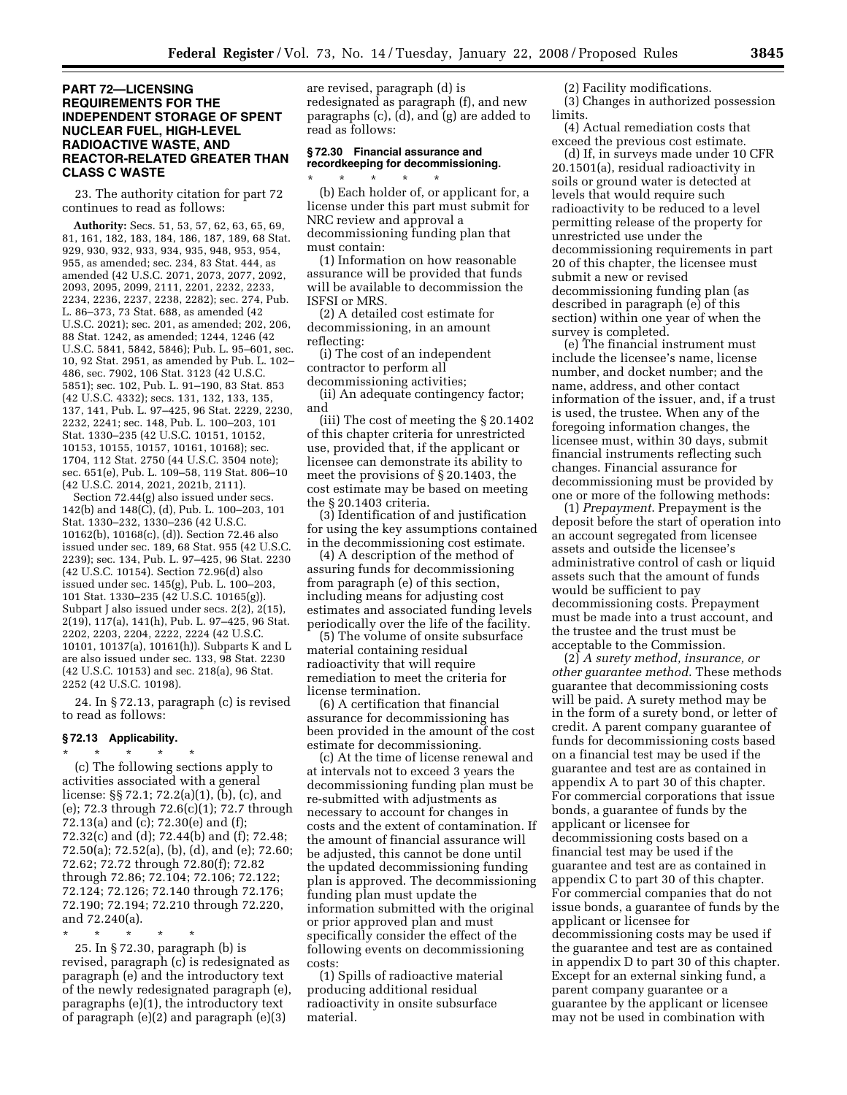## **PART 72—LICENSING REQUIREMENTS FOR THE INDEPENDENT STORAGE OF SPENT NUCLEAR FUEL, HIGH-LEVEL RADIOACTIVE WASTE, AND REACTOR-RELATED GREATER THAN CLASS C WASTE**

23. The authority citation for part 72 continues to read as follows:

**Authority:** Secs. 51, 53, 57, 62, 63, 65, 69, 81, 161, 182, 183, 184, 186, 187, 189, 68 Stat. 929, 930, 932, 933, 934, 935, 948, 953, 954, 955, as amended; sec. 234, 83 Stat. 444, as amended (42 U.S.C. 2071, 2073, 2077, 2092, 2093, 2095, 2099, 2111, 2201, 2232, 2233, 2234, 2236, 2237, 2238, 2282); sec. 274, Pub. L. 86–373, 73 Stat. 688, as amended (42 U.S.C. 2021); sec. 201, as amended; 202, 206, 88 Stat. 1242, as amended; 1244, 1246 (42 U.S.C. 5841, 5842, 5846); Pub. L. 95–601, sec. 10, 92 Stat. 2951, as amended by Pub. L. 102– 486, sec. 7902, 106 Stat. 3123 (42 U.S.C. 5851); sec. 102, Pub. L. 91–190, 83 Stat. 853 (42 U.S.C. 4332); secs. 131, 132, 133, 135, 137, 141, Pub. L. 97–425, 96 Stat. 2229, 2230, 2232, 2241; sec. 148, Pub. L. 100–203, 101 Stat. 1330–235 (42 U.S.C. 10151, 10152, 10153, 10155, 10157, 10161, 10168); sec. 1704, 112 Stat. 2750 (44 U.S.C. 3504 note); sec. 651(e), Pub. L. 109–58, 119 Stat. 806–10 (42 U.S.C. 2014, 2021, 2021b, 2111).

Section 72.44(g) also issued under secs. 142(b) and 148(C), (d), Pub. L. 100–203, 101 Stat. 1330–232, 1330–236 (42 U.S.C. 10162(b), 10168(c), (d)). Section 72.46 also issued under sec. 189, 68 Stat. 955 (42 U.S.C. 2239); sec. 134, Pub. L. 97–425, 96 Stat. 2230 (42 U.S.C. 10154). Section 72.96(d) also issued under sec. 145(g), Pub. L. 100–203, 101 Stat. 1330–235 (42 U.S.C. 10165(g)). Subpart J also issued under secs. 2(2), 2(15), 2(19), 117(a), 141(h), Pub. L. 97–425, 96 Stat. 2202, 2203, 2204, 2222, 2224 (42 U.S.C. 10101, 10137(a), 10161(h)). Subparts K and L are also issued under sec. 133, 98 Stat. 2230 (42 U.S.C. 10153) and sec. 218(a), 96 Stat. 2252 (42 U.S.C. 10198).

24. In § 72.13, paragraph (c) is revised to read as follows:

#### **§ 72.13 Applicability.**

\* \* \* \* \* (c) The following sections apply to activities associated with a general license: §§ 72.1; 72.2(a)(1), (b), (c), and (e); 72.3 through 72.6(c)(1); 72.7 through 72.13(a) and (c); 72.30(e) and (f); 72.32(c) and (d); 72.44(b) and (f); 72.48; 72.50(a); 72.52(a), (b), (d), and (e); 72.60; 72.62; 72.72 through 72.80(f); 72.82 through 72.86; 72.104; 72.106; 72.122; 72.124; 72.126; 72.140 through 72.176; 72.190; 72.194; 72.210 through 72.220, and 72.240(a).

\* \* \* \* \* 25. In § 72.30, paragraph (b) is revised, paragraph (c) is redesignated as paragraph (e) and the introductory text of the newly redesignated paragraph (e), paragraphs (e)(1), the introductory text of paragraph (e)(2) and paragraph (e)(3)

are revised, paragraph (d) is redesignated as paragraph (f), and new paragraphs (c), (d), and (g) are added to read as follows:

## **§ 72.30 Financial assurance and recordkeeping for decommissioning.**

\* \* \* \* \* (b) Each holder of, or applicant for, a license under this part must submit for NRC review and approval a decommissioning funding plan that must contain:

(1) Information on how reasonable assurance will be provided that funds will be available to decommission the ISFSI or MRS.

(2) A detailed cost estimate for decommissioning, in an amount reflecting:

(i) The cost of an independent contractor to perform all

decommissioning activities; (ii) An adequate contingency factor;

and

(iii) The cost of meeting the § 20.1402 of this chapter criteria for unrestricted use, provided that, if the applicant or licensee can demonstrate its ability to meet the provisions of § 20.1403, the cost estimate may be based on meeting the § 20.1403 criteria.

(3) Identification of and justification for using the key assumptions contained in the decommissioning cost estimate.

(4) A description of the method of assuring funds for decommissioning from paragraph (e) of this section, including means for adjusting cost estimates and associated funding levels periodically over the life of the facility.

(5) The volume of onsite subsurface material containing residual radioactivity that will require remediation to meet the criteria for license termination.

(6) A certification that financial assurance for decommissioning has been provided in the amount of the cost estimate for decommissioning.

(c) At the time of license renewal and at intervals not to exceed 3 years the decommissioning funding plan must be re-submitted with adjustments as necessary to account for changes in costs and the extent of contamination. If the amount of financial assurance will be adjusted, this cannot be done until the updated decommissioning funding plan is approved. The decommissioning funding plan must update the information submitted with the original or prior approved plan and must specifically consider the effect of the following events on decommissioning costs:

(1) Spills of radioactive material producing additional residual radioactivity in onsite subsurface material.

(2) Facility modifications.

(3) Changes in authorized possession limits.

(4) Actual remediation costs that exceed the previous cost estimate.

(d) If, in surveys made under 10 CFR 20.1501(a), residual radioactivity in soils or ground water is detected at levels that would require such radioactivity to be reduced to a level permitting release of the property for unrestricted use under the decommissioning requirements in part 20 of this chapter, the licensee must submit a new or revised decommissioning funding plan (as described in paragraph (e) of this section) within one year of when the survey is completed.

(e) The financial instrument must include the licensee's name, license number, and docket number; and the name, address, and other contact information of the issuer, and, if a trust is used, the trustee. When any of the foregoing information changes, the licensee must, within 30 days, submit financial instruments reflecting such changes. Financial assurance for decommissioning must be provided by one or more of the following methods:

(1) *Prepayment*. Prepayment is the deposit before the start of operation into an account segregated from licensee assets and outside the licensee's administrative control of cash or liquid assets such that the amount of funds would be sufficient to pay decommissioning costs. Prepayment must be made into a trust account, and the trustee and the trust must be acceptable to the Commission.

(2) *A surety method, insurance, or other guarantee method*. These methods guarantee that decommissioning costs will be paid. A surety method may be in the form of a surety bond, or letter of credit. A parent company guarantee of funds for decommissioning costs based on a financial test may be used if the guarantee and test are as contained in appendix A to part 30 of this chapter. For commercial corporations that issue bonds, a guarantee of funds by the applicant or licensee for decommissioning costs based on a financial test may be used if the guarantee and test are as contained in appendix C to part 30 of this chapter. For commercial companies that do not issue bonds, a guarantee of funds by the applicant or licensee for decommissioning costs may be used if the guarantee and test are as contained in appendix D to part 30 of this chapter. Except for an external sinking fund, a parent company guarantee or a guarantee by the applicant or licensee may not be used in combination with